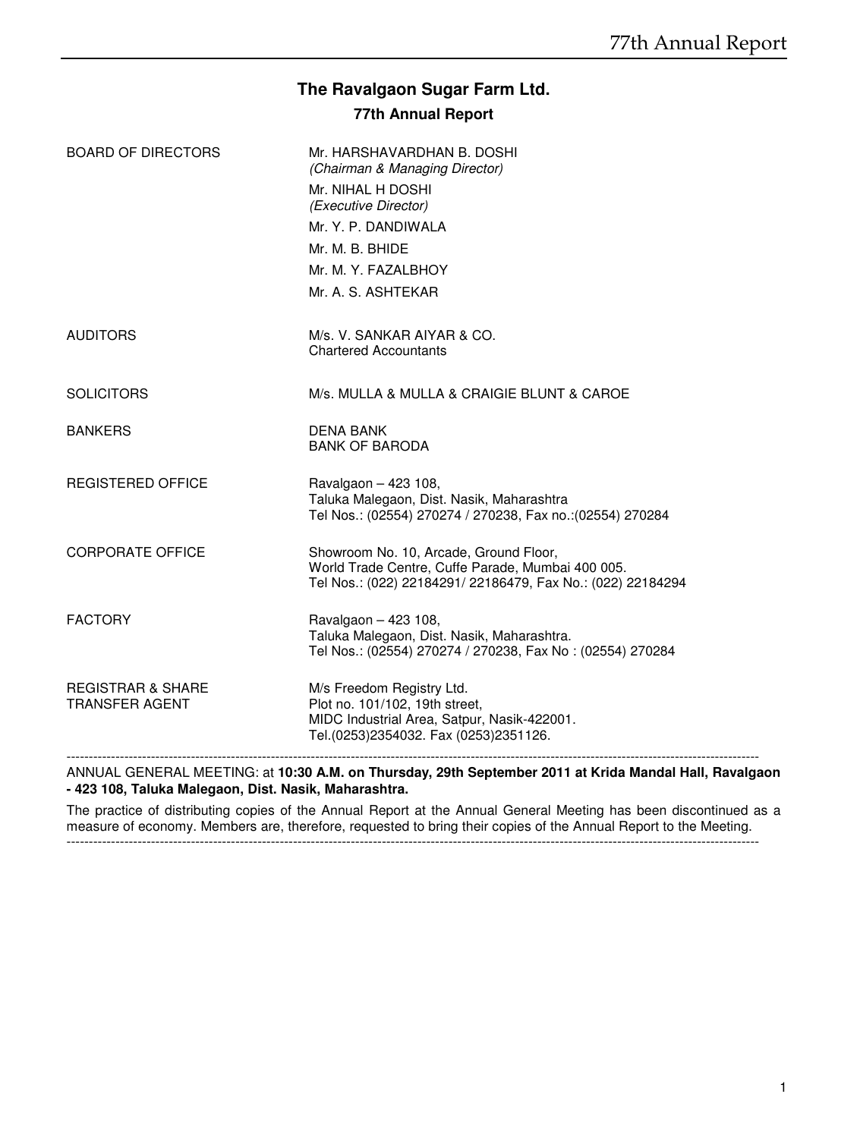# **The Ravalgaon Sugar Farm Ltd.**

# **77th Annual Report**

| <b>BOARD OF DIRECTORS</b>                             | Mr. HARSHAVARDHAN B. DOSHI<br>(Chairman & Managing Director)<br>Mr. NIHAL H DOSHI<br>(Executive Director)<br>Mr. Y. P. DANDIWALA<br>Mr. M. B. BHIDE<br>Mr. M. Y. FAZALBHOY<br>Mr. A. S. ASHTEKAR |
|-------------------------------------------------------|--------------------------------------------------------------------------------------------------------------------------------------------------------------------------------------------------|
| <b>AUDITORS</b>                                       | M/s. V. SANKAR AIYAR & CO.<br><b>Chartered Accountants</b>                                                                                                                                       |
| <b>SOLICITORS</b>                                     | M/s. MULLA & MULLA & CRAIGIE BLUNT & CAROE                                                                                                                                                       |
| <b>BANKERS</b>                                        | <b>DENA BANK</b><br><b>BANK OF BARODA</b>                                                                                                                                                        |
| <b>REGISTERED OFFICE</b>                              | Ravalgaon - 423 108,<br>Taluka Malegaon, Dist. Nasik, Maharashtra<br>Tel Nos.: (02554) 270274 / 270238, Fax no.: (02554) 270284                                                                  |
| <b>CORPORATE OFFICE</b>                               | Showroom No. 10, Arcade, Ground Floor,<br>World Trade Centre, Cuffe Parade, Mumbai 400 005.<br>Tel Nos.: (022) 22184291/ 22186479, Fax No.: (022) 22184294                                       |
| <b>FACTORY</b>                                        | Ravalgaon - 423 108,<br>Taluka Malegaon, Dist. Nasik, Maharashtra.<br>Tel Nos.: (02554) 270274 / 270238, Fax No: (02554) 270284                                                                  |
| <b>REGISTRAR &amp; SHARE</b><br><b>TRANSFER AGENT</b> | M/s Freedom Registry Ltd.<br>Plot no. 101/102, 19th street,<br>MIDC Industrial Area, Satpur, Nasik-422001.<br>Tel.(0253)2354032. Fax (0253)2351126.                                              |
|                                                       |                                                                                                                                                                                                  |

ANNUAL GENERAL MEETING: at **10:30 A.M. on Thursday, 29th September 2011 at Krida Mandal Hall, Ravalgaon - 423 108, Taluka Malegaon, Dist. Nasik, Maharashtra.**

The practice of distributing copies of the Annual Report at the Annual General Meeting has been discontinued as a measure of economy. Members are, therefore, requested to bring their copies of the Annual Report to the Meeting.

------------------------------------------------------------------------------------------------------------------------------------------------------------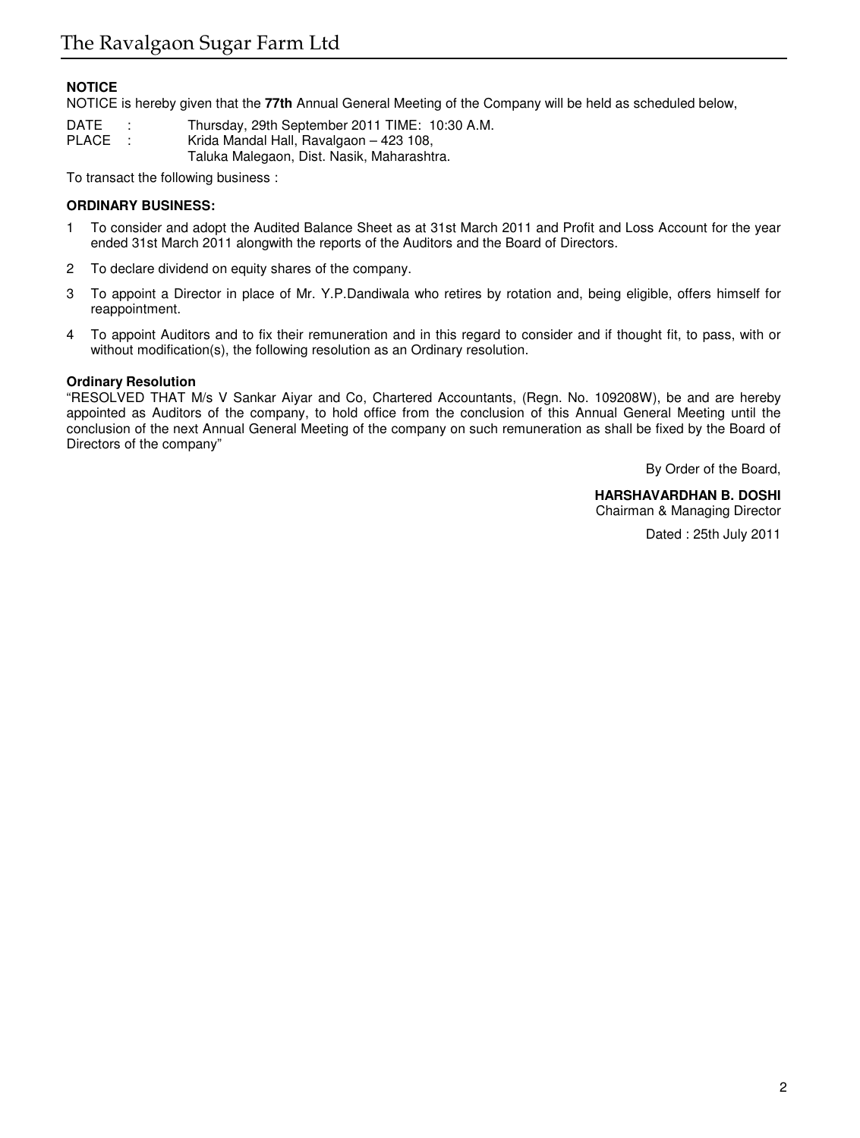# **NOTICE**

NOTICE is hereby given that the **77th** Annual General Meeting of the Company will be held as scheduled below,

DATE : Thursday, 29th September 2011 TIME: 10:30 A.M.<br>PLACE : Krida Mandal Hall. Ravalgaon – 423 108. Krida Mandal Hall, Ravalgaon - 423 108, Taluka Malegaon, Dist. Nasik, Maharashtra.

To transact the following business :

# **ORDINARY BUSINESS:**

- 1 To consider and adopt the Audited Balance Sheet as at 31st March 2011 and Profit and Loss Account for the year ended 31st March 2011 alongwith the reports of the Auditors and the Board of Directors.
- 2 To declare dividend on equity shares of the company.
- 3 To appoint a Director in place of Mr. Y.P.Dandiwala who retires by rotation and, being eligible, offers himself for reappointment.
- 4 To appoint Auditors and to fix their remuneration and in this regard to consider and if thought fit, to pass, with or without modification(s), the following resolution as an Ordinary resolution.

# **Ordinary Resolution**

"RESOLVED THAT M/s V Sankar Aiyar and Co, Chartered Accountants, (Regn. No. 109208W), be and are hereby appointed as Auditors of the company, to hold office from the conclusion of this Annual General Meeting until the conclusion of the next Annual General Meeting of the company on such remuneration as shall be fixed by the Board of Directors of the company"

By Order of the Board,

#### **HARSHAVARDHAN B. DOSHI** Chairman & Managing Director

Dated : 25th July 2011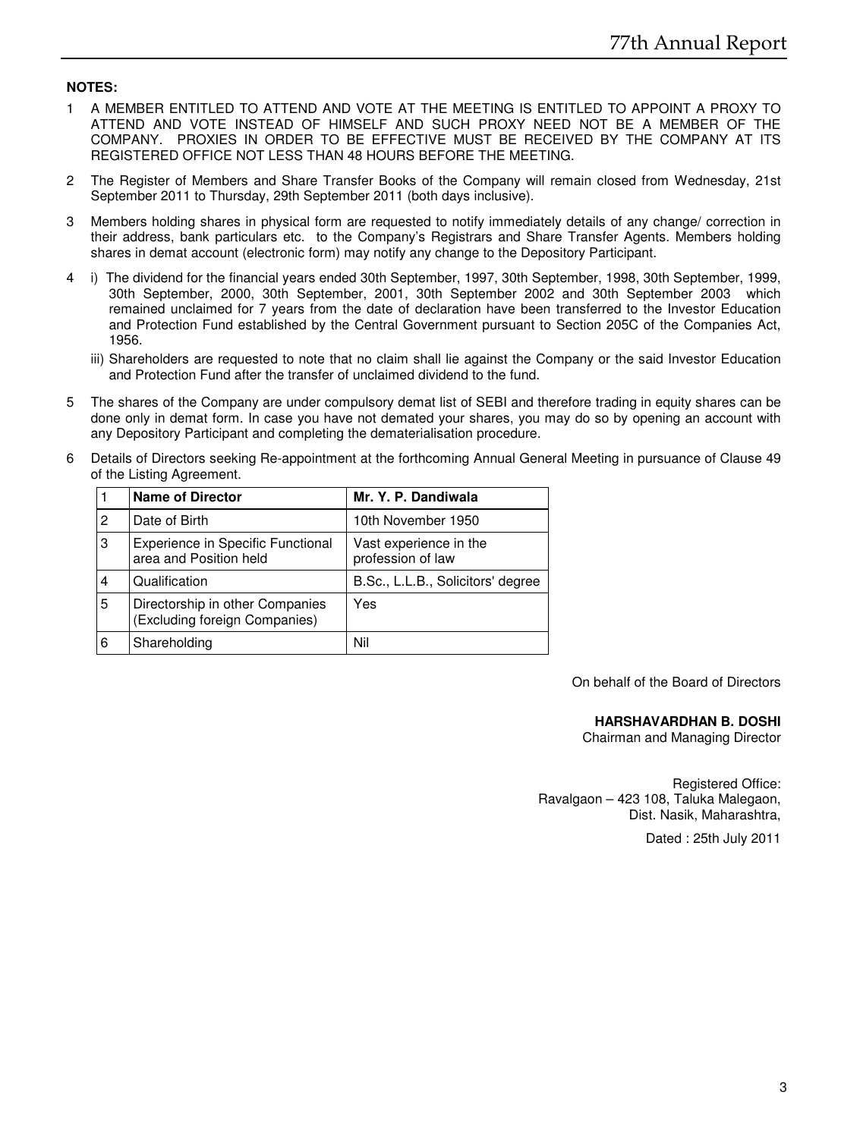# **NOTES:**

- 1 A MEMBER ENTITLED TO ATTEND AND VOTE AT THE MEETING IS ENTITLED TO APPOINT A PROXY TO ATTEND AND VOTE INSTEAD OF HIMSELF AND SUCH PROXY NEED NOT BE A MEMBER OF THE COMPANY. PROXIES IN ORDER TO BE EFFECTIVE MUST BE RECEIVED BY THE COMPANY AT ITS REGISTERED OFFICE NOT LESS THAN 48 HOURS BEFORE THE MEETING.
- 2 The Register of Members and Share Transfer Books of the Company will remain closed from Wednesday, 21st September 2011 to Thursday, 29th September 2011 (both days inclusive).
- 3 Members holding shares in physical form are requested to notify immediately details of any change/ correction in their address, bank particulars etc. to the Company's Registrars and Share Transfer Agents. Members holding shares in demat account (electronic form) may notify any change to the Depository Participant.
- 4 i) The dividend for the financial years ended 30th September, 1997, 30th September, 1998, 30th September, 1999, 30th September, 2000, 30th September, 2001, 30th September 2002 and 30th September 2003 which remained unclaimed for 7 years from the date of declaration have been transferred to the Investor Education and Protection Fund established by the Central Government pursuant to Section 205C of the Companies Act, 1956.
	- iii) Shareholders are requested to note that no claim shall lie against the Company or the said Investor Education and Protection Fund after the transfer of unclaimed dividend to the fund.
- 5 The shares of the Company are under compulsory demat list of SEBI and therefore trading in equity shares can be done only in demat form. In case you have not demated your shares, you may do so by opening an account with any Depository Participant and completing the dematerialisation procedure.
- 6 Details of Directors seeking Re-appointment at the forthcoming Annual General Meeting in pursuance of Clause 49 of the Listing Agreement.

|   | <b>Name of Director</b>                                          | Mr. Y. P. Dandiwala                         |
|---|------------------------------------------------------------------|---------------------------------------------|
| 2 | Date of Birth                                                    | 10th November 1950                          |
| 3 | Experience in Specific Functional<br>area and Position held      | Vast experience in the<br>profession of law |
| 4 | Qualification                                                    | B.Sc., L.L.B., Solicitors' degree           |
| 5 | Directorship in other Companies<br>(Excluding foreign Companies) | Yes                                         |
| 6 | Shareholding                                                     | Nil                                         |

On behalf of the Board of Directors

#### **HARSHAVARDHAN B. DOSHI**

Chairman and Managing Director

Registered Office: Ravalgaon – 423 108, Taluka Malegaon, Dist. Nasik, Maharashtra,

Dated : 25th July 2011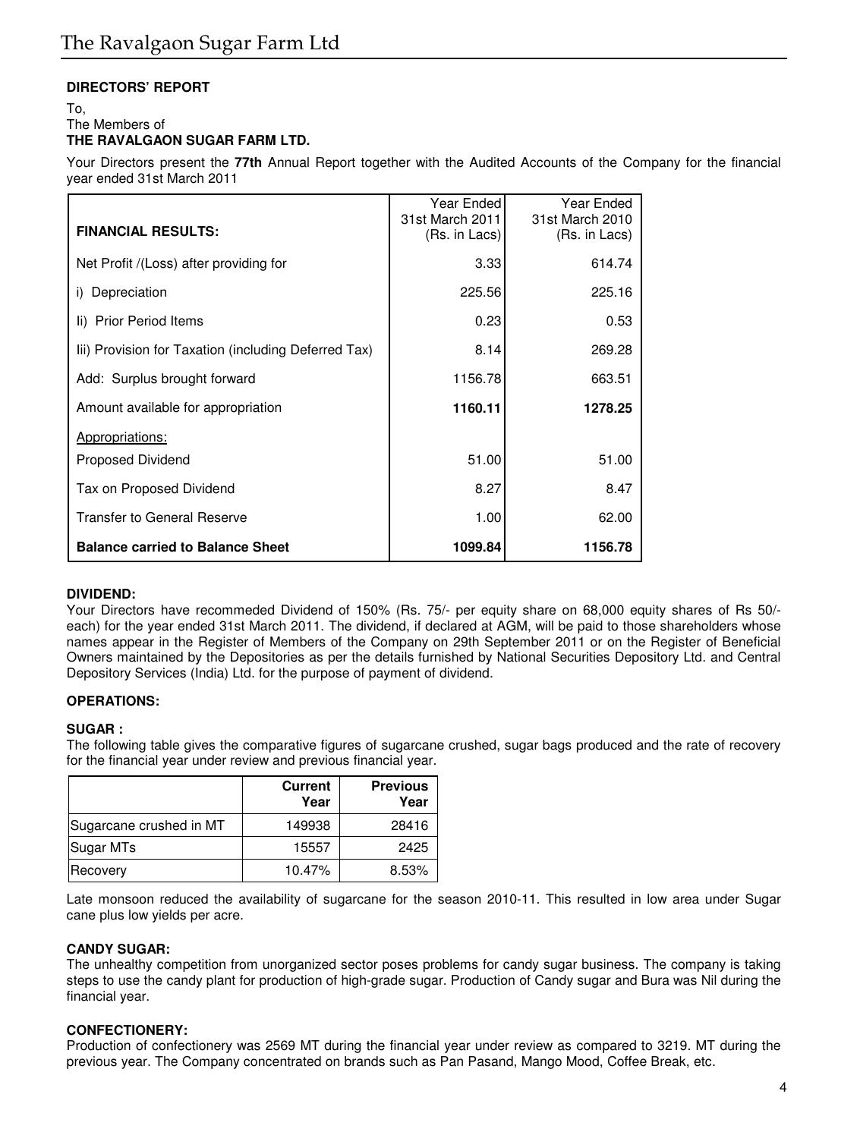# **DIRECTORS' REPORT**

# To, The Members of **THE RAVALGAON SUGAR FARM LTD.**

Your Directors present the **77th** Annual Report together with the Audited Accounts of the Company for the financial year ended 31st March 2011

| <b>FINANCIAL RESULTS:</b>                            | Year Ended<br>31st March 2011<br>(Rs. in Lacs) | Year Ended<br>31st March 2010<br>(Rs. in Lacs) |
|------------------------------------------------------|------------------------------------------------|------------------------------------------------|
| Net Profit /(Loss) after providing for               | 3.33                                           | 614.74                                         |
| i) Depreciation                                      | 225.56                                         | 225.16                                         |
| Ii) Prior Period Items                               | 0.23                                           | 0.53                                           |
| Iii) Provision for Taxation (including Deferred Tax) | 8.14                                           | 269.28                                         |
| Add: Surplus brought forward                         | 1156.78                                        | 663.51                                         |
| Amount available for appropriation                   | 1160.11                                        | 1278.25                                        |
| Appropriations:                                      |                                                |                                                |
| <b>Proposed Dividend</b>                             | 51.00                                          | 51.00                                          |
| Tax on Proposed Dividend                             | 8.27                                           | 8.47                                           |
| <b>Transfer to General Reserve</b>                   | 1.00                                           | 62.00                                          |
| <b>Balance carried to Balance Sheet</b>              | 1099.84                                        | 1156.78                                        |

# **DIVIDEND:**

Your Directors have recommeded Dividend of 150% (Rs. 75/- per equity share on 68,000 equity shares of Rs 50/ each) for the year ended 31st March 2011. The dividend, if declared at AGM, will be paid to those shareholders whose names appear in the Register of Members of the Company on 29th September 2011 or on the Register of Beneficial Owners maintained by the Depositories as per the details furnished by National Securities Depository Ltd. and Central Depository Services (India) Ltd. for the purpose of payment of dividend.

# **OPERATIONS:**

# **SUGAR :**

The following table gives the comparative figures of sugarcane crushed, sugar bags produced and the rate of recovery for the financial year under review and previous financial year.

|                         | <b>Current</b><br>Year | <b>Previous</b><br>Year |
|-------------------------|------------------------|-------------------------|
| Sugarcane crushed in MT | 149938                 | 28416                   |
| Sugar MTs               | 15557                  | 2425                    |
| Recovery                | 10.47%                 | 8.53%                   |

Late monsoon reduced the availability of sugarcane for the season 2010-11. This resulted in low area under Sugar cane plus low yields per acre.

# **CANDY SUGAR:**

The unhealthy competition from unorganized sector poses problems for candy sugar business. The company is taking steps to use the candy plant for production of high-grade sugar. Production of Candy sugar and Bura was Nil during the financial year.

# **CONFECTIONERY:**

Production of confectionery was 2569 MT during the financial year under review as compared to 3219. MT during the previous year. The Company concentrated on brands such as Pan Pasand, Mango Mood, Coffee Break, etc.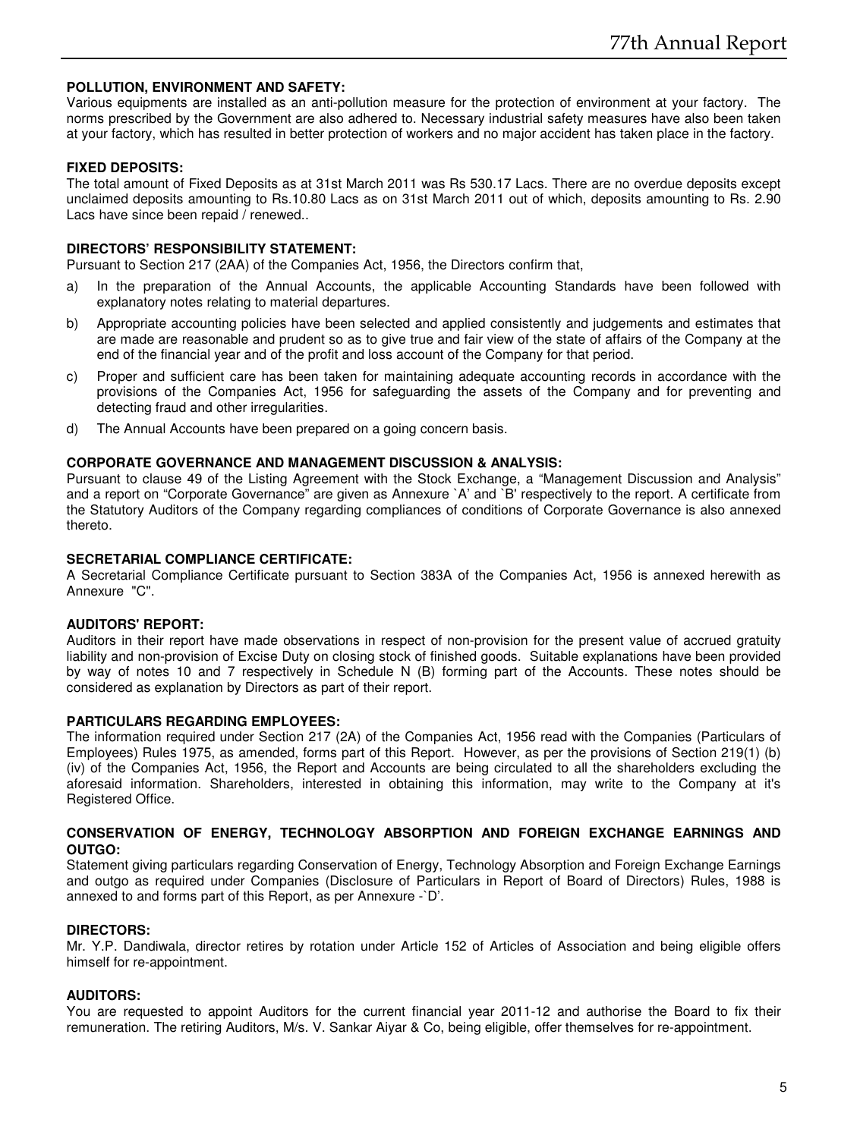# **POLLUTION, ENVIRONMENT AND SAFETY:**

Various equipments are installed as an anti-pollution measure for the protection of environment at your factory. The norms prescribed by the Government are also adhered to. Necessary industrial safety measures have also been taken at your factory, which has resulted in better protection of workers and no major accident has taken place in the factory.

# **FIXED DEPOSITS:**

The total amount of Fixed Deposits as at 31st March 2011 was Rs 530.17 Lacs. There are no overdue deposits except unclaimed deposits amounting to Rs.10.80 Lacs as on 31st March 2011 out of which, deposits amounting to Rs. 2.90 Lacs have since been repaid / renewed..

# **DIRECTORS' RESPONSIBILITY STATEMENT:**

Pursuant to Section 217 (2AA) of the Companies Act, 1956, the Directors confirm that,

- a) In the preparation of the Annual Accounts, the applicable Accounting Standards have been followed with explanatory notes relating to material departures.
- b) Appropriate accounting policies have been selected and applied consistently and judgements and estimates that are made are reasonable and prudent so as to give true and fair view of the state of affairs of the Company at the end of the financial year and of the profit and loss account of the Company for that period.
- c) Proper and sufficient care has been taken for maintaining adequate accounting records in accordance with the provisions of the Companies Act, 1956 for safeguarding the assets of the Company and for preventing and detecting fraud and other irregularities.
- d) The Annual Accounts have been prepared on a going concern basis.

#### **CORPORATE GOVERNANCE AND MANAGEMENT DISCUSSION & ANALYSIS:**

Pursuant to clause 49 of the Listing Agreement with the Stock Exchange, a "Management Discussion and Analysis" and a report on "Corporate Governance" are given as Annexure `A' and `B' respectively to the report. A certificate from the Statutory Auditors of the Company regarding compliances of conditions of Corporate Governance is also annexed thereto.

# **SECRETARIAL COMPLIANCE CERTIFICATE:**

A Secretarial Compliance Certificate pursuant to Section 383A of the Companies Act, 1956 is annexed herewith as Annexure "C".

# **AUDITORS' REPORT:**

Auditors in their report have made observations in respect of non-provision for the present value of accrued gratuity liability and non-provision of Excise Duty on closing stock of finished goods. Suitable explanations have been provided by way of notes 10 and 7 respectively in Schedule N (B) forming part of the Accounts. These notes should be considered as explanation by Directors as part of their report.

#### **PARTICULARS REGARDING EMPLOYEES:**

The information required under Section 217 (2A) of the Companies Act, 1956 read with the Companies (Particulars of Employees) Rules 1975, as amended, forms part of this Report. However, as per the provisions of Section 219(1) (b) (iv) of the Companies Act, 1956, the Report and Accounts are being circulated to all the shareholders excluding the aforesaid information. Shareholders, interested in obtaining this information, may write to the Company at it's Registered Office.

# **CONSERVATION OF ENERGY, TECHNOLOGY ABSORPTION AND FOREIGN EXCHANGE EARNINGS AND OUTGO:**

Statement giving particulars regarding Conservation of Energy, Technology Absorption and Foreign Exchange Earnings and outgo as required under Companies (Disclosure of Particulars in Report of Board of Directors) Rules, 1988 is annexed to and forms part of this Report, as per Annexure -`D'.

# **DIRECTORS:**

Mr. Y.P. Dandiwala, director retires by rotation under Article 152 of Articles of Association and being eligible offers himself for re-appointment.

# **AUDITORS:**

You are requested to appoint Auditors for the current financial year 2011-12 and authorise the Board to fix their remuneration. The retiring Auditors, M/s. V. Sankar Aiyar & Co, being eligible, offer themselves for re-appointment.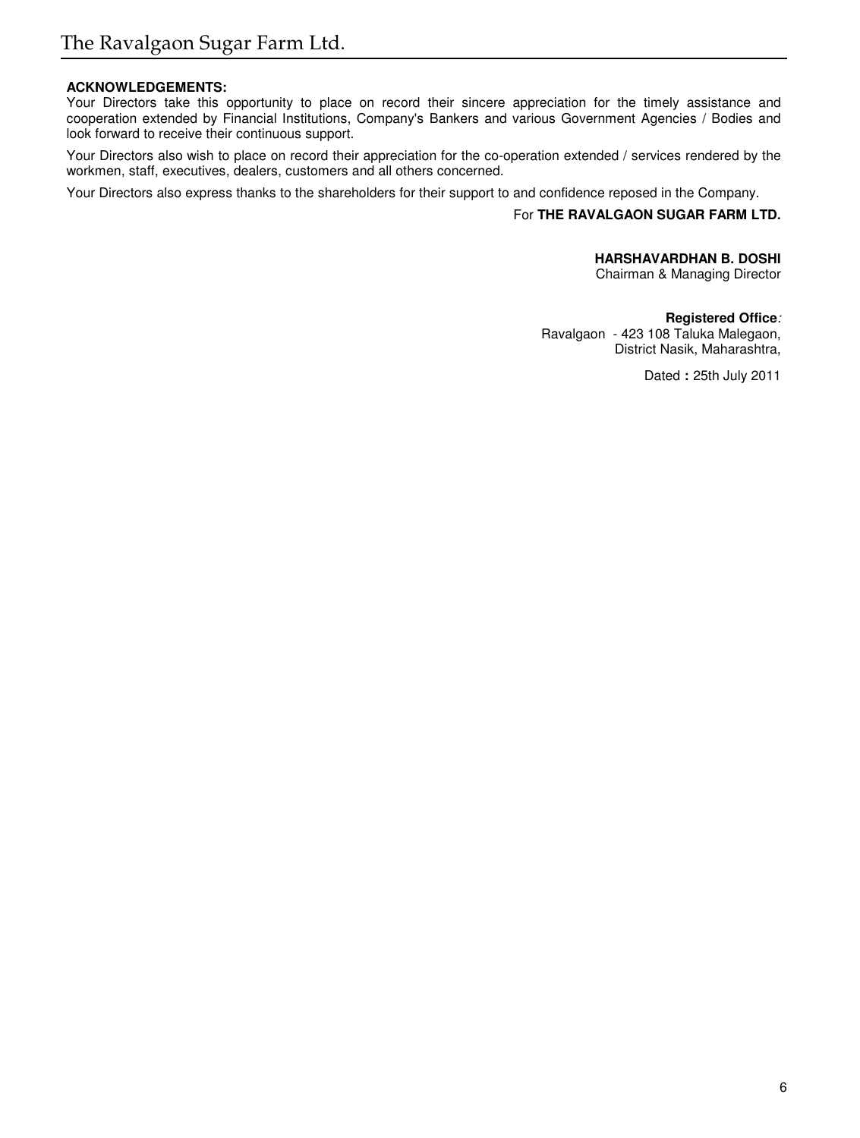# **ACKNOWLEDGEMENTS:**

Your Directors take this opportunity to place on record their sincere appreciation for the timely assistance and cooperation extended by Financial Institutions, Company's Bankers and various Government Agencies / Bodies and look forward to receive their continuous support.

Your Directors also wish to place on record their appreciation for the co-operation extended / services rendered by the workmen, staff, executives, dealers, customers and all others concerned.

Your Directors also express thanks to the shareholders for their support to and confidence reposed in the Company.

# For **THE RAVALGAON SUGAR FARM LTD.**

## **HARSHAVARDHAN B. DOSHI**

Chairman & Managing Director

**Registered Office**: Ravalgaon - 423 108 Taluka Malegaon, District Nasik, Maharashtra,

Dated **:** 25th July 2011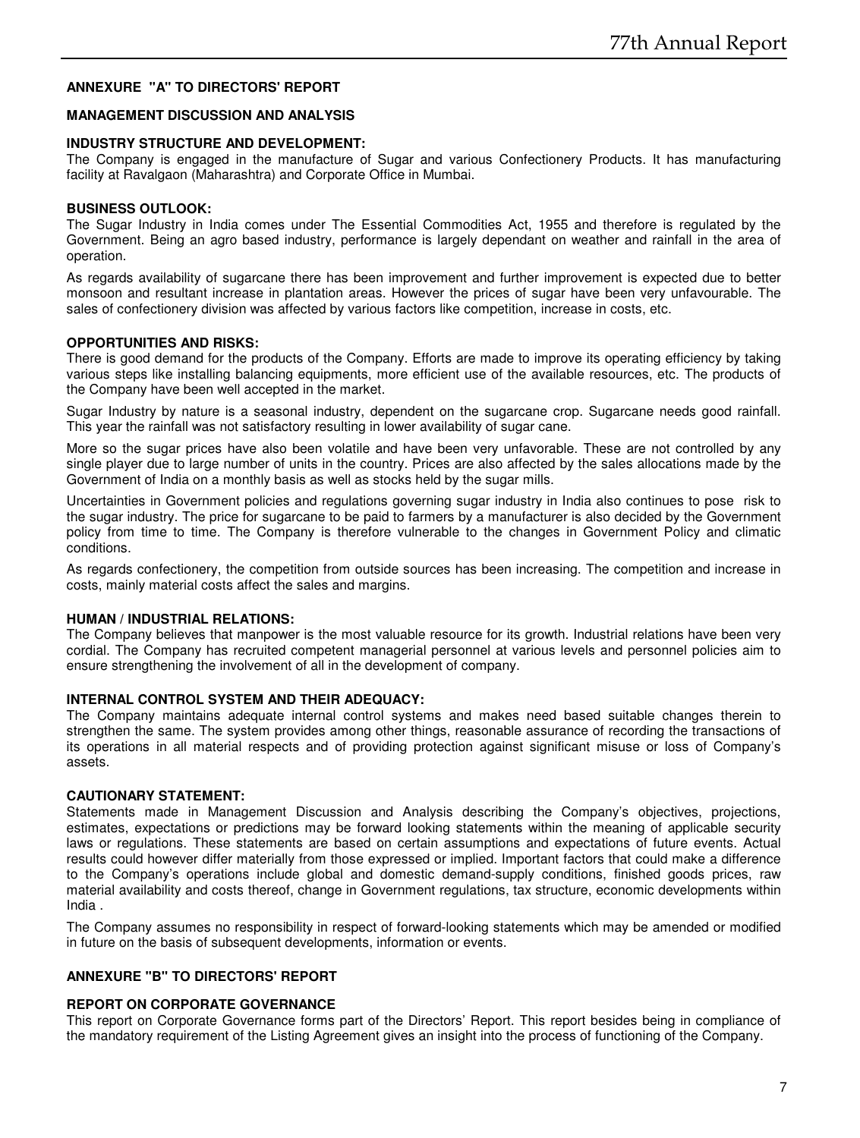# **ANNEXURE "A" TO DIRECTORS' REPORT**

# **MANAGEMENT DISCUSSION AND ANALYSIS**

# **INDUSTRY STRUCTURE AND DEVELOPMENT:**

The Company is engaged in the manufacture of Sugar and various Confectionery Products. It has manufacturing facility at Ravalgaon (Maharashtra) and Corporate Office in Mumbai.

# **BUSINESS OUTLOOK:**

The Sugar Industry in India comes under The Essential Commodities Act, 1955 and therefore is regulated by the Government. Being an agro based industry, performance is largely dependant on weather and rainfall in the area of operation.

As regards availability of sugarcane there has been improvement and further improvement is expected due to better monsoon and resultant increase in plantation areas. However the prices of sugar have been very unfavourable. The sales of confectionery division was affected by various factors like competition, increase in costs, etc.

# **OPPORTUNITIES AND RISKS:**

There is good demand for the products of the Company. Efforts are made to improve its operating efficiency by taking various steps like installing balancing equipments, more efficient use of the available resources, etc. The products of the Company have been well accepted in the market.

Sugar Industry by nature is a seasonal industry, dependent on the sugarcane crop. Sugarcane needs good rainfall. This year the rainfall was not satisfactory resulting in lower availability of sugar cane.

More so the sugar prices have also been volatile and have been very unfavorable. These are not controlled by any single player due to large number of units in the country. Prices are also affected by the sales allocations made by the Government of India on a monthly basis as well as stocks held by the sugar mills.

Uncertainties in Government policies and regulations governing sugar industry in India also continues to pose risk to the sugar industry. The price for sugarcane to be paid to farmers by a manufacturer is also decided by the Government policy from time to time. The Company is therefore vulnerable to the changes in Government Policy and climatic conditions.

As regards confectionery, the competition from outside sources has been increasing. The competition and increase in costs, mainly material costs affect the sales and margins.

#### **HUMAN / INDUSTRIAL RELATIONS:**

The Company believes that manpower is the most valuable resource for its growth. Industrial relations have been very cordial. The Company has recruited competent managerial personnel at various levels and personnel policies aim to ensure strengthening the involvement of all in the development of company.

# **INTERNAL CONTROL SYSTEM AND THEIR ADEQUACY:**

The Company maintains adequate internal control systems and makes need based suitable changes therein to strengthen the same. The system provides among other things, reasonable assurance of recording the transactions of its operations in all material respects and of providing protection against significant misuse or loss of Company's assets.

#### **CAUTIONARY STATEMENT:**

Statements made in Management Discussion and Analysis describing the Company's objectives, projections, estimates, expectations or predictions may be forward looking statements within the meaning of applicable security laws or regulations. These statements are based on certain assumptions and expectations of future events. Actual results could however differ materially from those expressed or implied. Important factors that could make a difference to the Company's operations include global and domestic demand-supply conditions, finished goods prices, raw material availability and costs thereof, change in Government regulations, tax structure, economic developments within India .

The Company assumes no responsibility in respect of forward-looking statements which may be amended or modified in future on the basis of subsequent developments, information or events.

# **ANNEXURE "B" TO DIRECTORS' REPORT**

# **REPORT ON CORPORATE GOVERNANCE**

This report on Corporate Governance forms part of the Directors' Report. This report besides being in compliance of the mandatory requirement of the Listing Agreement gives an insight into the process of functioning of the Company.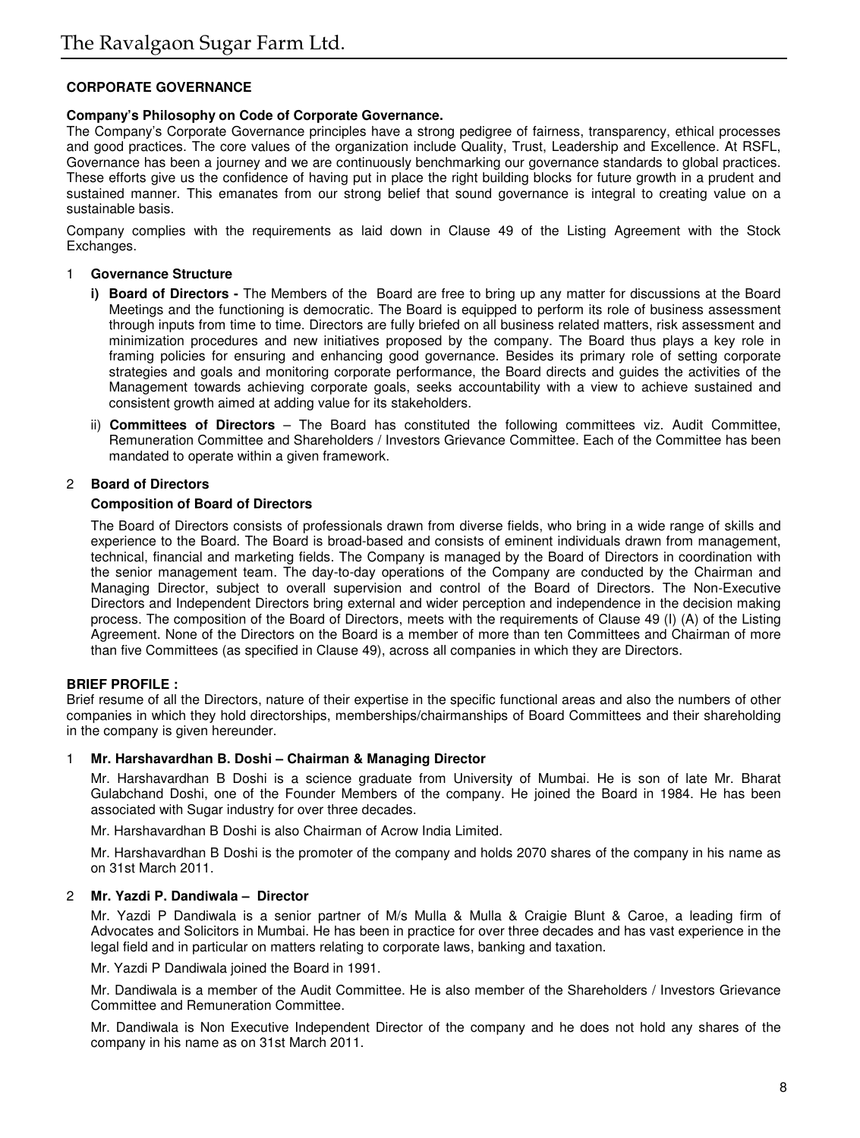# **CORPORATE GOVERNANCE**

# **Company's Philosophy on Code of Corporate Governance.**

The Company's Corporate Governance principles have a strong pedigree of fairness, transparency, ethical processes and good practices. The core values of the organization include Quality, Trust, Leadership and Excellence. At RSFL, Governance has been a journey and we are continuously benchmarking our governance standards to global practices. These efforts give us the confidence of having put in place the right building blocks for future growth in a prudent and sustained manner. This emanates from our strong belief that sound governance is integral to creating value on a sustainable basis.

Company complies with the requirements as laid down in Clause 49 of the Listing Agreement with the Stock Exchanges.

#### 1 **Governance Structure**

- **i) Board of Directors -** The Members of the Board are free to bring up any matter for discussions at the Board Meetings and the functioning is democratic. The Board is equipped to perform its role of business assessment through inputs from time to time. Directors are fully briefed on all business related matters, risk assessment and minimization procedures and new initiatives proposed by the company. The Board thus plays a key role in framing policies for ensuring and enhancing good governance. Besides its primary role of setting corporate strategies and goals and monitoring corporate performance, the Board directs and guides the activities of the Management towards achieving corporate goals, seeks accountability with a view to achieve sustained and consistent growth aimed at adding value for its stakeholders.
- ii) **Committees of Directors** The Board has constituted the following committees viz. Audit Committee, Remuneration Committee and Shareholders / Investors Grievance Committee. Each of the Committee has been mandated to operate within a given framework.

# 2 **Board of Directors**

# **Composition of Board of Directors**

The Board of Directors consists of professionals drawn from diverse fields, who bring in a wide range of skills and experience to the Board. The Board is broad-based and consists of eminent individuals drawn from management, technical, financial and marketing fields. The Company is managed by the Board of Directors in coordination with the senior management team. The day-to-day operations of the Company are conducted by the Chairman and Managing Director, subject to overall supervision and control of the Board of Directors. The Non-Executive Directors and Independent Directors bring external and wider perception and independence in the decision making process. The composition of the Board of Directors, meets with the requirements of Clause 49 (I) (A) of the Listing Agreement. None of the Directors on the Board is a member of more than ten Committees and Chairman of more than five Committees (as specified in Clause 49), across all companies in which they are Directors.

#### **BRIEF PROFILE :**

Brief resume of all the Directors, nature of their expertise in the specific functional areas and also the numbers of other companies in which they hold directorships, memberships/chairmanships of Board Committees and their shareholding in the company is given hereunder.

# 1 **Mr. Harshavardhan B. Doshi – Chairman & Managing Director**

Mr. Harshavardhan B Doshi is a science graduate from University of Mumbai. He is son of late Mr. Bharat Gulabchand Doshi, one of the Founder Members of the company. He joined the Board in 1984. He has been associated with Sugar industry for over three decades.

Mr. Harshavardhan B Doshi is also Chairman of Acrow India Limited.

Mr. Harshavardhan B Doshi is the promoter of the company and holds 2070 shares of the company in his name as on 31st March 2011.

# 2 **Mr. Yazdi P. Dandiwala – Director**

Mr. Yazdi P Dandiwala is a senior partner of M/s Mulla & Mulla & Craigie Blunt & Caroe, a leading firm of Advocates and Solicitors in Mumbai. He has been in practice for over three decades and has vast experience in the legal field and in particular on matters relating to corporate laws, banking and taxation.

Mr. Yazdi P Dandiwala joined the Board in 1991.

Mr. Dandiwala is a member of the Audit Committee. He is also member of the Shareholders / Investors Grievance Committee and Remuneration Committee.

Mr. Dandiwala is Non Executive Independent Director of the company and he does not hold any shares of the company in his name as on 31st March 2011.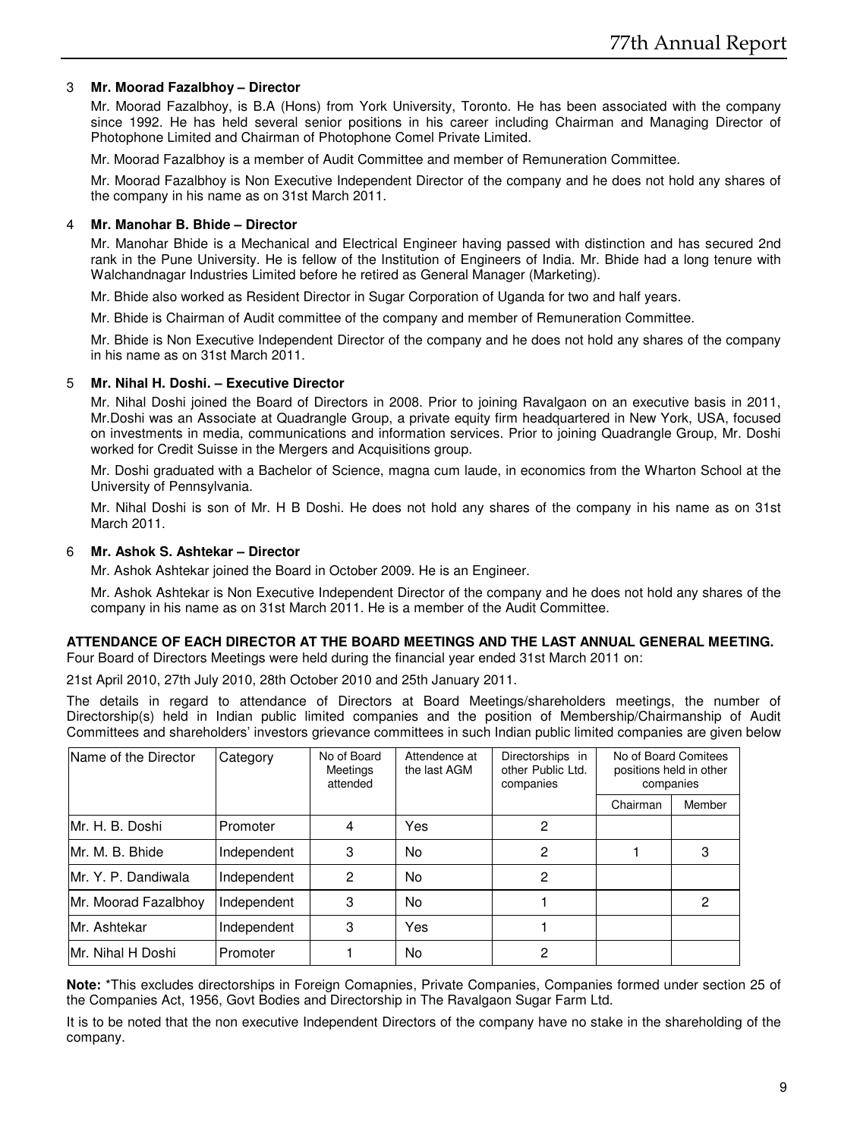# 3 **Mr. Moorad Fazalbhoy – Director**

Mr. Moorad Fazalbhoy, is B.A (Hons) from York University, Toronto. He has been associated with the company since 1992. He has held several senior positions in his career including Chairman and Managing Director of Photophone Limited and Chairman of Photophone Comel Private Limited.

Mr. Moorad Fazalbhoy is a member of Audit Committee and member of Remuneration Committee.

Mr. Moorad Fazalbhoy is Non Executive Independent Director of the company and he does not hold any shares of the company in his name as on 31st March 2011.

# 4 **Mr. Manohar B. Bhide – Director**

Mr. Manohar Bhide is a Mechanical and Electrical Engineer having passed with distinction and has secured 2nd rank in the Pune University. He is fellow of the Institution of Engineers of India. Mr. Bhide had a long tenure with Walchandnagar Industries Limited before he retired as General Manager (Marketing).

Mr. Bhide also worked as Resident Director in Sugar Corporation of Uganda for two and half years.

Mr. Bhide is Chairman of Audit committee of the company and member of Remuneration Committee.

Mr. Bhide is Non Executive Independent Director of the company and he does not hold any shares of the company in his name as on 31st March 2011.

# 5 **Mr. Nihal H. Doshi. – Executive Director**

Mr. Nihal Doshi joined the Board of Directors in 2008. Prior to joining Ravalgaon on an executive basis in 2011, Mr.Doshi was an Associate at Quadrangle Group, a private equity firm headquartered in New York, USA, focused on investments in media, communications and information services. Prior to joining Quadrangle Group, Mr. Doshi worked for Credit Suisse in the Mergers and Acquisitions group.

Mr. Doshi graduated with a Bachelor of Science, magna cum laude, in economics from the Wharton School at the University of Pennsylvania.

Mr. Nihal Doshi is son of Mr. H B Doshi. He does not hold any shares of the company in his name as on 31st March 2011.

# 6 **Mr. Ashok S. Ashtekar – Director**

Mr. Ashok Ashtekar joined the Board in October 2009. He is an Engineer.

Mr. Ashok Ashtekar is Non Executive Independent Director of the company and he does not hold any shares of the company in his name as on 31st March 2011. He is a member of the Audit Committee.

# **ATTENDANCE OF EACH DIRECTOR AT THE BOARD MEETINGS AND THE LAST ANNUAL GENERAL MEETING.**

Four Board of Directors Meetings were held during the financial year ended 31st March 2011 on:

21st April 2010, 27th July 2010, 28th October 2010 and 25th January 2011.

The details in regard to attendance of Directors at Board Meetings/shareholders meetings, the number of Directorship(s) held in Indian public limited companies and the position of Membership/Chairmanship of Audit Committees and shareholders' investors grievance committees in such Indian public limited companies are given below

| Name of the Director | Category    | No of Board<br>Meetings<br>attended | Attendence at<br>the last AGM | Directorships in<br>other Public Ltd.<br>companies | No of Board Comitees<br>positions held in other<br>companies |        |
|----------------------|-------------|-------------------------------------|-------------------------------|----------------------------------------------------|--------------------------------------------------------------|--------|
|                      |             |                                     |                               |                                                    | Chairman                                                     | Member |
| Mr. H. B. Doshi      | Promoter    | 4                                   | Yes                           | 2                                                  |                                                              |        |
| Mr. M. B. Bhide      | Independent | 3                                   | No                            |                                                    |                                                              | 3      |
| Mr. Y. P. Dandiwala  | Independent | 2                                   | No                            | 2                                                  |                                                              |        |
| Mr. Moorad Fazalbhoy | Independent | 3                                   | No                            |                                                    |                                                              | 2      |
| Mr. Ashtekar         | Independent | 3                                   | Yes                           |                                                    |                                                              |        |
| Mr. Nihal H Doshi    | Promoter    |                                     | No                            | 2                                                  |                                                              |        |

**Note:** \*This excludes directorships in Foreign Comapnies, Private Companies, Companies formed under section 25 of the Companies Act, 1956, Govt Bodies and Directorship in The Ravalgaon Sugar Farm Ltd.

It is to be noted that the non executive Independent Directors of the company have no stake in the shareholding of the company.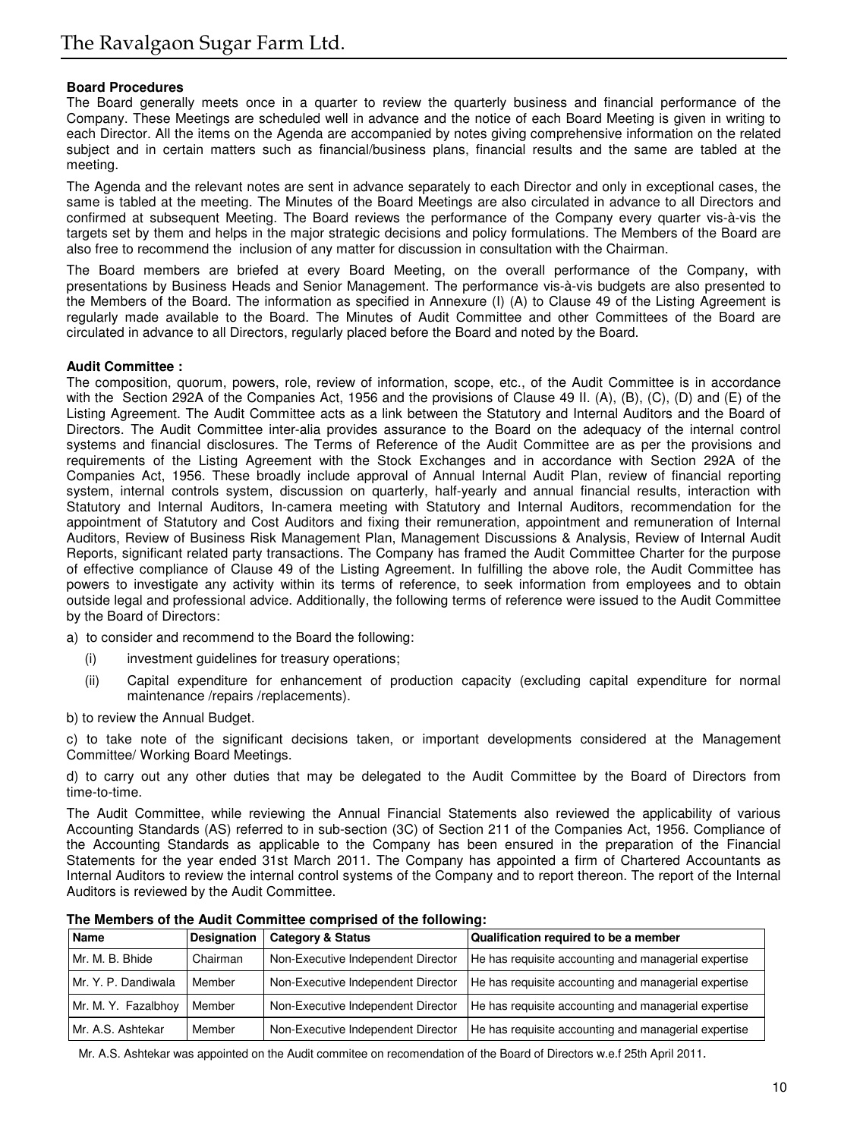# **Board Procedures**

The Board generally meets once in a quarter to review the quarterly business and financial performance of the Company. These Meetings are scheduled well in advance and the notice of each Board Meeting is given in writing to each Director. All the items on the Agenda are accompanied by notes giving comprehensive information on the related subject and in certain matters such as financial/business plans, financial results and the same are tabled at the meeting.

The Agenda and the relevant notes are sent in advance separately to each Director and only in exceptional cases, the same is tabled at the meeting. The Minutes of the Board Meetings are also circulated in advance to all Directors and confirmed at subsequent Meeting. The Board reviews the performance of the Company every quarter vis-à-vis the targets set by them and helps in the major strategic decisions and policy formulations. The Members of the Board are also free to recommend the inclusion of any matter for discussion in consultation with the Chairman.

The Board members are briefed at every Board Meeting, on the overall performance of the Company, with presentations by Business Heads and Senior Management. The performance vis-à-vis budgets are also presented to the Members of the Board. The information as specified in Annexure (I) (A) to Clause 49 of the Listing Agreement is regularly made available to the Board. The Minutes of Audit Committee and other Committees of the Board are circulated in advance to all Directors, regularly placed before the Board and noted by the Board.

# **Audit Committee :**

The composition, quorum, powers, role, review of information, scope, etc., of the Audit Committee is in accordance with the Section 292A of the Companies Act, 1956 and the provisions of Clause 49 II. (A), (B), (C), (D) and (E) of the Listing Agreement. The Audit Committee acts as a link between the Statutory and Internal Auditors and the Board of Directors. The Audit Committee inter-alia provides assurance to the Board on the adequacy of the internal control systems and financial disclosures. The Terms of Reference of the Audit Committee are as per the provisions and requirements of the Listing Agreement with the Stock Exchanges and in accordance with Section 292A of the Companies Act, 1956. These broadly include approval of Annual Internal Audit Plan, review of financial reporting system, internal controls system, discussion on quarterly, half-yearly and annual financial results, interaction with Statutory and Internal Auditors, In-camera meeting with Statutory and Internal Auditors, recommendation for the appointment of Statutory and Cost Auditors and fixing their remuneration, appointment and remuneration of Internal Auditors, Review of Business Risk Management Plan, Management Discussions & Analysis, Review of Internal Audit Reports, significant related party transactions. The Company has framed the Audit Committee Charter for the purpose of effective compliance of Clause 49 of the Listing Agreement. In fulfilling the above role, the Audit Committee has powers to investigate any activity within its terms of reference, to seek information from employees and to obtain outside legal and professional advice. Additionally, the following terms of reference were issued to the Audit Committee by the Board of Directors:

a) to consider and recommend to the Board the following:

- (i) investment guidelines for treasury operations;
- (ii) Capital expenditure for enhancement of production capacity (excluding capital expenditure for normal maintenance /repairs /replacements).

b) to review the Annual Budget.

c) to take note of the significant decisions taken, or important developments considered at the Management Committee/ Working Board Meetings.

d) to carry out any other duties that may be delegated to the Audit Committee by the Board of Directors from time-to-time.

The Audit Committee, while reviewing the Annual Financial Statements also reviewed the applicability of various Accounting Standards (AS) referred to in sub-section (3C) of Section 211 of the Companies Act, 1956. Compliance of the Accounting Standards as applicable to the Company has been ensured in the preparation of the Financial Statements for the year ended 31st March 2011. The Company has appointed a firm of Chartered Accountants as Internal Auditors to review the internal control systems of the Company and to report thereon. The report of the Internal Auditors is reviewed by the Audit Committee.

| Name                | <b>Designation</b> | <b>Category &amp; Status</b>       | Qualification required to be a member                |
|---------------------|--------------------|------------------------------------|------------------------------------------------------|
| Mr. M. B. Bhide     | Chairman           | Non-Executive Independent Director | He has requisite accounting and managerial expertise |
| Mr. Y. P. Dandiwala | Member             | Non-Executive Independent Director | He has requisite accounting and managerial expertise |
| Mr. M. Y. Fazalbhoy | Member             | Non-Executive Independent Director | He has requisite accounting and managerial expertise |
| Mr. A.S. Ashtekar   | Member             | Non-Executive Independent Director | He has requisite accounting and managerial expertise |

**The Members of the Audit Committee comprised of the following:**

Mr. A.S. Ashtekar was appointed on the Audit commitee on recomendation of the Board of Directors w.e.f 25th April 2011.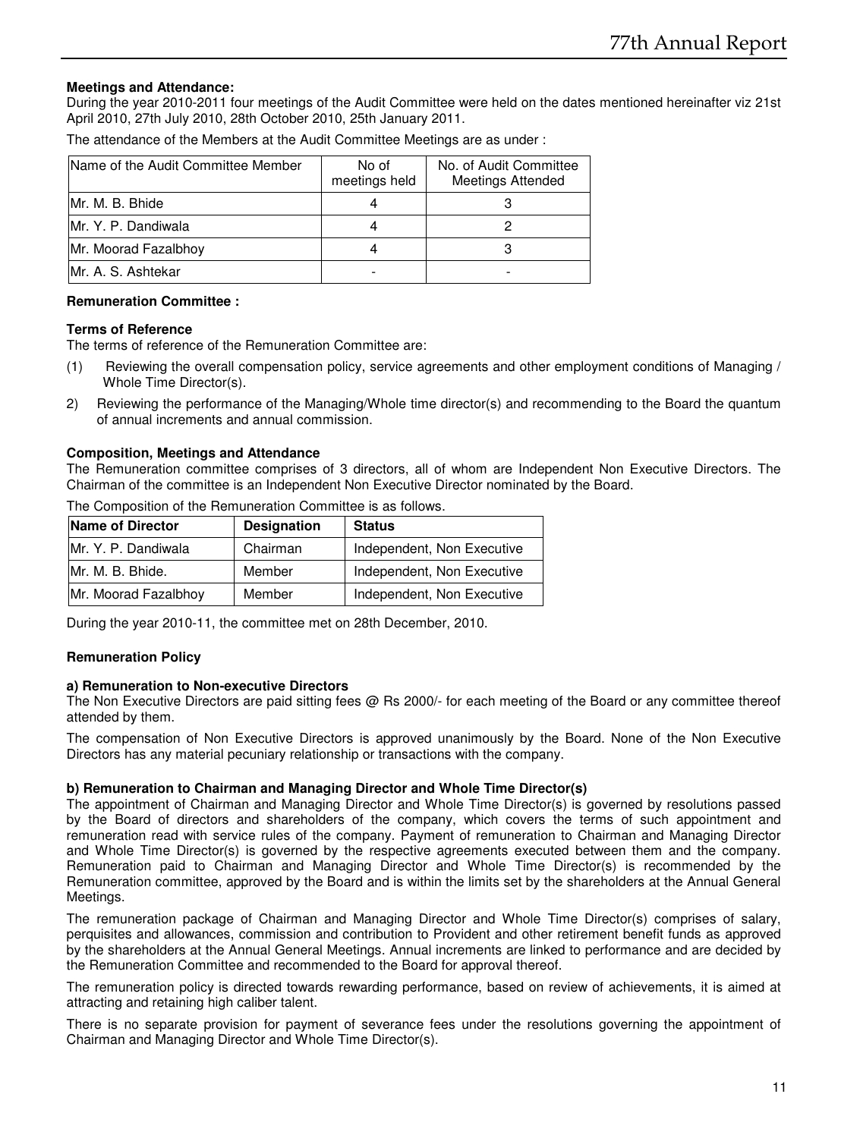# **Meetings and Attendance:**

During the year 2010-2011 four meetings of the Audit Committee were held on the dates mentioned hereinafter viz 21st April 2010, 27th July 2010, 28th October 2010, 25th January 2011.

The attendance of the Members at the Audit Committee Meetings are as under :

| IName of the Audit Committee Member | No of<br>meetings held | No. of Audit Committee<br><b>Meetings Attended</b> |
|-------------------------------------|------------------------|----------------------------------------------------|
| Mr. M. B. Bhide                     |                        |                                                    |
| Mr. Y. P. Dandiwala                 |                        |                                                    |
| Mr. Moorad Fazalbhoy                |                        |                                                    |
| Mr. A. S. Ashtekar                  |                        |                                                    |

# **Remuneration Committee :**

# **Terms of Reference**

The terms of reference of the Remuneration Committee are:

- (1) Reviewing the overall compensation policy, service agreements and other employment conditions of Managing / Whole Time Director(s).
- 2) Reviewing the performance of the Managing/Whole time director(s) and recommending to the Board the quantum of annual increments and annual commission.

# **Composition, Meetings and Attendance**

The Remuneration committee comprises of 3 directors, all of whom are Independent Non Executive Directors. The Chairman of the committee is an Independent Non Executive Director nominated by the Board.

| Name of Director     | <b>Designation</b> | <b>Status</b>              |
|----------------------|--------------------|----------------------------|
| Mr. Y. P. Dandiwala  | Chairman           | Independent, Non Executive |
| Mr. M. B. Bhide.     | Member             | Independent, Non Executive |
| Mr. Moorad Fazalbhov | Member             | Independent, Non Executive |

The Composition of the Remuneration Committee is as follows.

During the year 2010-11, the committee met on 28th December, 2010.

# **Remuneration Policy**

#### **a) Remuneration to Non-executive Directors**

The Non Executive Directors are paid sitting fees @ Rs 2000/- for each meeting of the Board or any committee thereof attended by them.

The compensation of Non Executive Directors is approved unanimously by the Board. None of the Non Executive Directors has any material pecuniary relationship or transactions with the company.

# **b) Remuneration to Chairman and Managing Director and Whole Time Director(s)**

The appointment of Chairman and Managing Director and Whole Time Director(s) is governed by resolutions passed by the Board of directors and shareholders of the company, which covers the terms of such appointment and remuneration read with service rules of the company. Payment of remuneration to Chairman and Managing Director and Whole Time Director(s) is governed by the respective agreements executed between them and the company. Remuneration paid to Chairman and Managing Director and Whole Time Director(s) is recommended by the Remuneration committee, approved by the Board and is within the limits set by the shareholders at the Annual General Meetings.

The remuneration package of Chairman and Managing Director and Whole Time Director(s) comprises of salary, perquisites and allowances, commission and contribution to Provident and other retirement benefit funds as approved by the shareholders at the Annual General Meetings. Annual increments are linked to performance and are decided by the Remuneration Committee and recommended to the Board for approval thereof.

The remuneration policy is directed towards rewarding performance, based on review of achievements, it is aimed at attracting and retaining high caliber talent.

There is no separate provision for payment of severance fees under the resolutions governing the appointment of Chairman and Managing Director and Whole Time Director(s).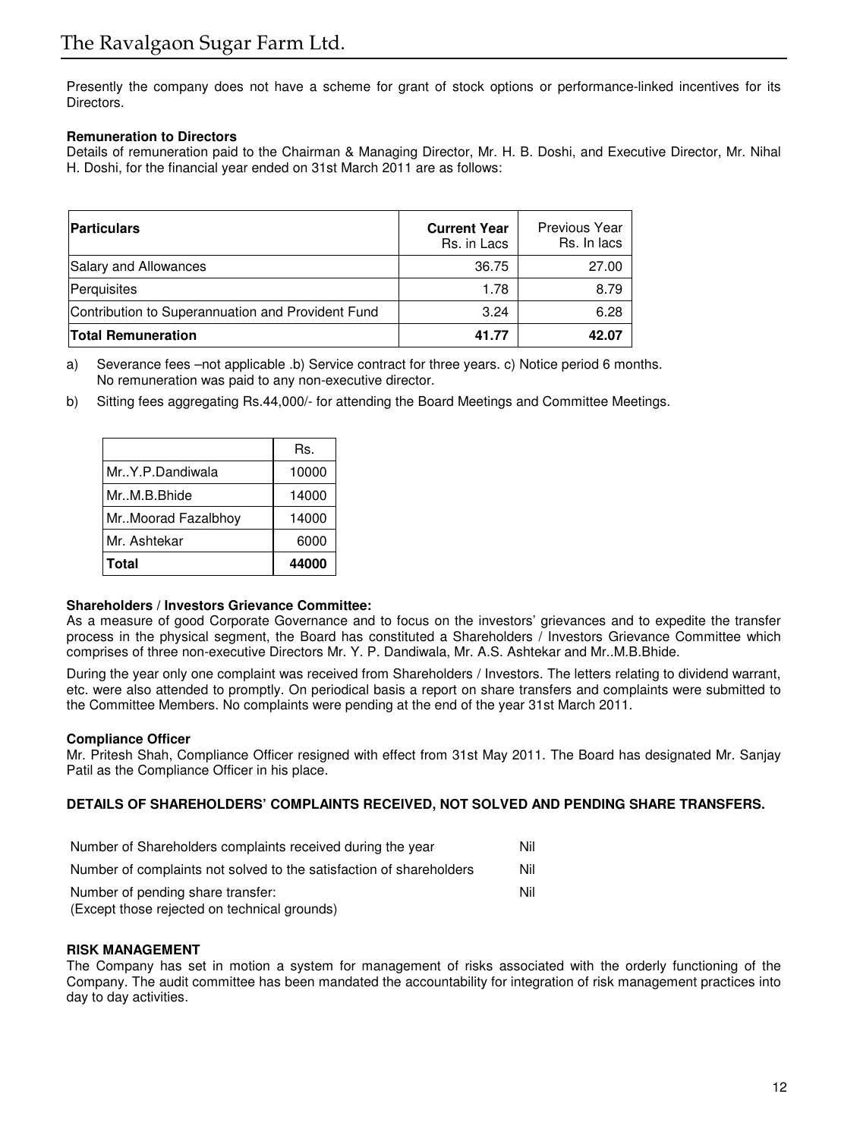Presently the company does not have a scheme for grant of stock options or performance-linked incentives for its Directors.

# **Remuneration to Directors**

Details of remuneration paid to the Chairman & Managing Director, Mr. H. B. Doshi, and Executive Director, Mr. Nihal H. Doshi, for the financial year ended on 31st March 2011 are as follows:

| <b>Particulars</b>                                | <b>Current Year</b><br>Rs. in Lacs | Previous Year<br>Rs. In lacs |
|---------------------------------------------------|------------------------------------|------------------------------|
| Salary and Allowances                             | 36.75                              | 27.00                        |
| Perquisites                                       | 1.78                               | 8.79                         |
| Contribution to Superannuation and Provident Fund | 3.24                               | 6.28                         |
| <b>Total Remuneration</b>                         | 41.77                              | 42.07                        |

a) Severance fees –not applicable .b) Service contract for three years. c) Notice period 6 months. No remuneration was paid to any non-executive director.

b) Sitting fees aggregating Rs.44,000/- for attending the Board Meetings and Committee Meetings.

|                      | Rs.   |
|----------------------|-------|
| Mr. Y.P.Dandiwala    | 10000 |
| Mr., M.B. Bhide      | 14000 |
| Mr. Moorad Fazalbhov | 14000 |
| Mr. Ashtekar         | 6000  |
| <b>Total</b>         | 44000 |

# **Shareholders / Investors Grievance Committee:**

As a measure of good Corporate Governance and to focus on the investors' grievances and to expedite the transfer process in the physical segment, the Board has constituted a Shareholders / Investors Grievance Committee which comprises of three non-executive Directors Mr. Y. P. Dandiwala, Mr. A.S. Ashtekar and Mr..M.B.Bhide.

During the year only one complaint was received from Shareholders / Investors. The letters relating to dividend warrant, etc. were also attended to promptly. On periodical basis a report on share transfers and complaints were submitted to the Committee Members. No complaints were pending at the end of the year 31st March 2011.

# **Compliance Officer**

Mr. Pritesh Shah, Compliance Officer resigned with effect from 31st May 2011. The Board has designated Mr. Sanjay Patil as the Compliance Officer in his place.

# **DETAILS OF SHAREHOLDERS' COMPLAINTS RECEIVED, NOT SOLVED AND PENDING SHARE TRANSFERS.**

| Number of Shareholders complaints received during the year          | Nil |
|---------------------------------------------------------------------|-----|
| Number of complaints not solved to the satisfaction of shareholders | Nil |
| Number of pending share transfer:                                   | Nil |
| (Except those rejected on technical grounds)                        |     |

#### **RISK MANAGEMENT**

The Company has set in motion a system for management of risks associated with the orderly functioning of the Company. The audit committee has been mandated the accountability for integration of risk management practices into day to day activities.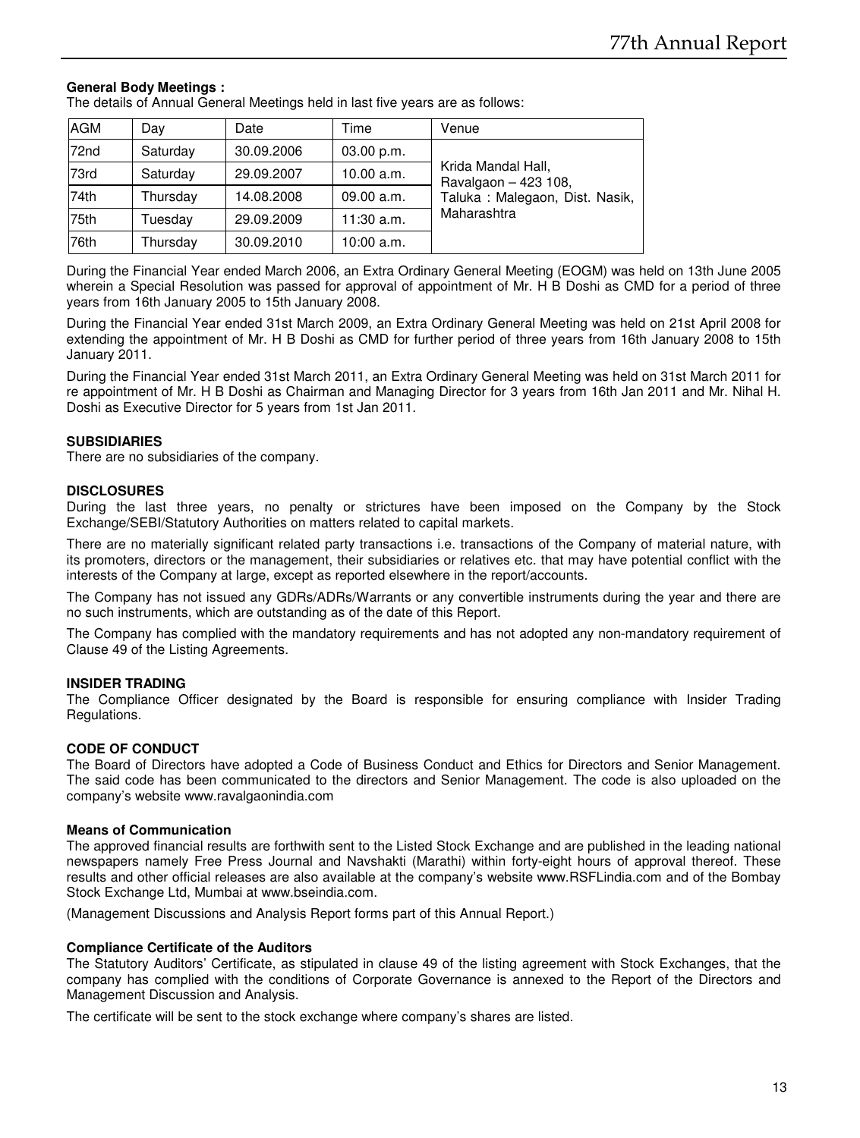# **General Body Meetings :**

The details of Annual General Meetings held in last five years are as follows:

| <b>AGM</b> | Day      | Date       | Time         | Venue                                      |
|------------|----------|------------|--------------|--------------------------------------------|
| 72nd       | Saturday | 30.09.2006 | 03.00 p.m.   |                                            |
| 73rd       | Saturday | 29.09.2007 | 10.00 a.m.   | Krida Mandal Hall,<br>Ravalgaon - 423 108, |
| 74th       | Thursday | 14.08.2008 | 09.00 a.m.   | Taluka: Malegaon, Dist. Nasik,             |
| 75th       | Tuesdav  | 29.09.2009 | $11:30$ a.m. | Maharashtra                                |
| 76th       | Thursday | 30.09.2010 | 10:00 a.m.   |                                            |

During the Financial Year ended March 2006, an Extra Ordinary General Meeting (EOGM) was held on 13th June 2005 wherein a Special Resolution was passed for approval of appointment of Mr. H B Doshi as CMD for a period of three years from 16th January 2005 to 15th January 2008.

During the Financial Year ended 31st March 2009, an Extra Ordinary General Meeting was held on 21st April 2008 for extending the appointment of Mr. H B Doshi as CMD for further period of three years from 16th January 2008 to 15th January 2011.

During the Financial Year ended 31st March 2011, an Extra Ordinary General Meeting was held on 31st March 2011 for re appointment of Mr. H B Doshi as Chairman and Managing Director for 3 years from 16th Jan 2011 and Mr. Nihal H. Doshi as Executive Director for 5 years from 1st Jan 2011.

# **SUBSIDIARIES**

There are no subsidiaries of the company.

# **DISCLOSURES**

During the last three years, no penalty or strictures have been imposed on the Company by the Stock Exchange/SEBI/Statutory Authorities on matters related to capital markets.

There are no materially significant related party transactions i.e. transactions of the Company of material nature, with its promoters, directors or the management, their subsidiaries or relatives etc. that may have potential conflict with the interests of the Company at large, except as reported elsewhere in the report/accounts.

The Company has not issued any GDRs/ADRs/Warrants or any convertible instruments during the year and there are no such instruments, which are outstanding as of the date of this Report.

The Company has complied with the mandatory requirements and has not adopted any non-mandatory requirement of Clause 49 of the Listing Agreements.

# **INSIDER TRADING**

The Compliance Officer designated by the Board is responsible for ensuring compliance with Insider Trading Regulations.

# **CODE OF CONDUCT**

The Board of Directors have adopted a Code of Business Conduct and Ethics for Directors and Senior Management. The said code has been communicated to the directors and Senior Management. The code is also uploaded on the company's website www.ravalgaonindia.com

#### **Means of Communication**

The approved financial results are forthwith sent to the Listed Stock Exchange and are published in the leading national newspapers namely Free Press Journal and Navshakti (Marathi) within forty-eight hours of approval thereof. These results and other official releases are also available at the company's website www.RSFLindia.com and of the Bombay Stock Exchange Ltd, Mumbai at www.bseindia.com.

(Management Discussions and Analysis Report forms part of this Annual Report.)

#### **Compliance Certificate of the Auditors**

The Statutory Auditors' Certificate, as stipulated in clause 49 of the listing agreement with Stock Exchanges, that the company has complied with the conditions of Corporate Governance is annexed to the Report of the Directors and Management Discussion and Analysis.

The certificate will be sent to the stock exchange where company's shares are listed.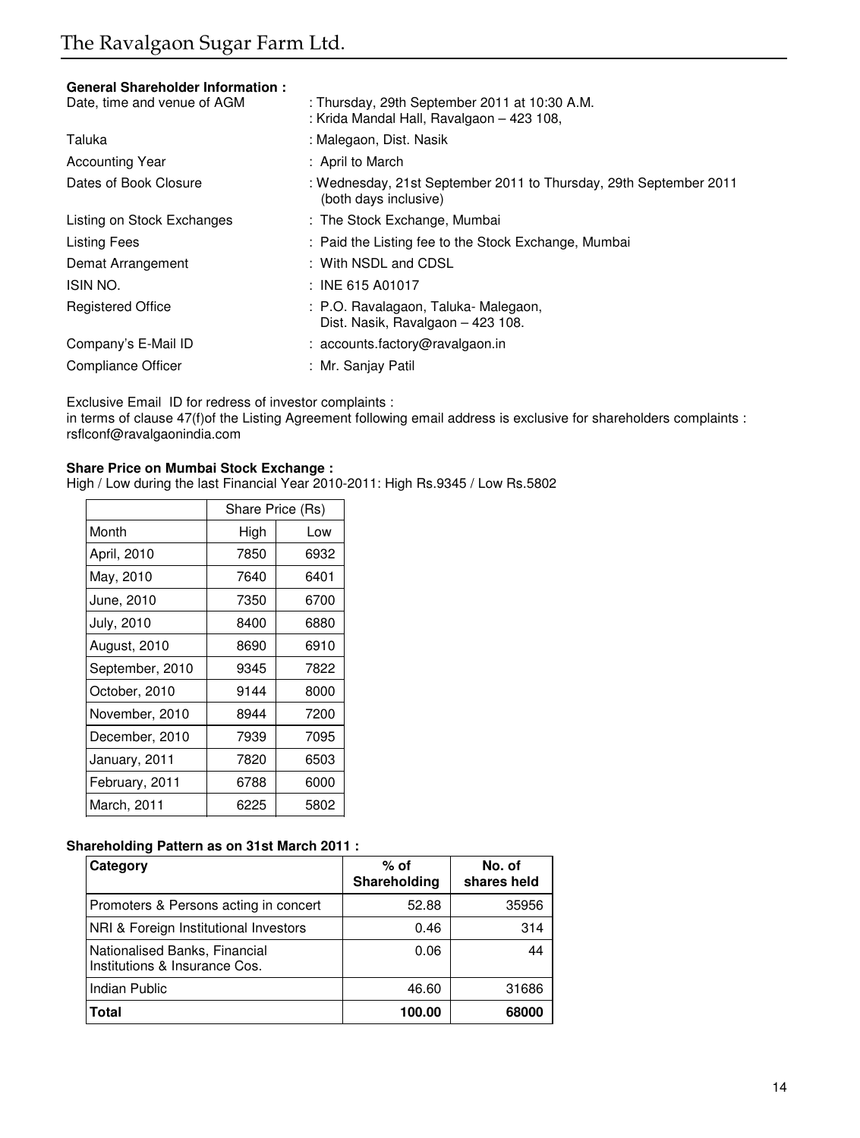# **General Shareholder Information :**

| Date, time and venue of AGM | : Thursday, 29th September 2011 at 10:30 A.M.<br>: Krida Mandal Hall, Ravalgaon - 423 108, |
|-----------------------------|--------------------------------------------------------------------------------------------|
| Taluka                      | : Malegaon, Dist. Nasik                                                                    |
| <b>Accounting Year</b>      | : April to March                                                                           |
| Dates of Book Closure       | : Wednesday, 21st September 2011 to Thursday, 29th September 2011<br>(both days inclusive) |
| Listing on Stock Exchanges  | : The Stock Exchange, Mumbai                                                               |
| Listing Fees                | : Paid the Listing fee to the Stock Exchange, Mumbai                                       |
| Demat Arrangement           | : With NSDL and CDSL                                                                       |
| ISIN NO.                    | $:$ INE 615 A01017                                                                         |
| <b>Registered Office</b>    | : P.O. Ravalagaon, Taluka-Malegaon,<br>Dist. Nasik, Ravalgaon - 423 108.                   |
| Company's E-Mail ID         | : accounts.factory@ravalgaon.in                                                            |
| Compliance Officer          | : Mr. Sanjay Patil                                                                         |
|                             |                                                                                            |

Exclusive Email ID for redress of investor complaints :

in terms of clause 47(f)of the Listing Agreement following email address is exclusive for shareholders complaints : rsflconf@ravalgaonindia.com

# **Share Price on Mumbai Stock Exchange :**

High / Low during the last Financial Year 2010-2011: High Rs.9345 / Low Rs.5802

|                 | Share Price (Rs) |      |
|-----------------|------------------|------|
| Month           | High             | Low  |
| April, 2010     | 7850             | 6932 |
| May, 2010       | 7640             | 6401 |
| June, 2010      | 7350             | 6700 |
| July, 2010      | 8400             | 6880 |
| August, 2010    | 8690             | 6910 |
| September, 2010 | 9345             | 7822 |
| October, 2010   | 9144             | 8000 |
| November, 2010  | 8944             | 7200 |
| December, 2010  | 7939             | 7095 |
| January, 2011   | 7820             | 6503 |
| February, 2011  | 6788             | 6000 |
| March, 2011     | 6225             | 5802 |

# **Shareholding Pattern as on 31st March 2011 :**

| Category                                                       | % of<br>Shareholding | No. of<br>shares held |
|----------------------------------------------------------------|----------------------|-----------------------|
| Promoters & Persons acting in concert                          | 52.88                | 35956                 |
| NRI & Foreign Institutional Investors                          | 0.46                 | 314                   |
| Nationalised Banks, Financial<br>Institutions & Insurance Cos. | 0.06                 | 44                    |
| <b>Indian Public</b>                                           | 46.60                | 31686                 |
| <b>Total</b>                                                   | 100.00               | 68000                 |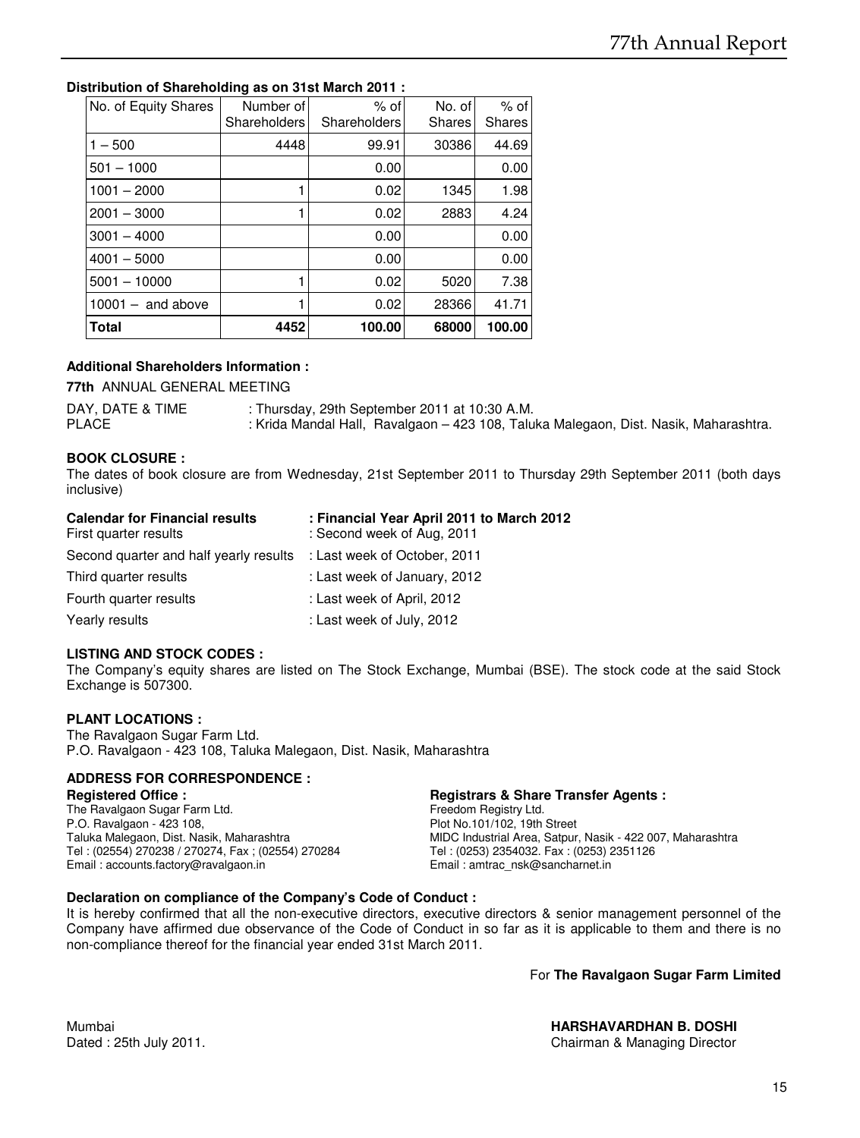# **Distribution of Shareholding as on 31st March 2011 :**

| No. of Equity Shares | Number of<br>Shareholders | $%$ of<br>Shareholders | No. of<br><b>Shares</b> | $%$ of<br><b>Shares</b> |
|----------------------|---------------------------|------------------------|-------------------------|-------------------------|
| $1 - 500$            | 4448                      | 99.91                  | 30386                   | 44.69                   |
| $501 - 1000$         |                           | 0.00                   |                         | 0.00                    |
| $1001 - 2000$        |                           | 0.02                   | 1345                    | 1.98                    |
| $2001 - 3000$        |                           | 0.02                   | 2883                    | 4.24                    |
| $3001 - 4000$        |                           | 0.00                   |                         | 0.00                    |
| $4001 - 5000$        |                           | 0.00                   |                         | 0.00                    |
| $5001 - 10000$       |                           | 0.02                   | 5020                    | 7.38                    |
| $10001 -$ and above  |                           | 0.02                   | 28366                   | 41.71                   |
| <b>Total</b>         | 4452                      | 100.00                 | 68000                   | 100.00                  |

# **Additional Shareholders Information :**

**77th** ANNUAL GENERAL MEETING

DAY, DATE & TIME : Thursday, 29th September 2011 at 10:30 A.M. PLACE : Krida Mandal Hall, Ravalgaon – 423 108, Taluka Malegaon, Dist. Nasik, Maharashtra.

# **BOOK CLOSURE :**

The dates of book closure are from Wednesday, 21st September 2011 to Thursday 29th September 2011 (both days inclusive)

| <b>Calendar for Financial results</b>                               | : Financial Year April 2011 to March 2012 |
|---------------------------------------------------------------------|-------------------------------------------|
| First quarter results                                               | : Second week of Aug. 2011                |
| Second quarter and half yearly results : Last week of October, 2011 |                                           |
| Third quarter results                                               | : Last week of January, 2012              |
| Fourth quarter results                                              | : Last week of April, 2012                |
| Yearly results                                                      | : Last week of July, 2012                 |

# **LISTING AND STOCK CODES :**

The Company's equity shares are listed on The Stock Exchange, Mumbai (BSE). The stock code at the said Stock Exchange is 507300.

# **PLANT LOCATIONS :**

The Ravalgaon Sugar Farm Ltd. P.O. Ravalgaon - 423 108, Taluka Malegaon, Dist. Nasik, Maharashtra

# **ADDRESS FOR CORRESPONDENCE :**

**Registered Office : Registrars & Share Transfer Agents : Registrars & Share Transfer Agents : The Ravalgaon Sugar Farm Ltd. Registrary Ltd. Preedom Registry Ltd.** The Ravalgaon Sugar Farm Ltd.<br>P.O. Ravalgaon - 423 108. Plot No.101/102, 19th Street Taluka Malegaon, Dist. Nasik, Maharashtra MIDC Industrial Area, Satpur, Nasik - 422 007, Maharashtra<br>Tel: (02554) 270238 / 270274, Fax ; (02554) 270284 Tel: (0253) 2354032. Fax : (0253) 2351126 Tel : (02554) 270238 / 270274, Fax ; (02554) 270284 Tel : (0253) 2354032. Fax : (0253) 2354039. Fax : (0253) 2354032. Fax : (0253) 2354032. Fax : (0253) 2354032. Fax : (0253) 2354032. Fax : (0253) 2354032. Fax : (2053) 235 Email : accounts.factory@ravalgaon.in

**Declaration on compliance of the Company's Code of Conduct :** It is hereby confirmed that all the non-executive directors, executive directors & senior management personnel of the Company have affirmed due observance of the Code of Conduct in so far as it is applicable to them and there is no non-compliance thereof for the financial year ended 31st March 2011.

For **The Ravalgaon Sugar Farm Limited**

Dated : 25th July 2011. Chairman & Managing Director

Mumbai **HARSHAVARDHAN B. DOSHI**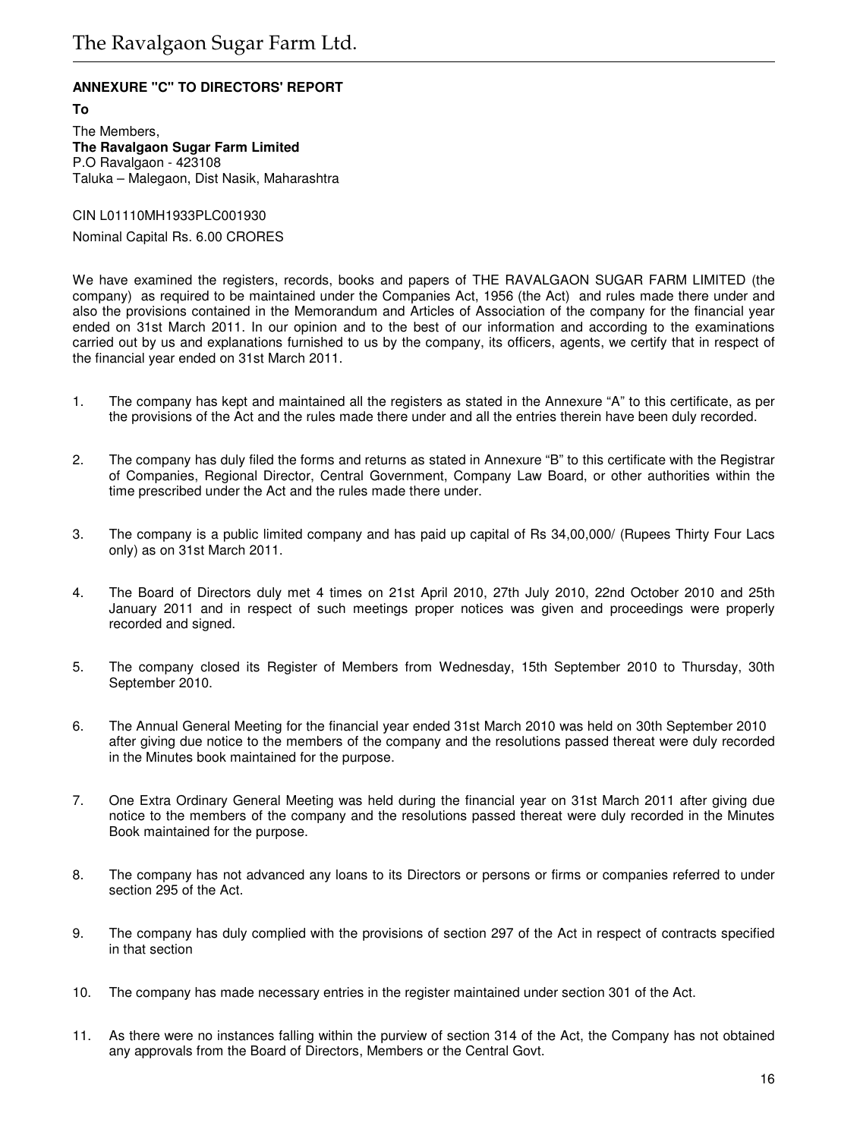# **ANNEXURE "C" TO DIRECTORS' REPORT**

**To** The Members, **The Ravalgaon Sugar Farm Limited** P.O Ravalgaon - 423108 Taluka – Malegaon, Dist Nasik, Maharashtra

CIN L01110MH1933PLC001930 Nominal Capital Rs. 6.00 CRORES

We have examined the registers, records, books and papers of THE RAVALGAON SUGAR FARM LIMITED (the company) as required to be maintained under the Companies Act, 1956 (the Act) and rules made there under and also the provisions contained in the Memorandum and Articles of Association of the company for the financial year ended on 31st March 2011. In our opinion and to the best of our information and according to the examinations carried out by us and explanations furnished to us by the company, its officers, agents, we certify that in respect of the financial year ended on 31st March 2011.

- 1. The company has kept and maintained all the registers as stated in the Annexure "A" to this certificate, as per the provisions of the Act and the rules made there under and all the entries therein have been duly recorded.
- 2. The company has duly filed the forms and returns as stated in Annexure "B" to this certificate with the Registrar of Companies, Regional Director, Central Government, Company Law Board, or other authorities within the time prescribed under the Act and the rules made there under.
- 3. The company is a public limited company and has paid up capital of Rs 34,00,000/ (Rupees Thirty Four Lacs only) as on 31st March 2011.
- 4. The Board of Directors duly met 4 times on 21st April 2010, 27th July 2010, 22nd October 2010 and 25th January 2011 and in respect of such meetings proper notices was given and proceedings were properly recorded and signed.
- 5. The company closed its Register of Members from Wednesday, 15th September 2010 to Thursday, 30th September 2010.
- 6. The Annual General Meeting for the financial year ended 31st March 2010 was held on 30th September 2010 after giving due notice to the members of the company and the resolutions passed thereat were duly recorded in the Minutes book maintained for the purpose.
- 7. One Extra Ordinary General Meeting was held during the financial year on 31st March 2011 after giving due notice to the members of the company and the resolutions passed thereat were duly recorded in the Minutes Book maintained for the purpose.
- 8. The company has not advanced any loans to its Directors or persons or firms or companies referred to under section 295 of the Act.
- 9. The company has duly complied with the provisions of section 297 of the Act in respect of contracts specified in that section
- 10. The company has made necessary entries in the register maintained under section 301 of the Act.
- 11. As there were no instances falling within the purview of section 314 of the Act, the Company has not obtained any approvals from the Board of Directors, Members or the Central Govt.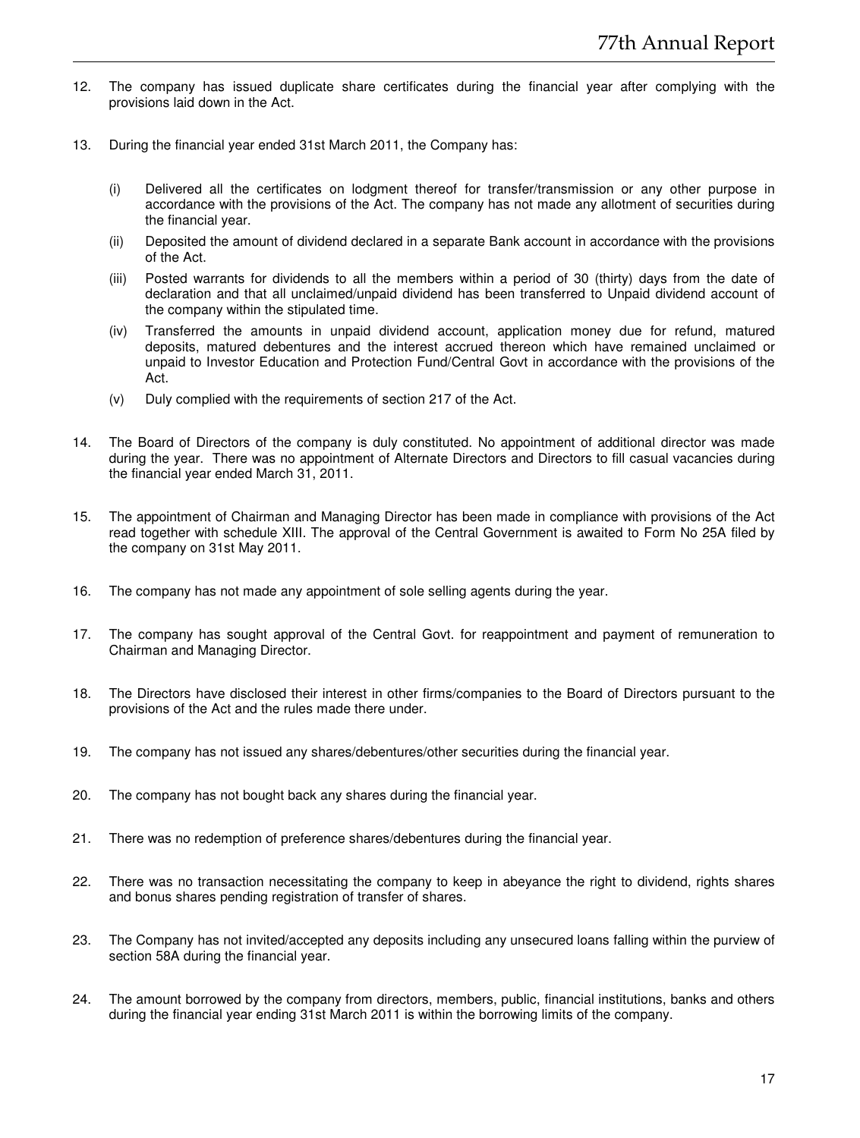- 12. The company has issued duplicate share certificates during the financial year after complying with the provisions laid down in the Act.
- 13. During the financial year ended 31st March 2011, the Company has:
	- (i) Delivered all the certificates on lodgment thereof for transfer/transmission or any other purpose in accordance with the provisions of the Act. The company has not made any allotment of securities during the financial year.
	- (ii) Deposited the amount of dividend declared in a separate Bank account in accordance with the provisions of the Act.
	- (iii) Posted warrants for dividends to all the members within a period of 30 (thirty) days from the date of declaration and that all unclaimed/unpaid dividend has been transferred to Unpaid dividend account of the company within the stipulated time.
	- (iv) Transferred the amounts in unpaid dividend account, application money due for refund, matured deposits, matured debentures and the interest accrued thereon which have remained unclaimed or unpaid to Investor Education and Protection Fund/Central Govt in accordance with the provisions of the Act.
	- (v) Duly complied with the requirements of section 217 of the Act.
- 14. The Board of Directors of the company is duly constituted. No appointment of additional director was made during the year. There was no appointment of Alternate Directors and Directors to fill casual vacancies during the financial year ended March 31, 2011.
- 15. The appointment of Chairman and Managing Director has been made in compliance with provisions of the Act read together with schedule XIII. The approval of the Central Government is awaited to Form No 25A filed by the company on 31st May 2011.
- 16. The company has not made any appointment of sole selling agents during the year.
- 17. The company has sought approval of the Central Govt. for reappointment and payment of remuneration to Chairman and Managing Director.
- 18. The Directors have disclosed their interest in other firms/companies to the Board of Directors pursuant to the provisions of the Act and the rules made there under.
- 19. The company has not issued any shares/debentures/other securities during the financial year.
- 20. The company has not bought back any shares during the financial year.
- 21. There was no redemption of preference shares/debentures during the financial year.
- 22. There was no transaction necessitating the company to keep in abeyance the right to dividend, rights shares and bonus shares pending registration of transfer of shares.
- 23. The Company has not invited/accepted any deposits including any unsecured loans falling within the purview of section 58A during the financial year.
- 24. The amount borrowed by the company from directors, members, public, financial institutions, banks and others during the financial year ending 31st March 2011 is within the borrowing limits of the company.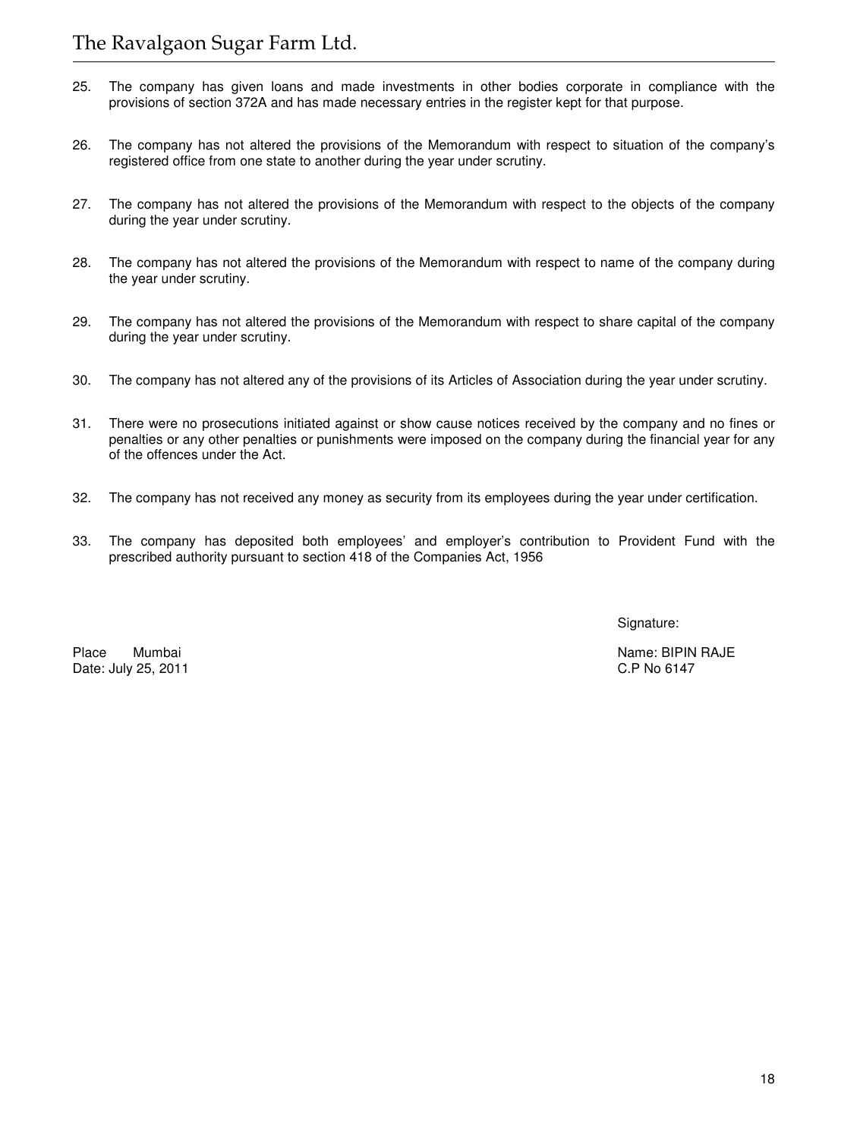- 25. The company has given loans and made investments in other bodies corporate in compliance with the provisions of section 372A and has made necessary entries in the register kept for that purpose.
- 26. The company has not altered the provisions of the Memorandum with respect to situation of the company's registered office from one state to another during the year under scrutiny.
- 27. The company has not altered the provisions of the Memorandum with respect to the objects of the company during the year under scrutiny.
- 28. The company has not altered the provisions of the Memorandum with respect to name of the company during the year under scrutiny.
- 29. The company has not altered the provisions of the Memorandum with respect to share capital of the company during the year under scrutiny.
- 30. The company has not altered any of the provisions of its Articles of Association during the year under scrutiny.
- 31. There were no prosecutions initiated against or show cause notices received by the company and no fines or penalties or any other penalties or punishments were imposed on the company during the financial year for any of the offences under the Act.
- 32. The company has not received any money as security from its employees during the year under certification.
- 33. The company has deposited both employees' and employer's contribution to Provident Fund with the prescribed authority pursuant to section 418 of the Companies Act, 1956

Signature:

Date: July 25, 2011

Place Mumbai Name: BIPIN RAJE<br>Date: July 25. 2011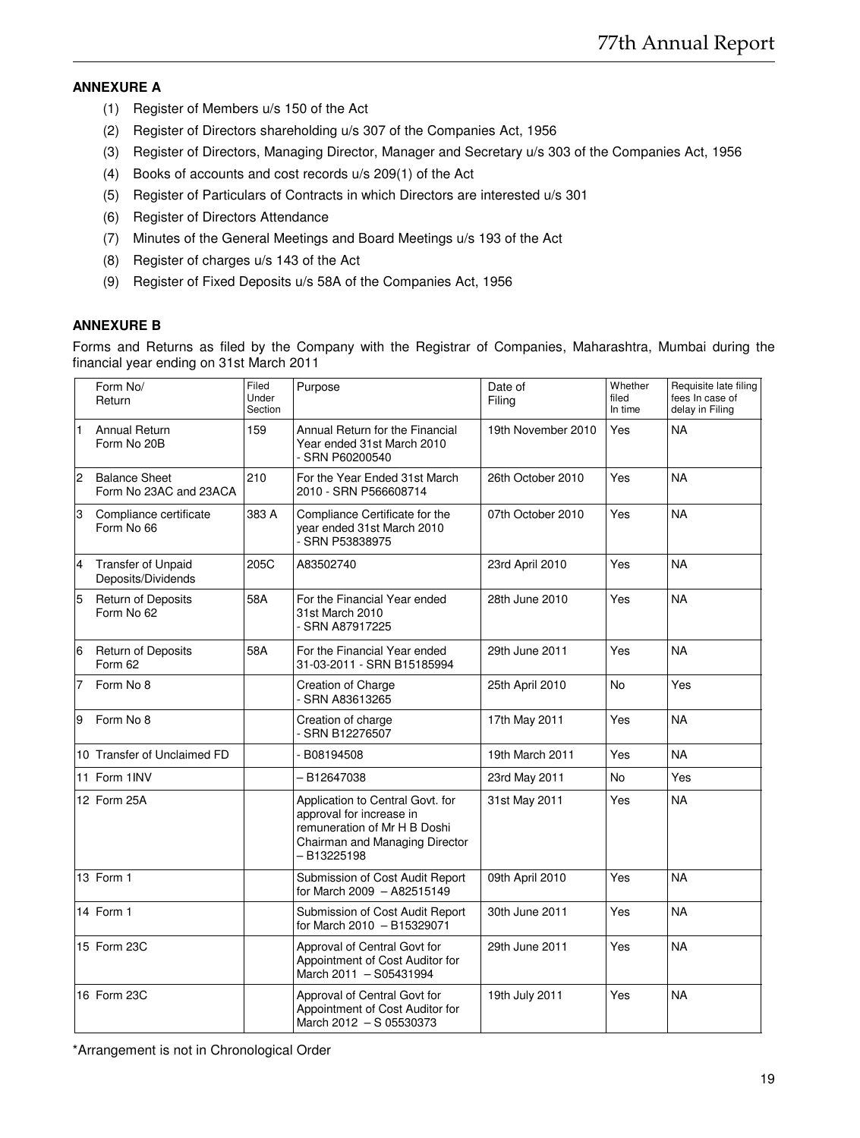# **ANNEXURE A**

- (1) Register of Members u/s 150 of the Act
- (2) Register of Directors shareholding u/s 307 of the Companies Act, 1956
- (3) Register of Directors, Managing Director, Manager and Secretary u/s 303 of the Companies Act, 1956
- (4) Books of accounts and cost records u/s 209(1) of the Act
- (5) Register of Particulars of Contracts in which Directors are interested u/s 301
- (6) Register of Directors Attendance
- (7) Minutes of the General Meetings and Board Meetings u/s 193 of the Act
- (8) Register of charges u/s 143 of the Act
- (9) Register of Fixed Deposits u/s 58A of the Companies Act, 1956

# **ANNEXURE B**

Forms and Returns as filed by the Company with the Registrar of Companies, Maharashtra, Mumbai during the financial year ending on 31st March 2011

|                | Form No/<br>Return                              | Filed<br>Under<br>Section | Purpose                                                                                                                                      | Date of<br>Filing  | Whether<br>filed<br>In time | Requisite late filing<br>fees In case of<br>delay in Filing |
|----------------|-------------------------------------------------|---------------------------|----------------------------------------------------------------------------------------------------------------------------------------------|--------------------|-----------------------------|-------------------------------------------------------------|
| $\mathbf{1}$   | <b>Annual Return</b><br>Form No 20B             | 159                       | Annual Return for the Financial<br>Year ended 31st March 2010<br>- SRN P60200540                                                             | 19th November 2010 | Yes                         | <b>NA</b>                                                   |
| $\overline{2}$ | <b>Balance Sheet</b><br>Form No 23AC and 23ACA  | 210                       | For the Year Ended 31st March<br>2010 - SRN P566608714                                                                                       | 26th October 2010  | Yes                         | <b>NA</b>                                                   |
| 3              | Compliance certificate<br>Form No 66            | 383 A                     | Compliance Certificate for the<br>year ended 31st March 2010<br>- SRN P53838975                                                              | 07th October 2010  | Yes                         | <b>NA</b>                                                   |
| $\overline{4}$ | <b>Transfer of Unpaid</b><br>Deposits/Dividends | 205C                      | A83502740                                                                                                                                    | 23rd April 2010    | Yes                         | <b>NA</b>                                                   |
| 5              | <b>Return of Deposits</b><br>Form No 62         | 58A                       | For the Financial Year ended<br>31st March 2010<br>- SRN A87917225                                                                           | 28th June 2010     | Yes                         | <b>NA</b>                                                   |
| 6              | Return of Deposits<br>Form 62                   | 58A                       | For the Financial Year ended<br>31-03-2011 - SRN B15185994                                                                                   | 29th June 2011     | Yes                         | <b>NA</b>                                                   |
|                | Form No 8                                       |                           | <b>Creation of Charge</b><br>- SRN A83613265                                                                                                 | 25th April 2010    | N <sub>o</sub>              | Yes                                                         |
| 9              | Form No 8                                       |                           | Creation of charge<br>- SRN B12276507                                                                                                        | 17th May 2011      | Yes                         | <b>NA</b>                                                   |
|                | 10 Transfer of Unclaimed FD                     |                           | B08194508                                                                                                                                    | 19th March 2011    | Yes                         | <b>NA</b>                                                   |
|                | 11 Form 1INV                                    |                           | - B12647038                                                                                                                                  | 23rd May 2011      | No                          | Yes                                                         |
|                | 12 Form 25A                                     |                           | Application to Central Govt. for<br>approval for increase in<br>remuneration of Mr H B Doshi<br>Chairman and Managing Director<br>-B13225198 | 31st May 2011      | Yes                         | <b>NA</b>                                                   |
|                | 13 Form 1                                       |                           | Submission of Cost Audit Report<br>for March 2009 - A82515149                                                                                | 09th April 2010    | Yes                         | <b>NA</b>                                                   |
|                | 14 Form 1                                       |                           | Submission of Cost Audit Report<br>for March 2010 - B15329071                                                                                | 30th June 2011     | Yes                         | <b>NA</b>                                                   |
|                | 15 Form 23C                                     |                           | Approval of Central Govt for<br>Appointment of Cost Auditor for<br>March 2011 - S05431994                                                    | 29th June 2011     | Yes                         | <b>NA</b>                                                   |
|                | 16 Form 23C                                     |                           | Approval of Central Govt for<br>Appointment of Cost Auditor for<br>March 2012 - S 05530373                                                   | 19th July 2011     | Yes                         | <b>NA</b>                                                   |

\*Arrangement is not in Chronological Order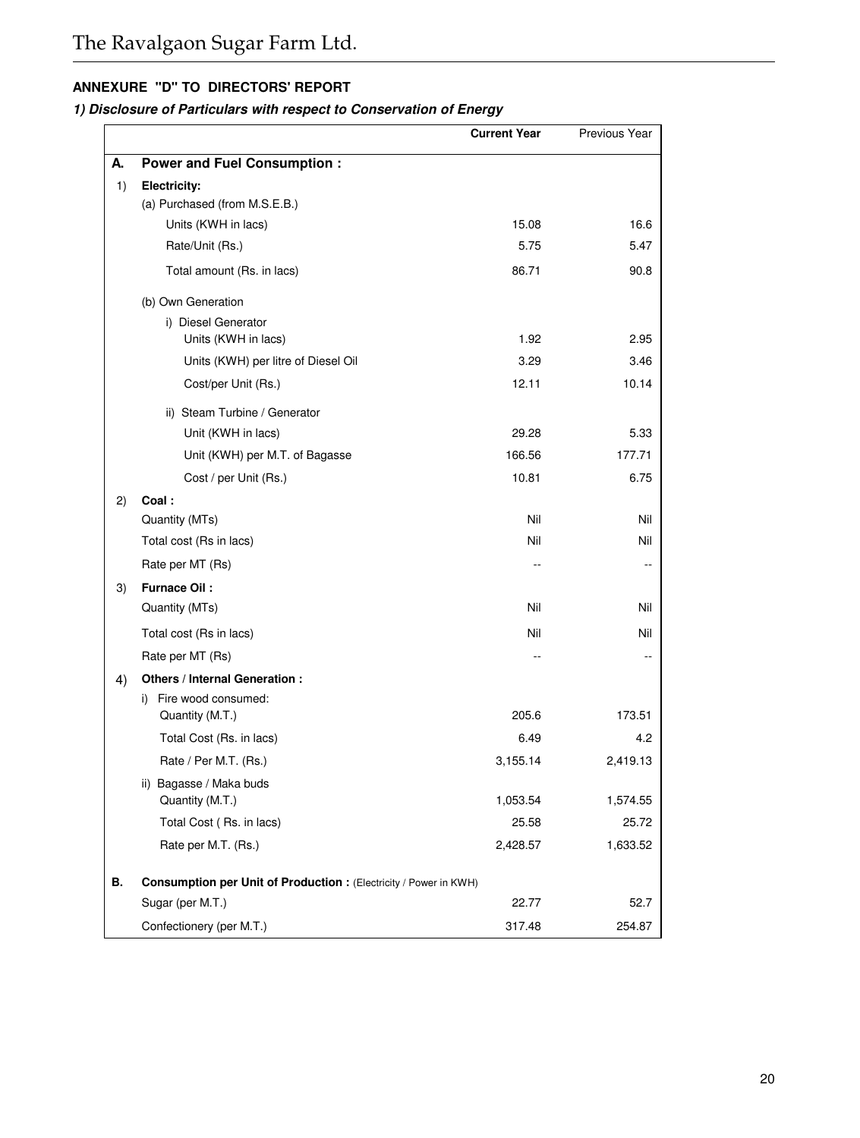# **ANNEXURE "D" TO DIRECTORS' REPORT**

# **1) Disclosure of Particulars with respect to Conservation of Energy**

|    |                                                                   | <b>Current Year</b> | Previous Year |
|----|-------------------------------------------------------------------|---------------------|---------------|
| А. | <b>Power and Fuel Consumption:</b>                                |                     |               |
| 1) | Electricity:                                                      |                     |               |
|    | (a) Purchased (from M.S.E.B.)                                     |                     |               |
|    | Units (KWH in lacs)                                               | 15.08               | 16.6          |
|    | Rate/Unit (Rs.)                                                   | 5.75                | 5.47          |
|    | Total amount (Rs. in lacs)                                        | 86.71               | 90.8          |
|    | (b) Own Generation                                                |                     |               |
|    | i) Diesel Generator                                               |                     |               |
|    | Units (KWH in lacs)                                               | 1.92                | 2.95          |
|    | Units (KWH) per litre of Diesel Oil                               | 3.29                | 3.46          |
|    | Cost/per Unit (Rs.)                                               | 12.11               | 10.14         |
|    | ii) Steam Turbine / Generator                                     |                     |               |
|    | Unit (KWH in lacs)                                                | 29.28               | 5.33          |
|    | Unit (KWH) per M.T. of Bagasse                                    | 166.56              | 177.71        |
|    | Cost / per Unit (Rs.)                                             | 10.81               | 6.75          |
| 2) | Coal:                                                             |                     |               |
|    | Quantity (MTs)                                                    | Nil                 | Nil           |
|    | Total cost (Rs in lacs)                                           | Nil                 | Nil           |
|    | Rate per MT (Rs)                                                  | $\sim$              |               |
| 3) | Furnace Oil:                                                      |                     |               |
|    | Quantity (MTs)                                                    | Nil                 | Nil           |
|    | Total cost (Rs in lacs)                                           | Nil                 | Nil           |
|    | Rate per MT (Rs)                                                  |                     |               |
| 4) | Others / Internal Generation :                                    |                     |               |
|    | i) Fire wood consumed:                                            |                     |               |
|    | Quantity (M.T.)                                                   | 205.6               | 173.51        |
|    | Total Cost (Rs. in lacs)                                          | 6.49                | 4.2           |
|    | Rate / Per M.T. (Rs.)                                             | 3,155.14            | 2,419.13      |
|    | ii) Bagasse / Maka buds                                           |                     |               |
|    | Quantity (M.T.)                                                   | 1,053.54            | 1,574.55      |
|    | Total Cost (Rs. in lacs)                                          | 25.58               | 25.72         |
|    | Rate per M.T. (Rs.)                                               | 2,428.57            | 1,633.52      |
| В. | Consumption per Unit of Production : (Electricity / Power in KWH) |                     |               |
|    | Sugar (per M.T.)                                                  | 22.77               | 52.7          |
|    | Confectionery (per M.T.)                                          | 317.48              | 254.87        |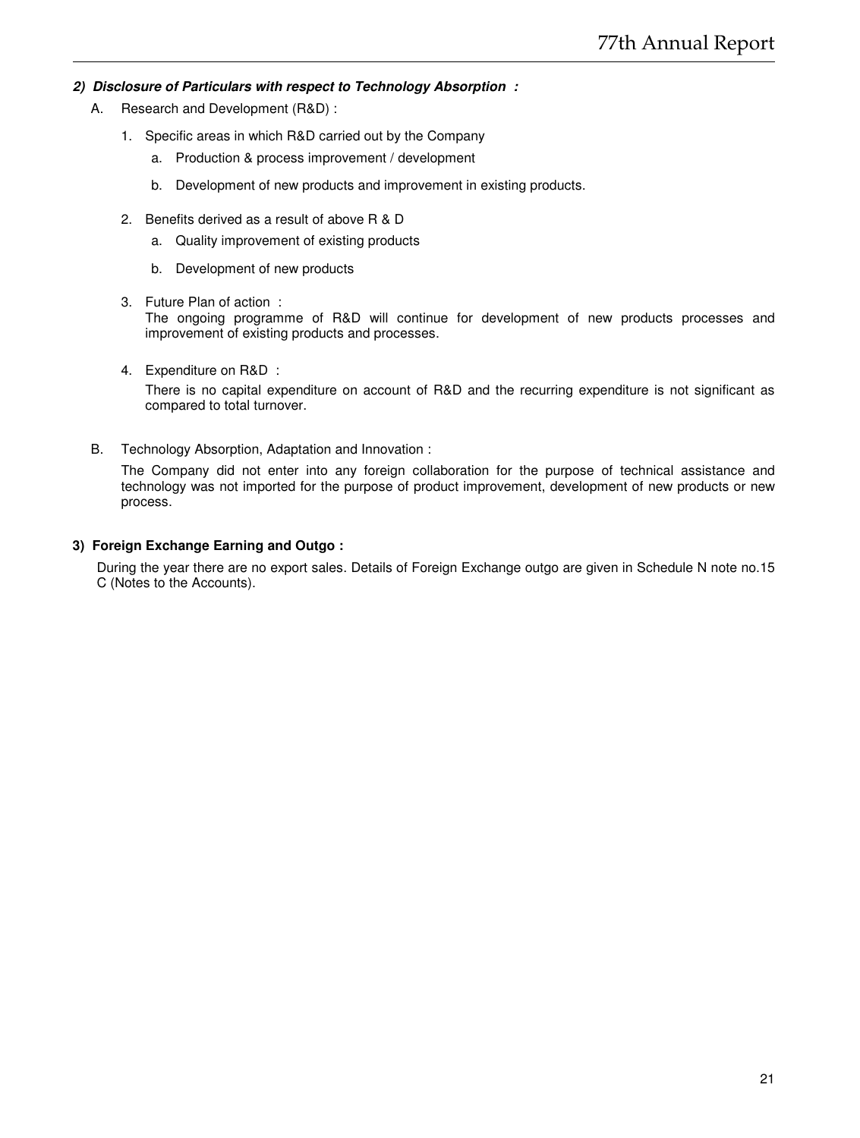# **2) Disclosure of Particulars with respect to Technology Absorption :**

- A. Research and Development (R&D) :
	- 1. Specific areas in which R&D carried out by the Company
		- a. Production & process improvement / development
		- b. Development of new products and improvement in existing products.
	- 2. Benefits derived as a result of above R & D
		- a. Quality improvement of existing products
		- b. Development of new products
	- 3. Future Plan of action : The ongoing programme of R&D will continue for development of new products processes and improvement of existing products and processes.
	- 4. Expenditure on R&D : There is no capital expenditure on account of R&D and the recurring expenditure is not significant as compared to total turnover.
- B. Technology Absorption, Adaptation and Innovation :

The Company did not enter into any foreign collaboration for the purpose of technical assistance and technology was not imported for the purpose of product improvement, development of new products or new process.

# **3) Foreign Exchange Earning and Outgo :**

During the year there are no export sales. Details of Foreign Exchange outgo are given in Schedule N note no.15 C (Notes to the Accounts).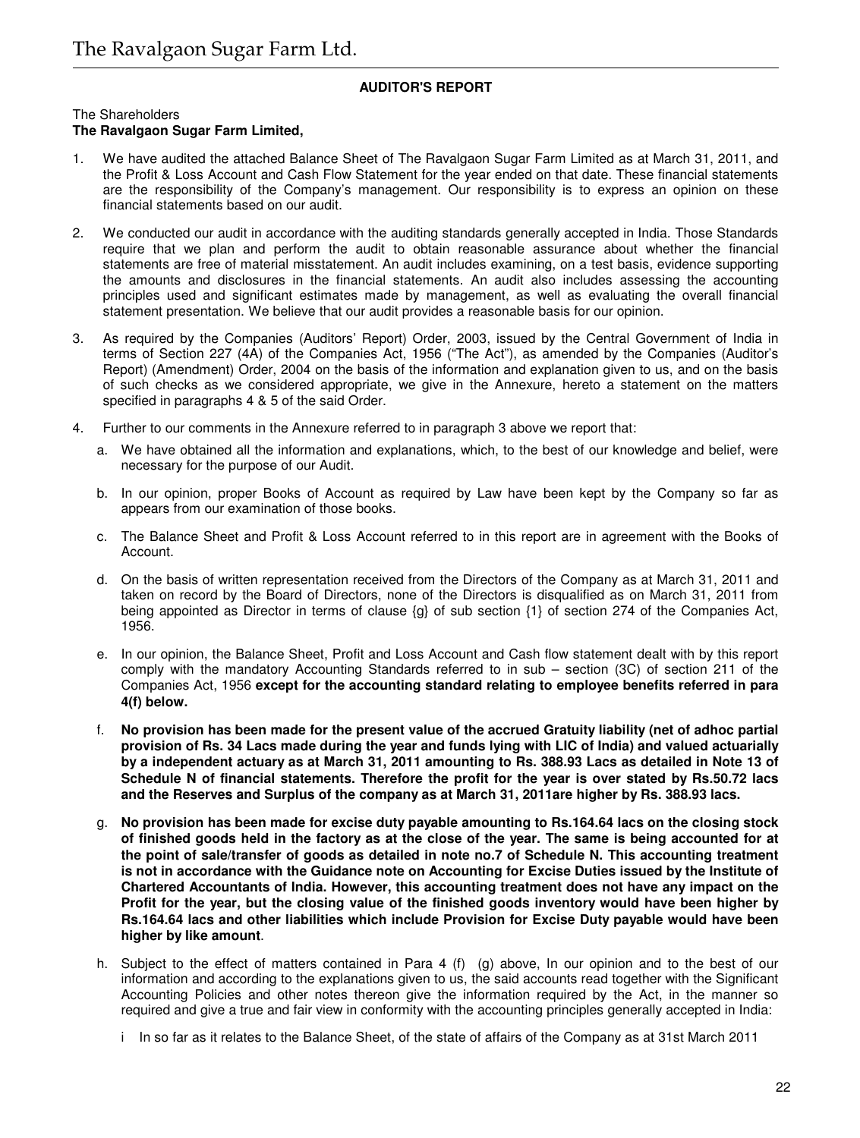# **AUDITOR'S REPORT**

The Shareholders

# **The Ravalgaon Sugar Farm Limited,**

- 1. We have audited the attached Balance Sheet of The Ravalgaon Sugar Farm Limited as at March 31, 2011, and the Profit & Loss Account and Cash Flow Statement for the year ended on that date. These financial statements are the responsibility of the Company's management. Our responsibility is to express an opinion on these financial statements based on our audit.
- 2. We conducted our audit in accordance with the auditing standards generally accepted in India. Those Standards require that we plan and perform the audit to obtain reasonable assurance about whether the financial statements are free of material misstatement. An audit includes examining, on a test basis, evidence supporting the amounts and disclosures in the financial statements. An audit also includes assessing the accounting principles used and significant estimates made by management, as well as evaluating the overall financial statement presentation. We believe that our audit provides a reasonable basis for our opinion.
- 3. As required by the Companies (Auditors' Report) Order, 2003, issued by the Central Government of India in terms of Section 227 (4A) of the Companies Act, 1956 ("The Act"), as amended by the Companies (Auditor's Report) (Amendment) Order, 2004 on the basis of the information and explanation given to us, and on the basis of such checks as we considered appropriate, we give in the Annexure, hereto a statement on the matters specified in paragraphs 4 & 5 of the said Order.
- 4. Further to our comments in the Annexure referred to in paragraph 3 above we report that:
	- a. We have obtained all the information and explanations, which, to the best of our knowledge and belief, were necessary for the purpose of our Audit.
	- b. In our opinion, proper Books of Account as required by Law have been kept by the Company so far as appears from our examination of those books.
	- c. The Balance Sheet and Profit & Loss Account referred to in this report are in agreement with the Books of Account.
	- d. On the basis of written representation received from the Directors of the Company as at March 31, 2011 and taken on record by the Board of Directors, none of the Directors is disqualified as on March 31, 2011 from being appointed as Director in terms of clause {g} of sub section {1} of section 274 of the Companies Act, 1956.
	- e. In our opinion, the Balance Sheet, Profit and Loss Account and Cash flow statement dealt with by this report comply with the mandatory Accounting Standards referred to in sub – section (3C) of section 211 of the Companies Act, 1956 **except for the accounting standard relating to employee benefits referred in para 4(f) below.**
	- f. **No provision has been made for the present value of the accrued Gratuity liability (net of adhoc partial provision of Rs. 34 Lacs made during the year and funds lying with LIC of India) and valued actuarially by a independent actuary as at March 31, 2011 amounting to Rs. 388.93 Lacs as detailed in Note 13 of Schedule N of financial statements. Therefore the profit for the year is over stated by Rs.50.72 lacs and the Reserves and Surplus of the company as at March 31, 2011are higher by Rs. 388.93 lacs.**
	- g. **No provision has been made for excise duty payable amounting to Rs.164.64 lacs on the closing stock of finished goods held in the factory as at the close of the year. The same is being accounted for at the point of sale/transfer of goods as detailed in note no.7 of Schedule N. This accounting treatment is not in accordance with the Guidance note on Accounting for Excise Duties issued by the Institute of Chartered Accountants of India. However, this accounting treatment does not have any impact on the Profit for the year, but the closing value of the finished goods inventory would have been higher by Rs.164.64 lacs and other liabilities which include Provision for Excise Duty payable would have been higher by like amount**.
	- h. Subject to the effect of matters contained in Para 4 (f) (g) above, In our opinion and to the best of our information and according to the explanations given to us, the said accounts read together with the Significant Accounting Policies and other notes thereon give the information required by the Act, in the manner so required and give a true and fair view in conformity with the accounting principles generally accepted in India:
		- i In so far as it relates to the Balance Sheet, of the state of affairs of the Company as at 31st March 2011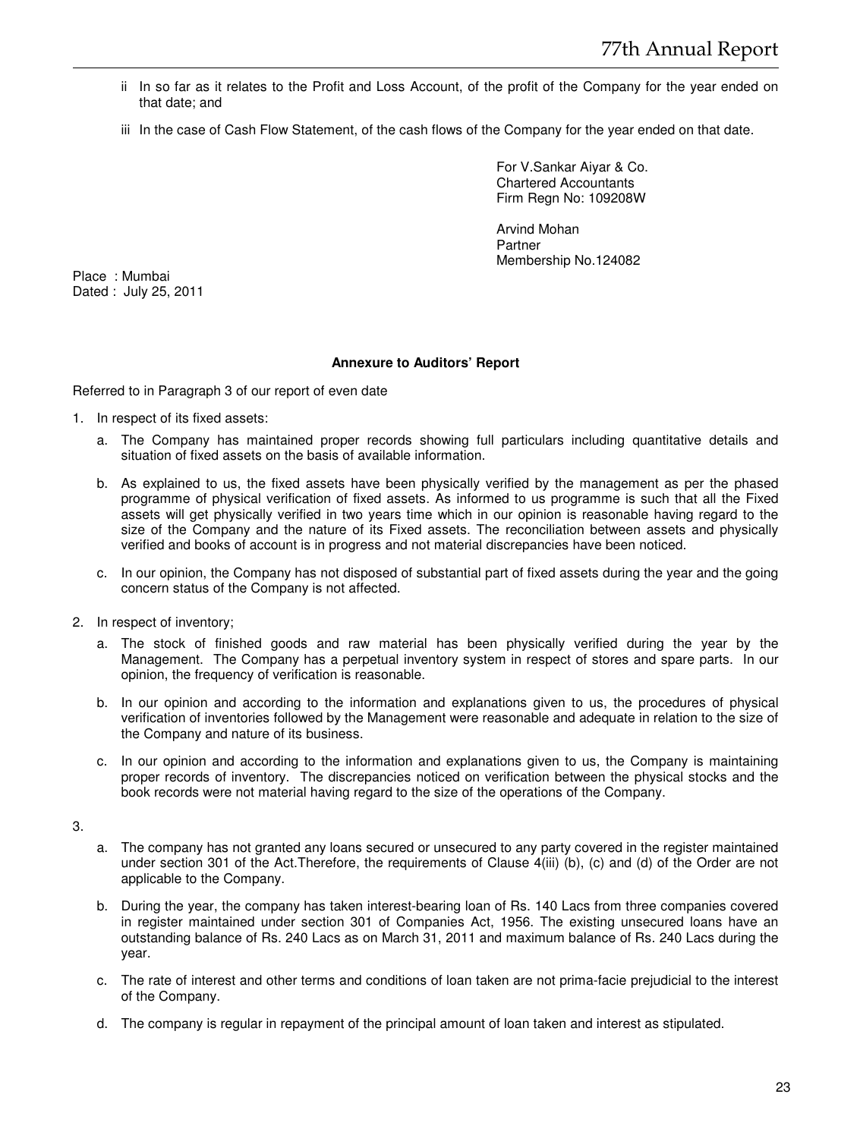- ii In so far as it relates to the Profit and Loss Account, of the profit of the Company for the year ended on that date; and
- iii In the case of Cash Flow Statement, of the cash flows of the Company for the year ended on that date.

For V.Sankar Aiyar & Co. Chartered Accountants Firm Regn No: 109208W

Arvind Mohan Partner Membership No.124082

Place : Mumbai Dated : July 25, 2011

# **Annexure to Auditors' Report**

Referred to in Paragraph 3 of our report of even date

- 1. In respect of its fixed assets:
	- a. The Company has maintained proper records showing full particulars including quantitative details and situation of fixed assets on the basis of available information.
	- b. As explained to us, the fixed assets have been physically verified by the management as per the phased programme of physical verification of fixed assets. As informed to us programme is such that all the Fixed assets will get physically verified in two years time which in our opinion is reasonable having regard to the size of the Company and the nature of its Fixed assets. The reconciliation between assets and physically verified and books of account is in progress and not material discrepancies have been noticed.
	- c. In our opinion, the Company has not disposed of substantial part of fixed assets during the year and the going concern status of the Company is not affected.
- 2. In respect of inventory;
	- a. The stock of finished goods and raw material has been physically verified during the year by the Management. The Company has a perpetual inventory system in respect of stores and spare parts. In our opinion, the frequency of verification is reasonable.
	- b. In our opinion and according to the information and explanations given to us, the procedures of physical verification of inventories followed by the Management were reasonable and adequate in relation to the size of the Company and nature of its business.
	- c. In our opinion and according to the information and explanations given to us, the Company is maintaining proper records of inventory. The discrepancies noticed on verification between the physical stocks and the book records were not material having regard to the size of the operations of the Company.

3.

- a. The company has not granted any loans secured or unsecured to any party covered in the register maintained under section 301 of the Act.Therefore, the requirements of Clause 4(iii) (b), (c) and (d) of the Order are not applicable to the Company.
- b. During the year, the company has taken interest-bearing loan of Rs. 140 Lacs from three companies covered in register maintained under section 301 of Companies Act, 1956. The existing unsecured loans have an outstanding balance of Rs. 240 Lacs as on March 31, 2011 and maximum balance of Rs. 240 Lacs during the year.
- c. The rate of interest and other terms and conditions of loan taken are not prima-facie prejudicial to the interest of the Company.
- d. The company is regular in repayment of the principal amount of loan taken and interest as stipulated.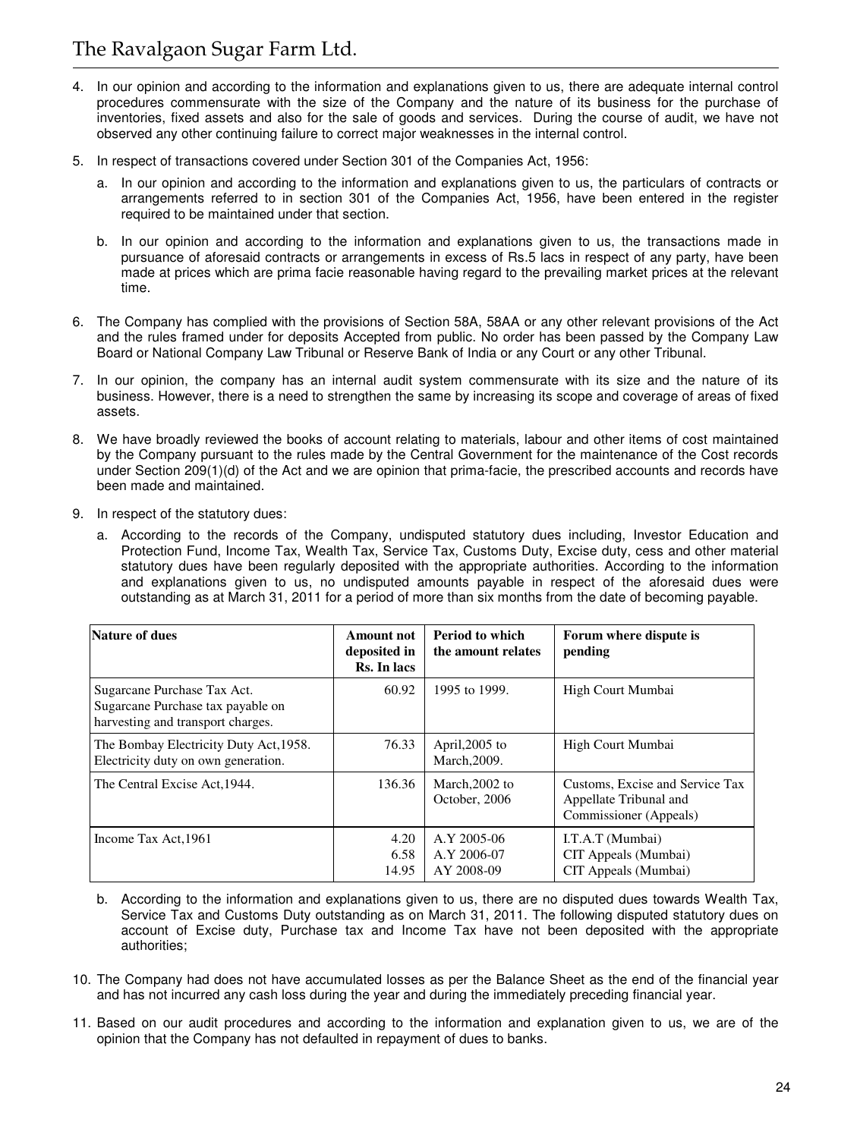- 4. In our opinion and according to the information and explanations given to us, there are adequate internal control procedures commensurate with the size of the Company and the nature of its business for the purchase of inventories, fixed assets and also for the sale of goods and services. During the course of audit, we have not observed any other continuing failure to correct major weaknesses in the internal control.
- 5. In respect of transactions covered under Section 301 of the Companies Act, 1956:
	- a. In our opinion and according to the information and explanations given to us, the particulars of contracts or arrangements referred to in section 301 of the Companies Act, 1956, have been entered in the register required to be maintained under that section.
	- b. In our opinion and according to the information and explanations given to us, the transactions made in pursuance of aforesaid contracts or arrangements in excess of Rs.5 lacs in respect of any party, have been made at prices which are prima facie reasonable having regard to the prevailing market prices at the relevant time.
- 6. The Company has complied with the provisions of Section 58A, 58AA or any other relevant provisions of the Act and the rules framed under for deposits Accepted from public. No order has been passed by the Company Law Board or National Company Law Tribunal or Reserve Bank of India or any Court or any other Tribunal.
- 7. In our opinion, the company has an internal audit system commensurate with its size and the nature of its business. However, there is a need to strengthen the same by increasing its scope and coverage of areas of fixed assets.
- 8. We have broadly reviewed the books of account relating to materials, labour and other items of cost maintained by the Company pursuant to the rules made by the Central Government for the maintenance of the Cost records under Section 209(1)(d) of the Act and we are opinion that prima-facie, the prescribed accounts and records have been made and maintained.
- 9. In respect of the statutory dues:
	- a. According to the records of the Company, undisputed statutory dues including, Investor Education and Protection Fund, Income Tax, Wealth Tax, Service Tax, Customs Duty, Excise duty, cess and other material statutory dues have been regularly deposited with the appropriate authorities. According to the information and explanations given to us, no undisputed amounts payable in respect of the aforesaid dues were outstanding as at March 31, 2011 for a period of more than six months from the date of becoming payable.

| Nature of dues                                                                                        | <b>Amount not</b><br>deposited in<br>Rs. In lacs | Period to which<br>the amount relates    | Forum where dispute is<br>pending                                                   |
|-------------------------------------------------------------------------------------------------------|--------------------------------------------------|------------------------------------------|-------------------------------------------------------------------------------------|
| Sugarcane Purchase Tax Act.<br>Sugarcane Purchase tax payable on<br>harvesting and transport charges. | 60.92                                            | 1995 to 1999.                            | High Court Mumbai                                                                   |
| The Bombay Electricity Duty Act, 1958.<br>Electricity duty on own generation.                         | 76.33                                            | April, $2005$ to<br>March, 2009.         | High Court Mumbai                                                                   |
| The Central Excise Act, 1944.                                                                         | 136.36                                           | March, 2002 to<br>October, 2006          | Customs, Excise and Service Tax<br>Appellate Tribunal and<br>Commissioner (Appeals) |
| Income Tax Act, 1961                                                                                  | 4.20<br>6.58<br>14.95                            | A.Y 2005-06<br>A.Y 2006-07<br>AY 2008-09 | I.T.A.T (Mumbai)<br>CIT Appeals (Mumbai)<br>CIT Appeals (Mumbai)                    |

- b. According to the information and explanations given to us, there are no disputed dues towards Wealth Tax, Service Tax and Customs Duty outstanding as on March 31, 2011. The following disputed statutory dues on account of Excise duty, Purchase tax and Income Tax have not been deposited with the appropriate authorities;
- 10. The Company had does not have accumulated losses as per the Balance Sheet as the end of the financial year and has not incurred any cash loss during the year and during the immediately preceding financial year.
- 11. Based on our audit procedures and according to the information and explanation given to us, we are of the opinion that the Company has not defaulted in repayment of dues to banks.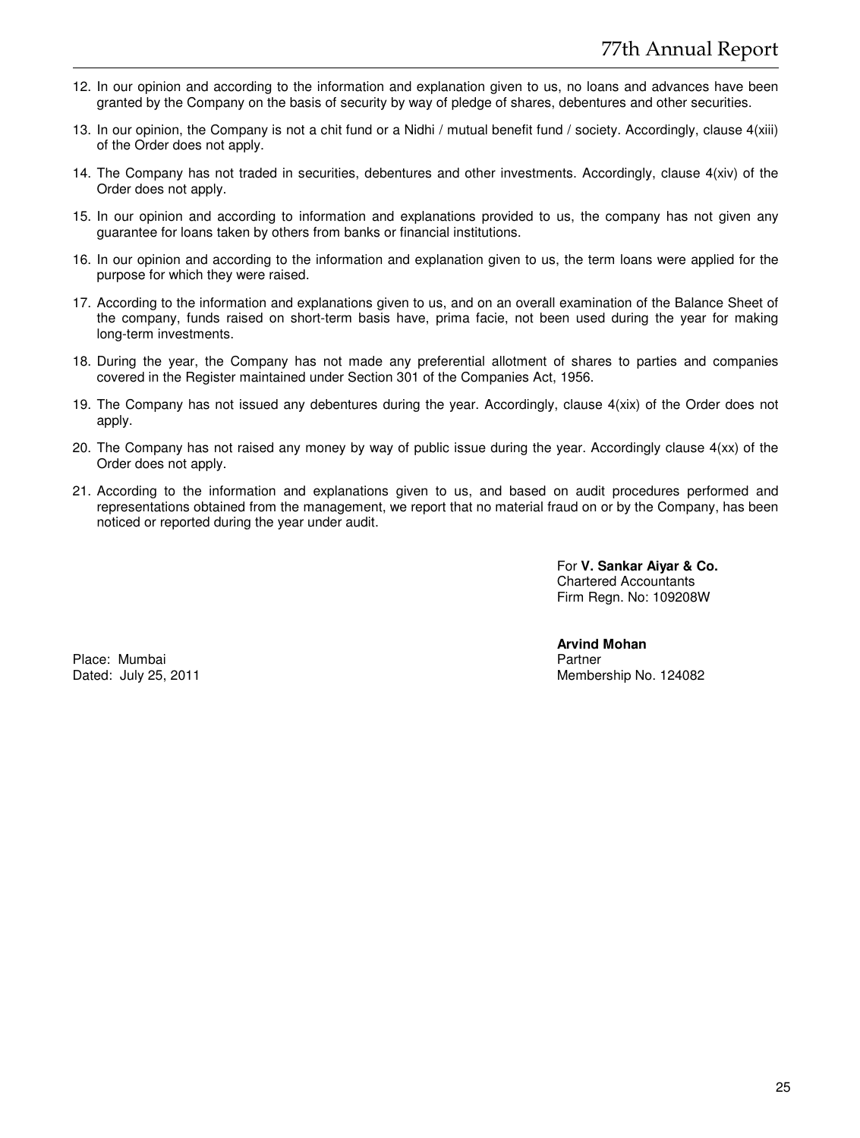- 12. In our opinion and according to the information and explanation given to us, no loans and advances have been granted by the Company on the basis of security by way of pledge of shares, debentures and other securities.
- 13. In our opinion, the Company is not a chit fund or a Nidhi / mutual benefit fund / society. Accordingly, clause 4(xiii) of the Order does not apply.
- 14. The Company has not traded in securities, debentures and other investments. Accordingly, clause 4(xiv) of the Order does not apply.
- 15. In our opinion and according to information and explanations provided to us, the company has not given any guarantee for loans taken by others from banks or financial institutions.
- 16. In our opinion and according to the information and explanation given to us, the term loans were applied for the purpose for which they were raised.
- 17. According to the information and explanations given to us, and on an overall examination of the Balance Sheet of the company, funds raised on short-term basis have, prima facie, not been used during the year for making long-term investments.
- 18. During the year, the Company has not made any preferential allotment of shares to parties and companies covered in the Register maintained under Section 301 of the Companies Act, 1956.
- 19. The Company has not issued any debentures during the year. Accordingly, clause 4(xix) of the Order does not apply.
- 20. The Company has not raised any money by way of public issue during the year. Accordingly clause 4(xx) of the Order does not apply.
- 21. According to the information and explanations given to us, and based on audit procedures performed and representations obtained from the management, we report that no material fraud on or by the Company, has been noticed or reported during the year under audit.

For **V. Sankar Aiyar & Co.** Chartered Accountants Firm Regn. No: 109208W

Place: Mumbai **Partner** 

**Arvind Mohan**  Dated: July 25, 2011 **Membership No. 124082** Membership No. 124082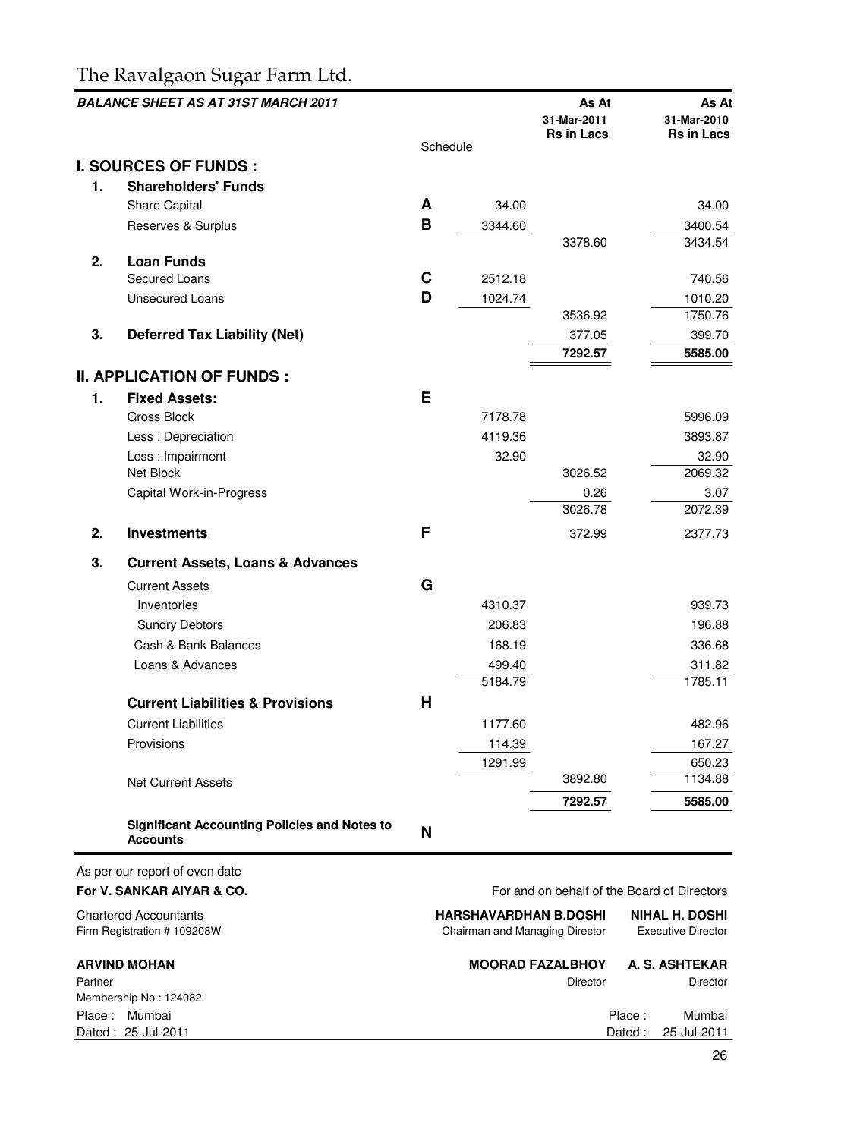# The Ravalgaon Sugar Farm Ltd.

|    | <b>BALANCE SHEET AS AT 31ST MARCH 2011</b>                             |   |          | As At<br>31-Mar-2011                        | As At<br>31-Mar-2010 |
|----|------------------------------------------------------------------------|---|----------|---------------------------------------------|----------------------|
|    |                                                                        |   | Schedule | <b>Rs in Lacs</b>                           | Rs in Lacs           |
|    | <b>I. SOURCES OF FUNDS:</b>                                            |   |          |                                             |                      |
| 1. | <b>Shareholders' Funds</b>                                             |   |          |                                             |                      |
|    | <b>Share Capital</b>                                                   | A | 34.00    |                                             | 34.00                |
|    | Reserves & Surplus                                                     | в | 3344.60  |                                             | 3400.54              |
|    |                                                                        |   |          | 3378.60                                     | 3434.54              |
| 2. | <b>Loan Funds</b>                                                      |   |          |                                             |                      |
|    | Secured Loans                                                          | С | 2512.18  |                                             | 740.56               |
|    | <b>Unsecured Loans</b>                                                 | D | 1024.74  |                                             | 1010.20              |
|    |                                                                        |   |          | 3536.92                                     | 1750.76              |
| 3. | <b>Deferred Tax Liability (Net)</b>                                    |   |          | 377.05                                      | 399.70               |
|    |                                                                        |   |          | 7292.57                                     | 5585.00              |
|    | <b>II. APPLICATION OF FUNDS:</b>                                       |   |          |                                             |                      |
| 1. | <b>Fixed Assets:</b>                                                   | Е |          |                                             |                      |
|    | <b>Gross Block</b>                                                     |   | 7178.78  |                                             | 5996.09              |
|    | Less: Depreciation                                                     |   | 4119.36  |                                             | 3893.87              |
|    | Less: Impairment                                                       |   | 32.90    |                                             | 32.90                |
|    | Net Block                                                              |   |          | 3026.52                                     | 2069.32              |
|    | Capital Work-in-Progress                                               |   |          | 0.26                                        | 3.07                 |
|    |                                                                        |   |          | 3026.78                                     | 2072.39              |
| 2. | <b>Investments</b>                                                     | F |          | 372.99                                      | 2377.73              |
| 3. | <b>Current Assets, Loans &amp; Advances</b>                            |   |          |                                             |                      |
|    | <b>Current Assets</b>                                                  | G |          |                                             |                      |
|    | Inventories                                                            |   | 4310.37  |                                             | 939.73               |
|    | <b>Sundry Debtors</b>                                                  |   | 206.83   |                                             | 196.88               |
|    | Cash & Bank Balances                                                   |   | 168.19   |                                             | 336.68               |
|    | Loans & Advances                                                       |   | 499.40   |                                             | 311.82               |
|    |                                                                        |   | 5184.79  |                                             | 1785.11              |
|    | <b>Current Liabilities &amp; Provisions</b>                            | Н |          |                                             |                      |
|    | <b>Current Liabilities</b>                                             |   | 1177.60  |                                             | 482.96               |
|    | Provisions                                                             |   | 114.39   |                                             | 167.27               |
|    |                                                                        |   | 1291.99  |                                             | 650.23               |
|    | <b>Net Current Assets</b>                                              |   |          | 3892.80                                     | 1134.88              |
|    |                                                                        |   |          | 7292.57                                     | 5585.00              |
|    | <b>Significant Accounting Policies and Notes to</b><br><b>Accounts</b> | N |          |                                             |                      |
|    | As per our report of even date<br>For V. SANKAR AIYAR & CO.            |   |          | For and on behalf of the Board of Directors |                      |

Chartered Accountants **Chartered Accountants HARSHAVARDHAN B.DOSHI NIHAL H. DOSHI**<br>Firm Registration #109208W **Chairman and Managing Director** Executive Director Chairman and Managing Director **ARVIND MOHAN MOORAD FAZALBHOY A. S. ASHTEKAR** Partner Director Director Director Director Director Director Director Director Director Membership No : 124082 Place : Mumbai **Place : Mumbai Place : Mumbai Place : Mumbai Place : Mumbai Place : Mumbai Place : Mumbai Place : Mumbai Place : Mumbai Place : Place : Mumbai Place : Place : Place : Place : Place : Place : Place : Place :** Dated : 25-Jul-2011 Dated : 25-Jul-2011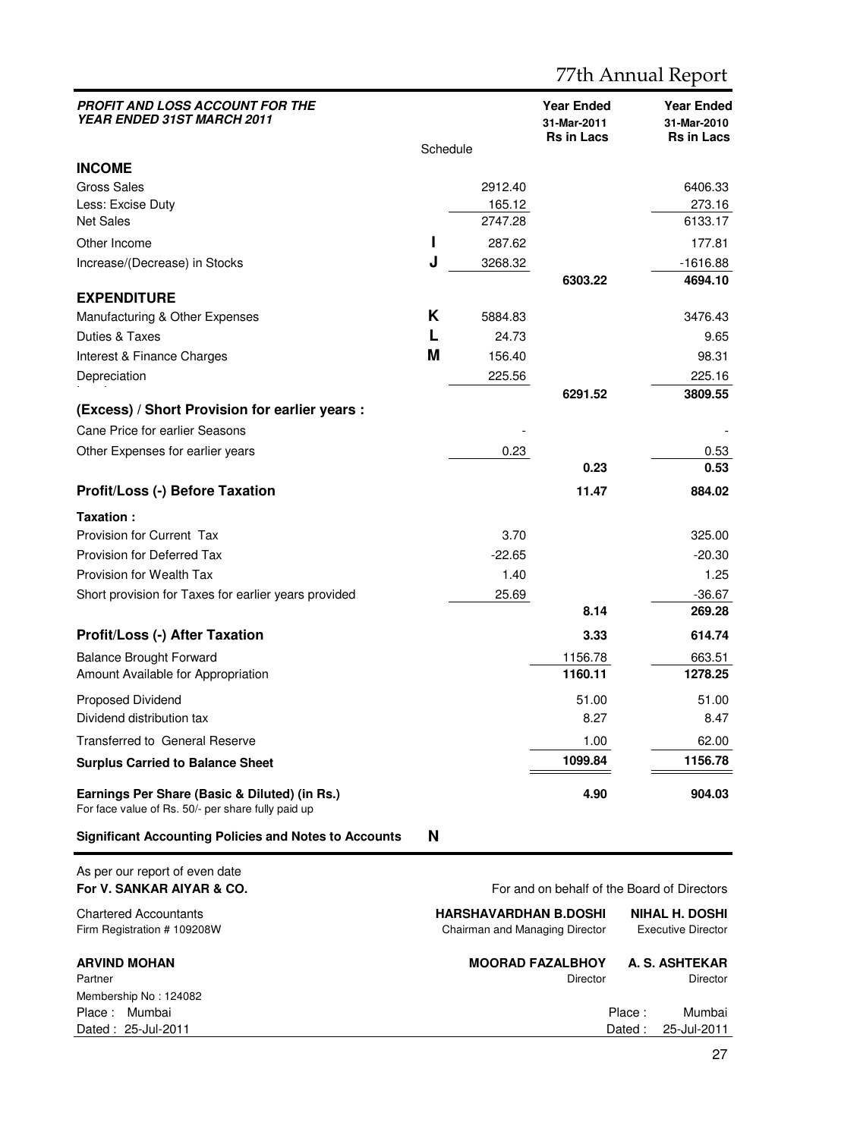| <b>PROFIT AND LOSS ACCOUNT FOR THE</b><br>YEAR ENDED 31ST MARCH 2011                                |          |                                | <b>Year Ended</b><br>31-Mar-2011<br><b>Rs in Lacs</b> | <b>Year Ended</b><br>31-Mar-2010<br><b>Rs in Lacs</b> |
|-----------------------------------------------------------------------------------------------------|----------|--------------------------------|-------------------------------------------------------|-------------------------------------------------------|
|                                                                                                     | Schedule |                                |                                                       |                                                       |
| <b>INCOME</b>                                                                                       |          |                                |                                                       |                                                       |
| <b>Gross Sales</b>                                                                                  |          | 2912.40                        |                                                       | 6406.33                                               |
| Less: Excise Duty<br><b>Net Sales</b>                                                               |          | 165.12<br>2747.28              |                                                       | 273.16<br>6133.17                                     |
| Other Income                                                                                        | ı        | 287.62                         |                                                       | 177.81                                                |
| Increase/(Decrease) in Stocks                                                                       | J        | 3268.32                        |                                                       | -1616.88                                              |
|                                                                                                     |          |                                | 6303.22                                               | 4694.10                                               |
| <b>EXPENDITURE</b>                                                                                  |          |                                |                                                       |                                                       |
| Manufacturing & Other Expenses                                                                      | Κ        | 5884.83                        |                                                       | 3476.43                                               |
| Duties & Taxes                                                                                      | L        | 24.73                          |                                                       | 9.65                                                  |
| Interest & Finance Charges                                                                          | М        | 156.40                         |                                                       | 98.31                                                 |
| Depreciation                                                                                        |          | 225.56                         |                                                       | 225.16                                                |
|                                                                                                     |          |                                | 6291.52                                               | 3809.55                                               |
| (Excess) / Short Provision for earlier years :                                                      |          |                                |                                                       |                                                       |
| Cane Price for earlier Seasons                                                                      |          |                                |                                                       |                                                       |
| Other Expenses for earlier years                                                                    |          | 0.23                           |                                                       | 0.53                                                  |
|                                                                                                     |          |                                | 0.23                                                  | 0.53                                                  |
| <b>Profit/Loss (-) Before Taxation</b>                                                              |          |                                | 11.47                                                 | 884.02                                                |
| Taxation:                                                                                           |          |                                |                                                       |                                                       |
| Provision for Current Tax                                                                           |          | 3.70                           |                                                       | 325.00                                                |
| Provision for Deferred Tax                                                                          |          | $-22.65$                       |                                                       | $-20.30$                                              |
| Provision for Wealth Tax                                                                            |          | 1.40                           |                                                       | 1.25                                                  |
| Short provision for Taxes for earlier years provided                                                |          | 25.69                          |                                                       | $-36.67$                                              |
|                                                                                                     |          |                                | 8.14                                                  | 269.28                                                |
| <b>Profit/Loss (-) After Taxation</b>                                                               |          |                                | 3.33                                                  | 614.74                                                |
| <b>Balance Brought Forward</b>                                                                      |          |                                | 1156.78                                               | 663.51                                                |
| Amount Available for Appropriation                                                                  |          |                                | 1160.11                                               | 1278.25                                               |
| Proposed Dividend                                                                                   |          |                                | 51.00                                                 | 51.00                                                 |
| Dividend distribution tax                                                                           |          |                                | 8.27                                                  | 8.47                                                  |
| <b>Transferred to General Reserve</b>                                                               |          |                                | 1.00                                                  | 62.00                                                 |
| <b>Surplus Carried to Balance Sheet</b>                                                             |          |                                | 1099.84                                               | 1156.78                                               |
| Earnings Per Share (Basic & Diluted) (in Rs.)<br>For face value of Rs. 50/- per share fully paid up |          |                                | 4.90                                                  | 904.03                                                |
| <b>Significant Accounting Policies and Notes to Accounts</b>                                        | N        |                                |                                                       |                                                       |
| As per our report of even date<br>For V. SANKAR AIYAR & CO.                                         |          |                                |                                                       | For and on behalf of the Board of Directors           |
| <b>Chartered Accountants</b>                                                                        |          | <b>HARSHAVARDHAN B.DOSHI</b>   |                                                       | <b>NIHAL H. DOSHI</b>                                 |
| Firm Registration # 109208W                                                                         |          | Chairman and Managing Director |                                                       | Executive Director                                    |

Firm Registration # 109208W Chairman and Managing Director Executive Director **ARVIND MOHAN MOORAD FAZALBHOY A. S. ASHTEKAR** Partner Director Director Director Director Director Director Director Director Director Director Director Director Membership No : 124082 Place : Mumbai Place : Mumbai Dated : 25-Jul-2011 Dated : 25-Jul-2011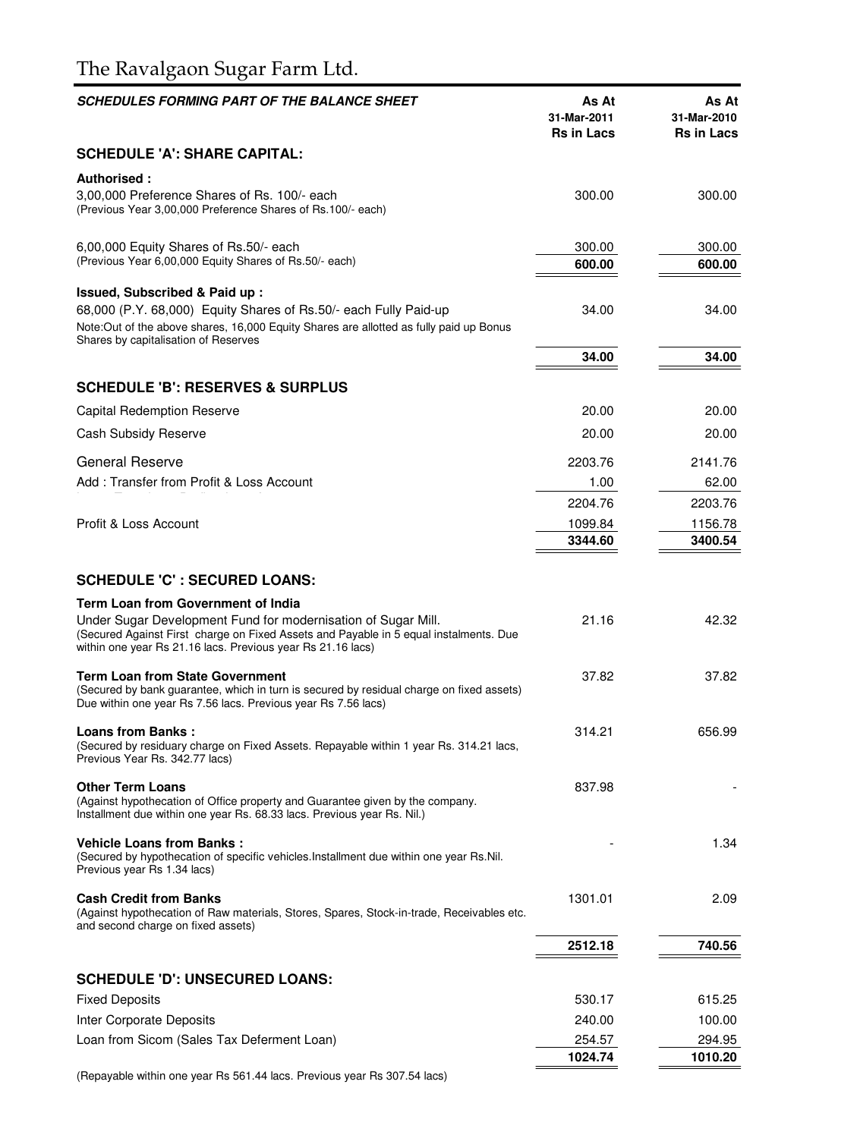# The Ravalgaon Sugar Farm Ltd.

| <b>SCHEDULES FORMING PART OF THE BALANCE SHEET</b>                                                                                                                                                                                                          | As At<br>31-Mar-2011<br><b>Rs in Lacs</b> | As At<br>31-Mar-2010<br><b>Rs in Lacs</b> |
|-------------------------------------------------------------------------------------------------------------------------------------------------------------------------------------------------------------------------------------------------------------|-------------------------------------------|-------------------------------------------|
| <b>SCHEDULE 'A': SHARE CAPITAL:</b>                                                                                                                                                                                                                         |                                           |                                           |
| Authorised:<br>3,00,000 Preference Shares of Rs. 100/- each<br>(Previous Year 3,00,000 Preference Shares of Rs.100/- each)                                                                                                                                  | 300.00                                    | 300.00                                    |
| 6,00,000 Equity Shares of Rs.50/- each<br>(Previous Year 6,00,000 Equity Shares of Rs.50/- each)                                                                                                                                                            | 300.00<br>600.00                          | 300.00<br>600.00                          |
| Issued, Subscribed & Paid up:<br>68,000 (P.Y. 68,000) Equity Shares of Rs.50/- each Fully Paid-up<br>Note:Out of the above shares, 16,000 Equity Shares are allotted as fully paid up Bonus<br>Shares by capitalisation of Reserves                         | 34.00                                     | 34.00                                     |
|                                                                                                                                                                                                                                                             | 34.00                                     | 34.00                                     |
| <b>SCHEDULE 'B': RESERVES &amp; SURPLUS</b>                                                                                                                                                                                                                 |                                           |                                           |
| Capital Redemption Reserve                                                                                                                                                                                                                                  | 20.00                                     | 20.00                                     |
| Cash Subsidy Reserve                                                                                                                                                                                                                                        | 20.00                                     | 20.00                                     |
| General Reserve                                                                                                                                                                                                                                             | 2203.76                                   |                                           |
| Add: Transfer from Profit & Loss Account                                                                                                                                                                                                                    | 1.00                                      | 2141.76<br>62.00                          |
|                                                                                                                                                                                                                                                             | 2204.76                                   | 2203.76                                   |
| Profit & Loss Account                                                                                                                                                                                                                                       | 1099.84                                   | 1156.78                                   |
|                                                                                                                                                                                                                                                             | 3344.60                                   | 3400.54                                   |
| <b>SCHEDULE 'C' : SECURED LOANS:</b>                                                                                                                                                                                                                        |                                           |                                           |
| Term Loan from Government of India<br>Under Sugar Development Fund for modernisation of Sugar Mill.<br>(Secured Against First charge on Fixed Assets and Payable in 5 equal instalments. Due<br>within one year Rs 21.16 lacs. Previous year Rs 21.16 lacs) | 21.16                                     | 42.32                                     |
| Term Loan from State Government<br>(Secured by bank guarantee, which in turn is secured by residual charge on fixed assets)<br>Due within one year Rs 7.56 lacs. Previous year Rs 7.56 lacs)                                                                | 37.82                                     | 37.82                                     |
| <b>Loans from Banks :</b><br>(Secured by residuary charge on Fixed Assets. Repayable within 1 year Rs. 314.21 lacs,<br>Previous Year Rs. 342.77 lacs)                                                                                                       | 314.21                                    | 656.99                                    |
| <b>Other Term Loans</b><br>(Against hypothecation of Office property and Guarantee given by the company.<br>Installment due within one year Rs. 68.33 lacs. Previous year Rs. Nil.)                                                                         | 837.98                                    |                                           |
| Vehicle Loans from Banks :<br>(Secured by hypothecation of specific vehicles.Installment due within one year Rs.Nil.<br>Previous year Rs 1.34 lacs)                                                                                                         |                                           | 1.34                                      |
| <b>Cash Credit from Banks</b><br>(Against hypothecation of Raw materials, Stores, Spares, Stock-in-trade, Receivables etc.<br>and second charge on fixed assets)                                                                                            | 1301.01                                   | 2.09                                      |
|                                                                                                                                                                                                                                                             | 2512.18                                   | 740.56                                    |
| <b>SCHEDULE 'D': UNSECURED LOANS:</b>                                                                                                                                                                                                                       |                                           |                                           |
| <b>Fixed Deposits</b>                                                                                                                                                                                                                                       | 530.17                                    | 615.25                                    |
| Inter Corporate Deposits                                                                                                                                                                                                                                    | 240.00                                    | 100.00                                    |
| Loan from Sicom (Sales Tax Deferment Loan)                                                                                                                                                                                                                  | 254.57                                    | 294.95                                    |
|                                                                                                                                                                                                                                                             | 1024.74                                   | 1010.20                                   |
|                                                                                                                                                                                                                                                             |                                           |                                           |

(Repayable within one year Rs 561.44 lacs. Previous year Rs 307.54 lacs)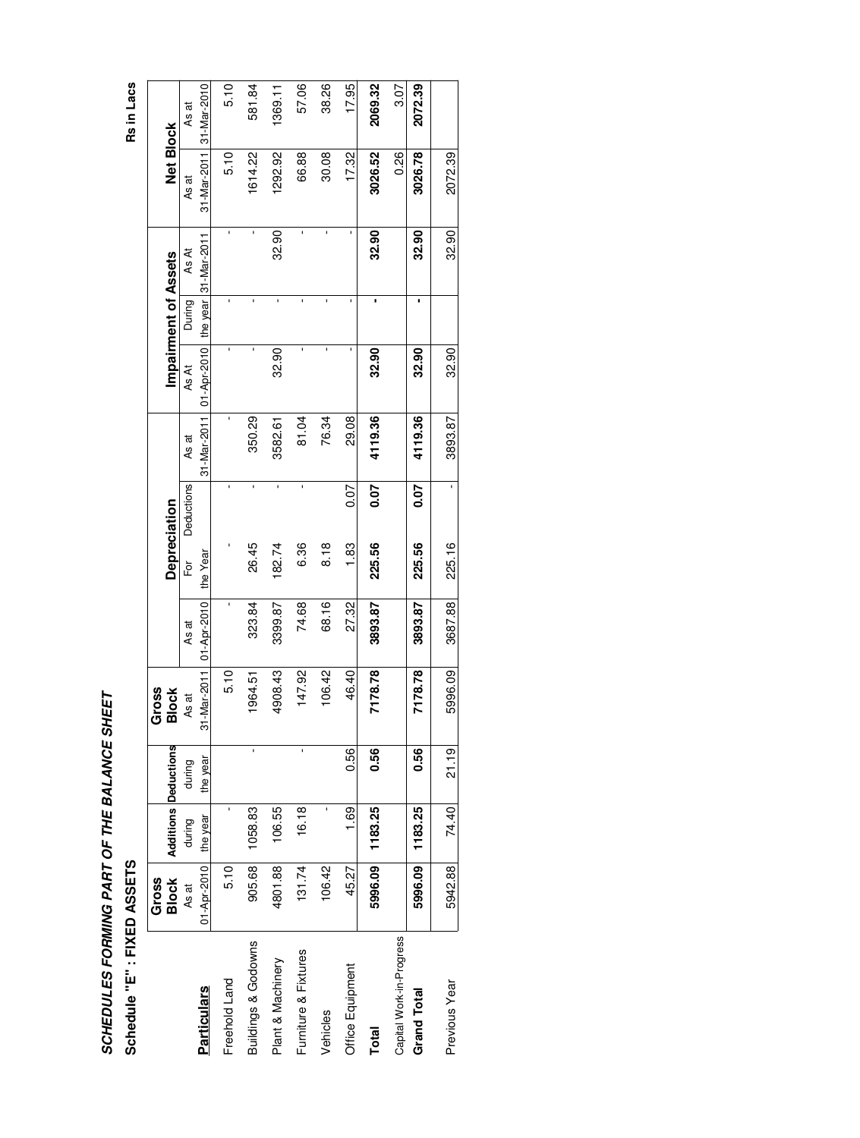# SCHEDULES FORMING PART OF THE BALANCE SHEET **SCHEDULES FORMING PART OF THE BALANCE SHEET**

**Schedule "E" : FIXED ASSETS Rs in Lacs** Schedule "E" : FIXED ASSETS

|                          | Gross        |                |                             | Gross        |             |                     |            |             |                      |        |                       |                  |             |
|--------------------------|--------------|----------------|-----------------------------|--------------|-------------|---------------------|------------|-------------|----------------------|--------|-----------------------|------------------|-------------|
|                          | <b>Block</b> |                | <b>Additions Deductions</b> | <b>Block</b> |             | <b>Depreciation</b> |            |             | Impairment of Assets |        |                       | <b>Net Block</b> |             |
|                          | As at        | during         | during                      | As at        | As at       | $\overline{5}$      | Deductions | As at       | As At                | During | As At                 | As at            | As at       |
| <b>Particulars</b>       | 01-Apr-2010  | year<br>the    | the year                    | 31-Mar-2011  | 01-Apr-2010 | the Year            |            | 31-Mar-2011 | $01 -$ Apr-2010      |        | the year  31-Mar-2011 | 31-Mar-2011      | 31-Mar-2010 |
| Freehold Land            | 5.10         | $\blacksquare$ |                             | 5.10         |             |                     |            |             | ï                    |        | ı                     | 5.10             | 5.10        |
| Buildings & Godowns      | 905.68       | 1058.83        | ı                           | 1964.51      | 323.84      | 26.45               |            | 350.29      | 1                    |        |                       | 1614.22          | 581.84      |
| Plant & Machinery        | 4801.88      | 06.55          |                             | 4908.43      | 3399.87     | 182.74              | ı          | 3582.61     | 32.90                |        | 32.90                 | 1292.92          | 1369.11     |
| Furniture & Fixtures     | 131.74       | 16.18          | ı                           | 147.92       | 74.68       | 6.36                | ı          | 81.04       | ı                    |        | ı                     | 66.88            | 57.06       |
| /ehicles                 | 106.42       | ı              |                             | 106.42       | 68.16       | $\frac{8}{6}$       |            | 76.34       | ı                    |        | ı                     | 30.08            | 38.26       |
| <b>Office Equipment</b>  | 45.27        | 1.69           | 0.56                        | 46.40        | 27.32       | $\frac{83}{1}$      | 0.07       | 29.08       | ı                    |        |                       | 17.32            | 17.95       |
| Total                    | 5996.09      | 1183.25        | 0.56                        | 7178.78      | 3893.87     | 225.56              | 0.07       | 4119.36     | 32.90                |        | 32.90                 | 3026.52          | 2069.32     |
| Capital Work-in-Progress |              |                |                             |              |             |                     |            |             |                      |        |                       | 0.26             | 3.07        |
| Grand Total              | 5996.09      | 1183.25        | 0.56                        | 7178.78      | 3893.87     | 225.56              | 0.07       | 4119.36     | 32.90                |        | 32.90                 | 3026.78          | 2072.39     |
| Previous Year            | 5942.88      | 74.40          | 21.19                       | 5996.09      | 3687.88     | 225.16              |            | 3893.87     | 32.90                |        | 32.90                 | 2072.39          |             |

Rs in Lacs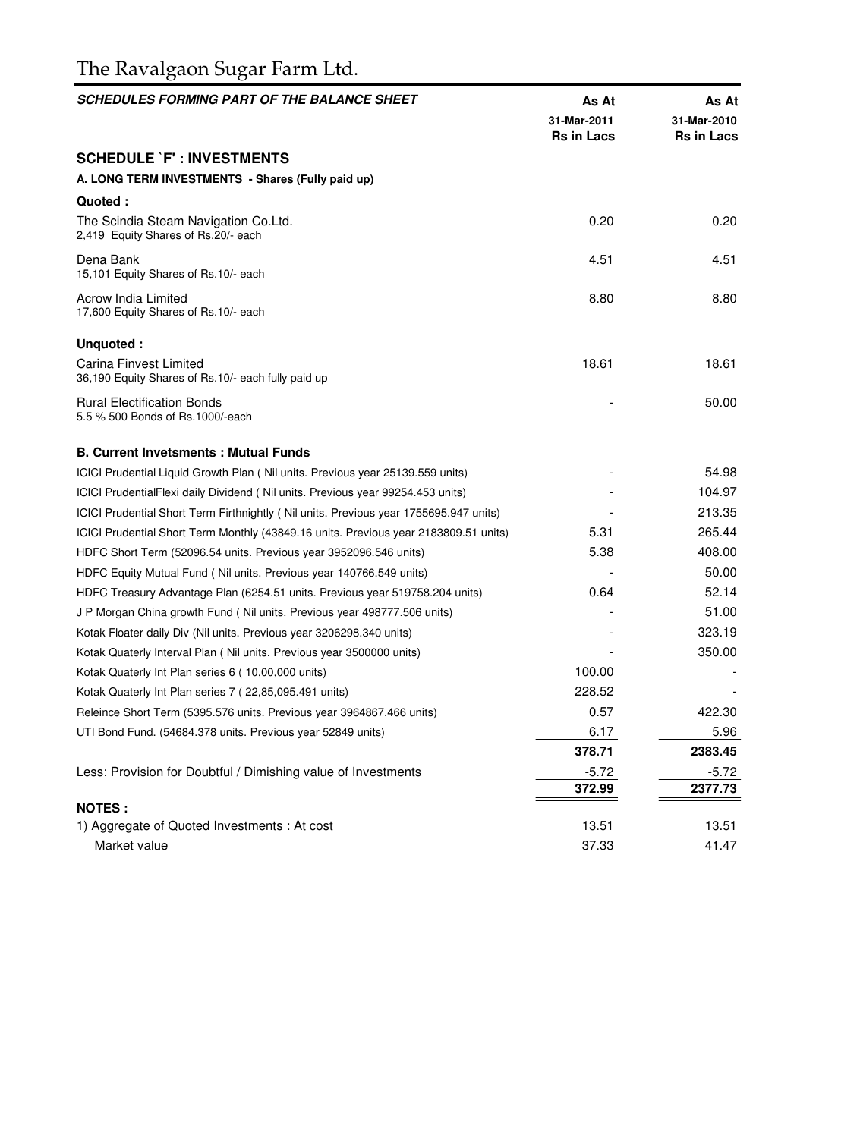# The Ravalgaon Sugar Farm Ltd.

| <b>SCHEDULES FORMING PART OF THE BALANCE SHEET</b>                                    | As At<br>31-Mar-2011<br><b>Rs in Lacs</b> | As At<br>31-Mar-2010<br><b>Rs in Lacs</b> |
|---------------------------------------------------------------------------------------|-------------------------------------------|-------------------------------------------|
| <b>SCHEDULE `F': INVESTMENTS</b>                                                      |                                           |                                           |
| A. LONG TERM INVESTMENTS - Shares (Fully paid up)                                     |                                           |                                           |
| Quoted:                                                                               |                                           |                                           |
| The Scindia Steam Navigation Co.Ltd.<br>2,419 Equity Shares of Rs.20/- each           | 0.20                                      | 0.20                                      |
| Dena Bank<br>15,101 Equity Shares of Rs.10/- each                                     | 4.51                                      | 4.51                                      |
| Acrow India Limited<br>17,600 Equity Shares of Rs.10/- each                           | 8.80                                      | 8.80                                      |
| Unquoted:                                                                             |                                           |                                           |
| Carina Finvest Limited<br>36,190 Equity Shares of Rs.10/- each fully paid up          | 18.61                                     | 18.61                                     |
| <b>Rural Electification Bonds</b><br>5.5 % 500 Bonds of Rs.1000/-each                 |                                           | 50.00                                     |
| <b>B. Current Invetsments: Mutual Funds</b>                                           |                                           |                                           |
| ICICI Prudential Liquid Growth Plan (Nil units. Previous year 25139.559 units)        |                                           | 54.98                                     |
| ICICI PrudentialFlexi daily Dividend (Nil units. Previous year 99254.453 units)       |                                           | 104.97                                    |
| ICICI Prudential Short Term Firthnightly (Nil units. Previous year 1755695.947 units) |                                           | 213.35                                    |
| ICICI Prudential Short Term Monthly (43849.16 units. Previous year 2183809.51 units)  | 5.31                                      | 265.44                                    |
| HDFC Short Term (52096.54 units. Previous year 3952096.546 units)                     | 5.38                                      | 408.00                                    |
| HDFC Equity Mutual Fund (Nil units. Previous year 140766.549 units)                   |                                           | 50.00                                     |
| HDFC Treasury Advantage Plan (6254.51 units. Previous year 519758.204 units)          | 0.64                                      | 52.14                                     |
| J P Morgan China growth Fund (Nil units. Previous year 498777.506 units)              |                                           | 51.00                                     |
| Kotak Floater daily Div (Nil units. Previous year 3206298.340 units)                  |                                           | 323.19                                    |
| Kotak Quaterly Interval Plan (Nil units. Previous year 3500000 units)                 |                                           | 350.00                                    |
| Kotak Quaterly Int Plan series 6 (10,00,000 units)                                    | 100.00                                    |                                           |
| Kotak Quaterly Int Plan series 7 (22,85,095.491 units)                                | 228.52                                    |                                           |
| Releince Short Term (5395.576 units. Previous year 3964867.466 units)                 | 0.57                                      | 422.30                                    |
| UTI Bond Fund. (54684.378 units. Previous year 52849 units)                           | 6.17                                      | 5.96                                      |
|                                                                                       | 378.71                                    | 2383.45                                   |
| Less: Provision for Doubtful / Dimishing value of Investments                         | $-5.72$                                   | $-5.72$                                   |
|                                                                                       | 372.99                                    | 2377.73                                   |
| <b>NOTES:</b>                                                                         |                                           |                                           |
| 1) Aggregate of Quoted Investments: At cost                                           | 13.51                                     | 13.51                                     |
| Market value                                                                          | 37.33                                     | 41.47                                     |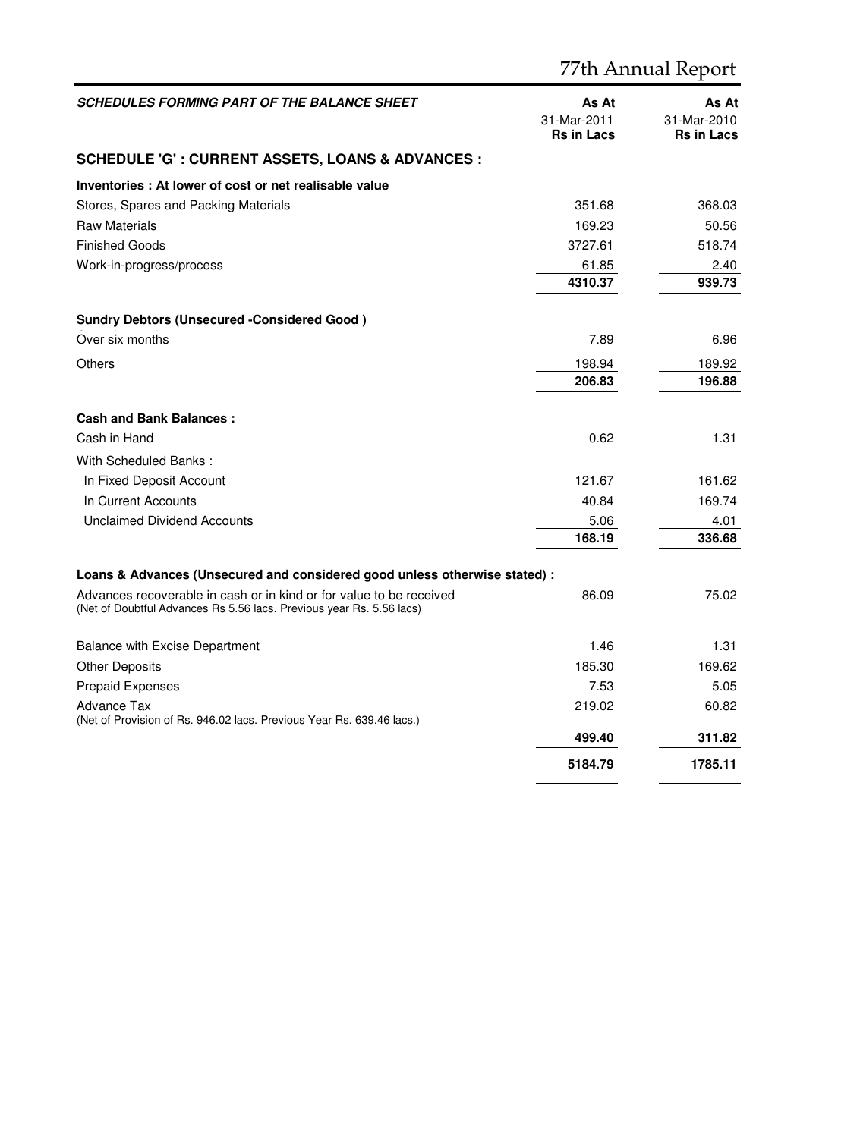|                                                                                                                                             |                                           | 77th Annual Report                        |
|---------------------------------------------------------------------------------------------------------------------------------------------|-------------------------------------------|-------------------------------------------|
| <b>SCHEDULES FORMING PART OF THE BALANCE SHEET</b>                                                                                          | As At<br>31-Mar-2011<br><b>Rs in Lacs</b> | As At<br>31-Mar-2010<br><b>Rs in Lacs</b> |
| <b>SCHEDULE 'G' : CURRENT ASSETS, LOANS &amp; ADVANCES :</b>                                                                                |                                           |                                           |
| Inventories: At lower of cost or net realisable value                                                                                       |                                           |                                           |
| Stores, Spares and Packing Materials                                                                                                        | 351.68                                    | 368.03                                    |
| <b>Raw Materials</b>                                                                                                                        | 169.23                                    | 50.56                                     |
| <b>Finished Goods</b>                                                                                                                       | 3727.61                                   | 518.74                                    |
| Work-in-progress/process                                                                                                                    | 61.85                                     | 2.40                                      |
|                                                                                                                                             | 4310.37                                   | 939.73                                    |
| <b>Sundry Debtors (Unsecured -Considered Good)</b>                                                                                          |                                           |                                           |
| Over six months                                                                                                                             | 7.89                                      | 6.96                                      |
| Others                                                                                                                                      | 198.94                                    | 189.92                                    |
|                                                                                                                                             | 206.83                                    | 196.88                                    |
| <b>Cash and Bank Balances:</b>                                                                                                              |                                           |                                           |
| Cash in Hand                                                                                                                                | 0.62                                      | 1.31                                      |
| With Scheduled Banks:                                                                                                                       |                                           |                                           |
| In Fixed Deposit Account                                                                                                                    | 121.67                                    | 161.62                                    |
| In Current Accounts                                                                                                                         | 40.84                                     | 169.74                                    |
| <b>Unclaimed Dividend Accounts</b>                                                                                                          | 5.06                                      | 4.01                                      |
|                                                                                                                                             | 168.19                                    | 336.68                                    |
| Loans & Advances (Unsecured and considered good unless otherwise stated) :                                                                  |                                           |                                           |
| Advances recoverable in cash or in kind or for value to be received<br>(Net of Doubtful Advances Rs 5.56 lacs. Previous year Rs. 5.56 lacs) | 86.09                                     | 75.02                                     |
| <b>Balance with Excise Department</b>                                                                                                       | 1.46                                      | 1.31                                      |
| <b>Other Deposits</b>                                                                                                                       | 185.30                                    | 169.62                                    |
| <b>Prepaid Expenses</b>                                                                                                                     | 7.53                                      | 5.05                                      |
| Advance Tax                                                                                                                                 | 219.02                                    | 60.82                                     |
| (Net of Provision of Rs. 946.02 lacs. Previous Year Rs. 639.46 lacs.)                                                                       | 499.40                                    | 311.82                                    |
|                                                                                                                                             |                                           |                                           |
|                                                                                                                                             | 5184.79                                   | 1785.11                                   |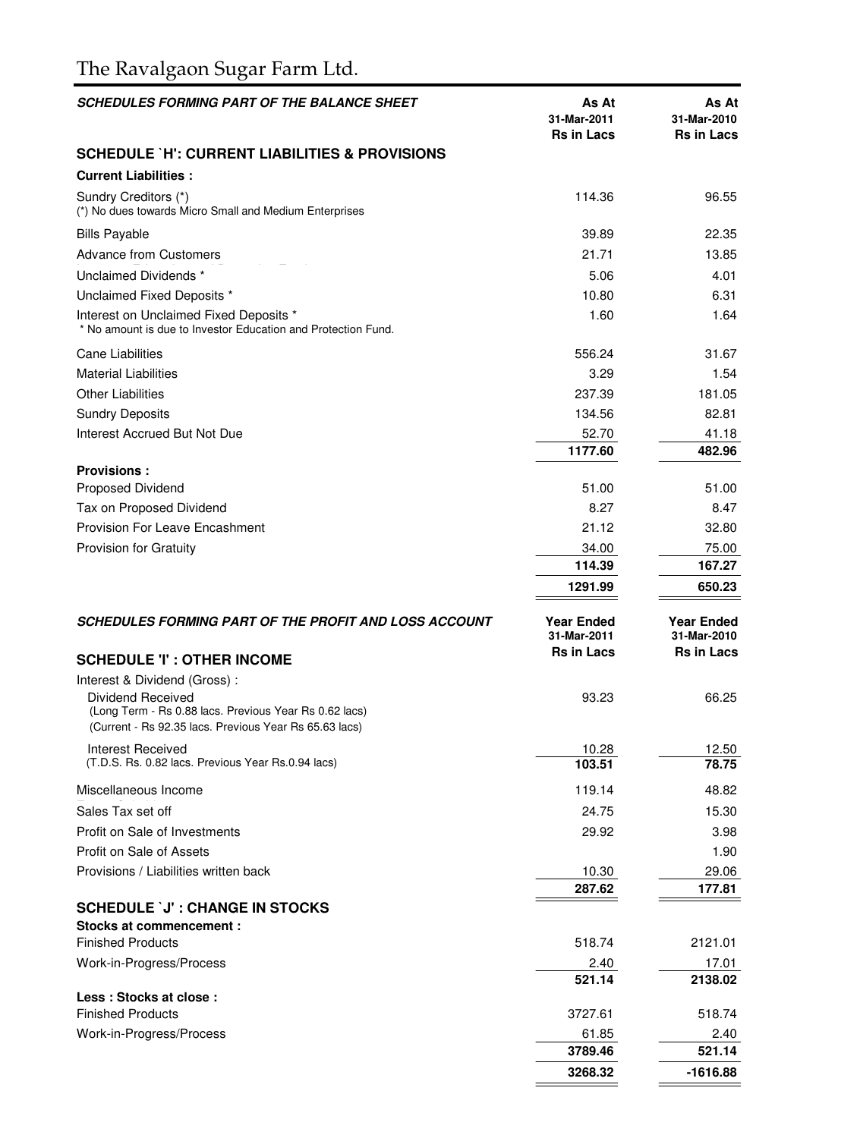# The Ravalgaon Sugar Farm Ltd.

| <b>SCHEDULES FORMING PART OF THE BALANCE SHEET</b>                                                                                                                    | As At<br>31-Mar-2011<br><b>Rs in Lacs</b> | As At<br>31-Mar-2010<br><b>Rs in Lacs</b> |
|-----------------------------------------------------------------------------------------------------------------------------------------------------------------------|-------------------------------------------|-------------------------------------------|
| <b>SCHEDULE `H': CURRENT LIABILITIES &amp; PROVISIONS</b>                                                                                                             |                                           |                                           |
| <b>Current Liabilities:</b>                                                                                                                                           |                                           |                                           |
| Sundry Creditors (*)<br>(*) No dues towards Micro Small and Medium Enterprises                                                                                        | 114.36                                    | 96.55                                     |
| <b>Bills Payable</b>                                                                                                                                                  | 39.89                                     | 22.35                                     |
| <b>Advance from Customers</b>                                                                                                                                         | 21.71                                     | 13.85                                     |
| Unclaimed Dividends *                                                                                                                                                 | 5.06                                      | 4.01                                      |
| Unclaimed Fixed Deposits *                                                                                                                                            | 10.80                                     | 6.31                                      |
| Interest on Unclaimed Fixed Deposits *<br>* No amount is due to Investor Education and Protection Fund.                                                               | 1.60                                      | 1.64                                      |
| <b>Cane Liabilities</b>                                                                                                                                               | 556.24                                    | 31.67                                     |
| <b>Material Liabilities</b>                                                                                                                                           | 3.29                                      | 1.54                                      |
| <b>Other Liabilities</b>                                                                                                                                              | 237.39                                    | 181.05                                    |
| <b>Sundry Deposits</b>                                                                                                                                                | 134.56                                    | 82.81                                     |
| Interest Accrued But Not Due                                                                                                                                          | 52.70                                     | 41.18                                     |
|                                                                                                                                                                       | 1177.60                                   | 482.96                                    |
| <b>Provisions:</b>                                                                                                                                                    |                                           |                                           |
| Proposed Dividend                                                                                                                                                     | 51.00                                     | 51.00                                     |
| Tax on Proposed Dividend                                                                                                                                              | 8.27                                      | 8.47                                      |
| <b>Provision For Leave Encashment</b>                                                                                                                                 | 21.12                                     | 32.80                                     |
| <b>Provision for Gratuity</b>                                                                                                                                         | 34.00                                     | 75.00                                     |
|                                                                                                                                                                       | 114.39                                    | 167.27                                    |
|                                                                                                                                                                       | 1291.99                                   | 650.23                                    |
| SCHEDULES FORMING PART OF THE PROFIT AND LOSS ACCOUNT                                                                                                                 | <b>Year Ended</b><br>31-Mar-2011          | <b>Year Ended</b><br>31-Mar-2010          |
| <b>SCHEDULE 'I' : OTHER INCOME</b>                                                                                                                                    | <b>Rs in Lacs</b>                         | <b>Rs in Lacs</b>                         |
| Interest & Dividend (Gross):<br>Dividend Received<br>(Long Term - Rs 0.88 lacs. Previous Year Rs 0.62 lacs)<br>(Current - Rs 92.35 lacs. Previous Year Rs 65.63 lacs) | 93.23                                     | 66.25                                     |
| <b>Interest Received</b>                                                                                                                                              | 10.28                                     | 12.50                                     |
| (T.D.S. Rs. 0.82 lacs. Previous Year Rs.0.94 lacs)                                                                                                                    | 103.51                                    | 78.75                                     |
| Miscellaneous Income                                                                                                                                                  | 119.14                                    | 48.82                                     |
| Sales Tax set off                                                                                                                                                     | 24.75                                     | 15.30                                     |
| Profit on Sale of Investments                                                                                                                                         | 29.92                                     | 3.98                                      |
| Profit on Sale of Assets                                                                                                                                              |                                           | 1.90                                      |
| Provisions / Liabilities written back                                                                                                                                 | 10.30                                     | 29.06                                     |
|                                                                                                                                                                       | 287.62                                    | 177.81                                    |
| <b>SCHEDULE `J' : CHANGE IN STOCKS</b>                                                                                                                                |                                           |                                           |
| Stocks at commencement:                                                                                                                                               |                                           |                                           |
| <b>Finished Products</b>                                                                                                                                              | 518.74                                    | 2121.01                                   |
| Work-in-Progress/Process                                                                                                                                              | 2.40                                      | 17.01                                     |
| Less: Stocks at close:                                                                                                                                                | 521.14                                    | 2138.02                                   |
| <b>Finished Products</b>                                                                                                                                              | 3727.61                                   | 518.74                                    |
| Work-in-Progress/Process                                                                                                                                              | 61.85                                     | 2.40                                      |
|                                                                                                                                                                       | 3789.46                                   | 521.14                                    |
|                                                                                                                                                                       | 3268.32                                   | -1616.88                                  |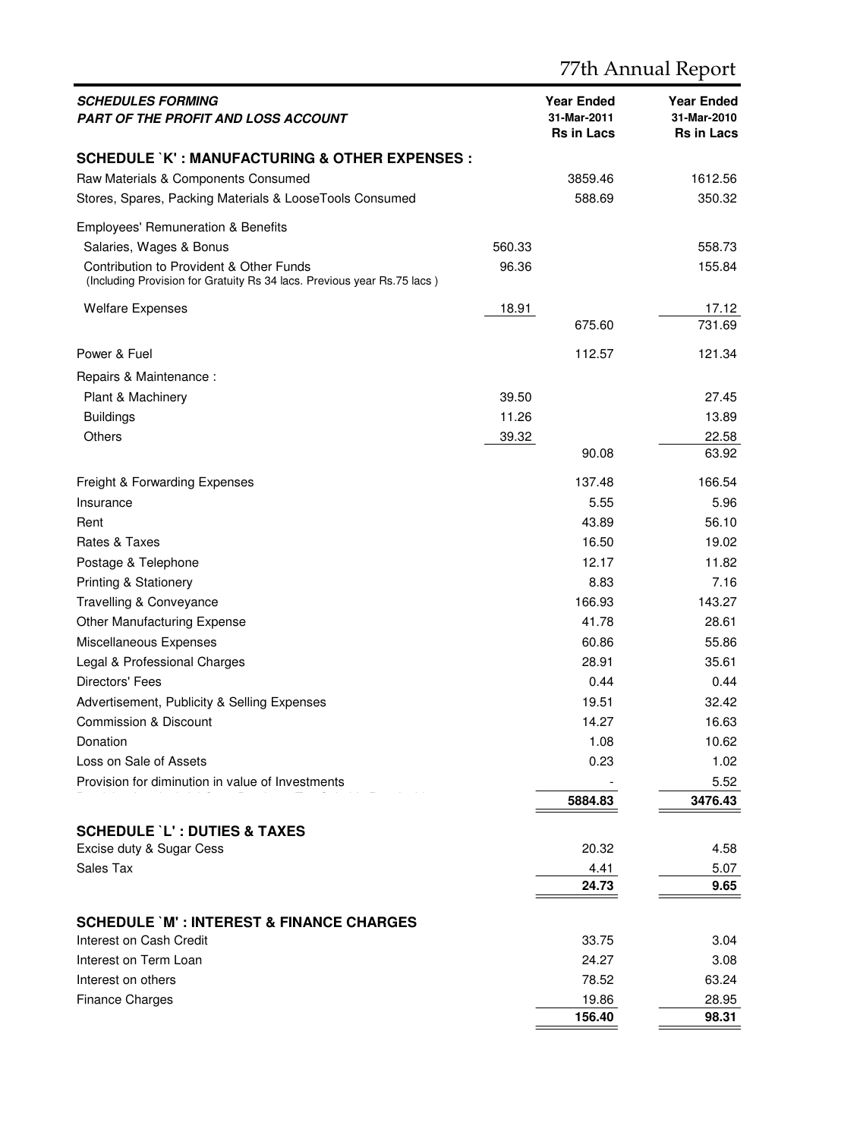| <i>SCHEDULES FORMING</i><br>PART OF THE PROFIT AND LOSS ACCOUNT                                                    |        | <b>Year Ended</b><br>31-Mar-2011<br><b>Rs in Lacs</b> | Year Ended<br>31-Mar-2010<br><b>Rs in Lacs</b> |
|--------------------------------------------------------------------------------------------------------------------|--------|-------------------------------------------------------|------------------------------------------------|
| <b>SCHEDULE`K' : MANUFACTURING &amp; OTHER EXPENSES :</b>                                                          |        |                                                       |                                                |
| Raw Materials & Components Consumed                                                                                |        | 3859.46                                               | 1612.56                                        |
| Stores, Spares, Packing Materials & LooseTools Consumed                                                            |        | 588.69                                                | 350.32                                         |
| Employees' Remuneration & Benefits                                                                                 |        |                                                       |                                                |
| Salaries, Wages & Bonus                                                                                            | 560.33 |                                                       | 558.73                                         |
| Contribution to Provident & Other Funds<br>(Including Provision for Gratuity Rs 34 lacs. Previous year Rs.75 lacs) | 96.36  |                                                       | 155.84                                         |
| <b>Welfare Expenses</b>                                                                                            | 18.91  |                                                       | 17.12                                          |
|                                                                                                                    |        | 675.60                                                | 731.69                                         |
| Power & Fuel                                                                                                       |        | 112.57                                                | 121.34                                         |
| Repairs & Maintenance :                                                                                            |        |                                                       |                                                |
| Plant & Machinery                                                                                                  | 39.50  |                                                       | 27.45                                          |
| <b>Buildings</b>                                                                                                   | 11.26  |                                                       | 13.89                                          |
| Others                                                                                                             | 39.32  |                                                       | 22.58                                          |
|                                                                                                                    |        | 90.08                                                 | 63.92                                          |
| Freight & Forwarding Expenses                                                                                      |        | 137.48                                                | 166.54                                         |
| Insurance                                                                                                          |        | 5.55                                                  | 5.96                                           |
| Rent                                                                                                               |        | 43.89                                                 | 56.10                                          |
| Rates & Taxes                                                                                                      |        | 16.50                                                 | 19.02                                          |
| Postage & Telephone                                                                                                |        | 12.17                                                 | 11.82                                          |
| <b>Printing &amp; Stationery</b>                                                                                   |        | 8.83                                                  | 7.16                                           |
| Travelling & Conveyance                                                                                            |        | 166.93                                                | 143.27                                         |
| Other Manufacturing Expense                                                                                        |        | 41.78                                                 | 28.61                                          |
| Miscellaneous Expenses                                                                                             |        | 60.86                                                 | 55.86                                          |
| Legal & Professional Charges                                                                                       |        | 28.91                                                 | 35.61                                          |
| Directors' Fees                                                                                                    |        | 0.44                                                  | 0.44                                           |
| Advertisement, Publicity & Selling Expenses                                                                        |        | 19.51                                                 | 32.42                                          |
| Commission & Discount                                                                                              |        | 14.27                                                 | 16.63                                          |
| Donation                                                                                                           |        | 1.08                                                  | 10.62                                          |
| Loss on Sale of Assets                                                                                             |        | 0.23                                                  | 1.02                                           |
| Provision for diminution in value of Investments                                                                   |        |                                                       | 5.52                                           |
|                                                                                                                    |        | 5884.83                                               | 3476.43                                        |
| <b>SCHEDULE 'L' : DUTIES &amp; TAXES</b>                                                                           |        |                                                       |                                                |
| Excise duty & Sugar Cess                                                                                           |        | 20.32                                                 | 4.58                                           |
| Sales Tax                                                                                                          |        | 4.41                                                  | 5.07                                           |
|                                                                                                                    |        | 24.73                                                 | 9.65                                           |
| <b>SCHEDULE `M': INTEREST &amp; FINANCE CHARGES</b>                                                                |        |                                                       |                                                |
| Interest on Cash Credit                                                                                            |        | 33.75                                                 | 3.04                                           |
| Interest on Term Loan                                                                                              |        | 24.27                                                 | 3.08                                           |
| Interest on others                                                                                                 |        | 78.52                                                 | 63.24                                          |
| <b>Finance Charges</b>                                                                                             |        | 19.86                                                 | 28.95                                          |
|                                                                                                                    |        | 156.40                                                | 98.31                                          |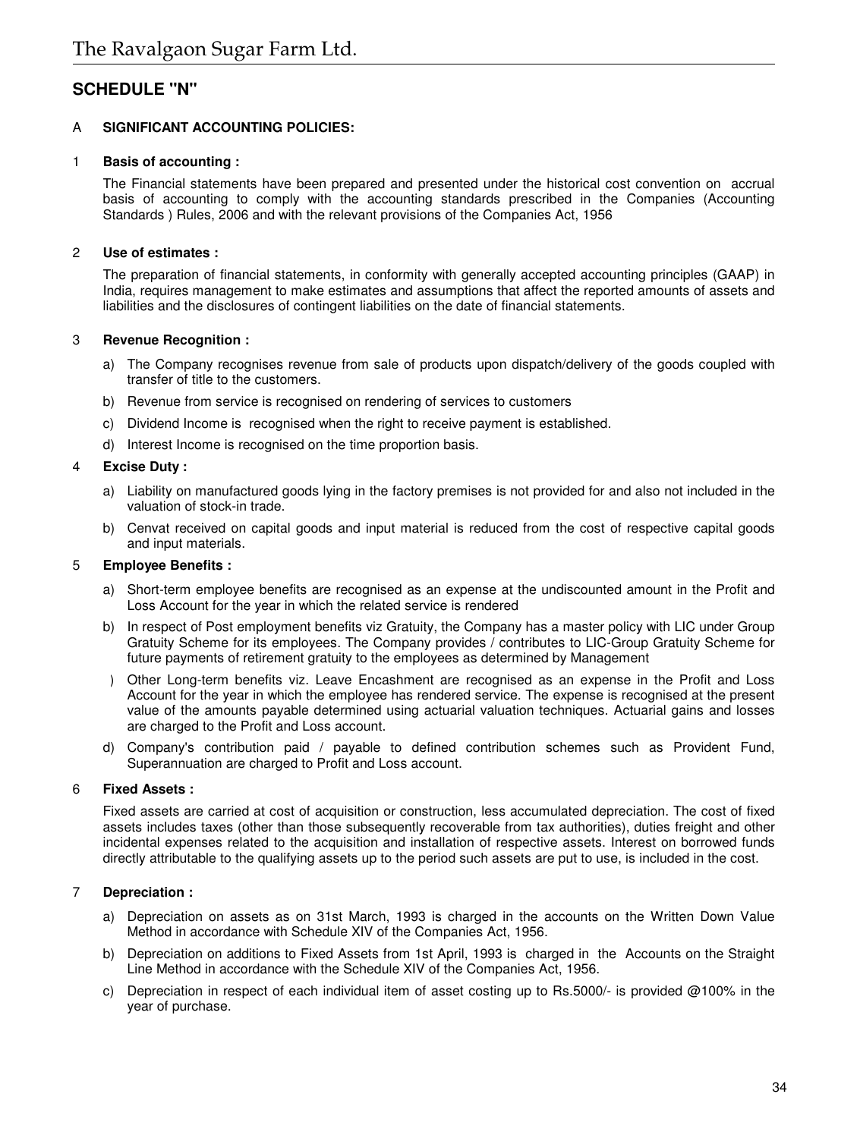# **SCHEDULE "N"**

# A **SIGNIFICANT ACCOUNTING POLICIES:**

# 1 **Basis of accounting :**

The Financial statements have been prepared and presented under the historical cost convention on accrual basis of accounting to comply with the accounting standards prescribed in the Companies (Accounting Standards ) Rules, 2006 and with the relevant provisions of the Companies Act, 1956

# 2 **Use of estimates :**

The preparation of financial statements, in conformity with generally accepted accounting principles (GAAP) in India, requires management to make estimates and assumptions that affect the reported amounts of assets and liabilities and the disclosures of contingent liabilities on the date of financial statements.

# 3 **Revenue Recognition :**

- a) The Company recognises revenue from sale of products upon dispatch/delivery of the goods coupled with transfer of title to the customers.
- b) Revenue from service is recognised on rendering of services to customers
- c) Dividend Income is recognised when the right to receive payment is established.
- d) Interest Income is recognised on the time proportion basis.

# 4 **Excise Duty :**

- a) Liability on manufactured goods lying in the factory premises is not provided for and also not included in the valuation of stock-in trade.
- b) Cenvat received on capital goods and input material is reduced from the cost of respective capital goods and input materials.

# 5 **Employee Benefits :**

- a) Short-term employee benefits are recognised as an expense at the undiscounted amount in the Profit and Loss Account for the year in which the related service is rendered
- b) In respect of Post employment benefits viz Gratuity, the Company has a master policy with LIC under Group Gratuity Scheme for its employees. The Company provides / contributes to LIC-Group Gratuity Scheme for future payments of retirement gratuity to the employees as determined by Management
- c) Other Long-term benefits viz. Leave Encashment are recognised as an expense in the Profit and Loss Account for the year in which the employee has rendered service. The expense is recognised at the present value of the amounts payable determined using actuarial valuation techniques. Actuarial gains and losses are charged to the Profit and Loss account.
- d) Company's contribution paid / payable to defined contribution schemes such as Provident Fund, Superannuation are charged to Profit and Loss account.

# 6 **Fixed Assets :**

Fixed assets are carried at cost of acquisition or construction, less accumulated depreciation. The cost of fixed assets includes taxes (other than those subsequently recoverable from tax authorities), duties freight and other incidental expenses related to the acquisition and installation of respective assets. Interest on borrowed funds directly attributable to the qualifying assets up to the period such assets are put to use, is included in the cost.

# 7 **Depreciation :**

- a) Depreciation on assets as on 31st March, 1993 is charged in the accounts on the Written Down Value Method in accordance with Schedule XIV of the Companies Act, 1956.
- b) Depreciation on additions to Fixed Assets from 1st April, 1993 is charged in the Accounts on the Straight Line Method in accordance with the Schedule XIV of the Companies Act, 1956.
- c) Depreciation in respect of each individual item of asset costing up to Rs.5000/- is provided  $@100\%$  in the year of purchase.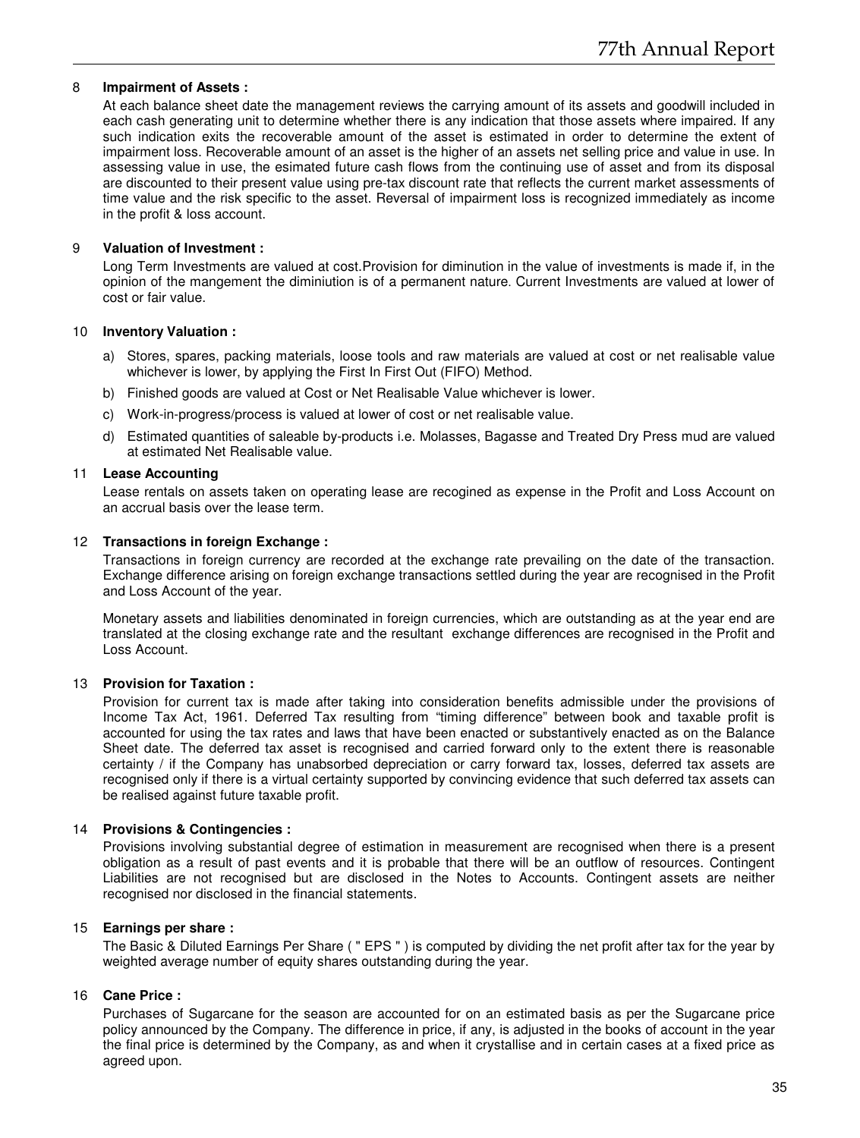#### 8 **Impairment of Assets :**

At each balance sheet date the management reviews the carrying amount of its assets and goodwill included in each cash generating unit to determine whether there is any indication that those assets where impaired. If any such indication exits the recoverable amount of the asset is estimated in order to determine the extent of impairment loss. Recoverable amount of an asset is the higher of an assets net selling price and value in use. In assessing value in use, the esimated future cash flows from the continuing use of asset and from its disposal are discounted to their present value using pre-tax discount rate that reflects the current market assessments of time value and the risk specific to the asset. Reversal of impairment loss is recognized immediately as income in the profit & loss account.

# 9 **Valuation of Investment :**

Long Term Investments are valued at cost.Provision for diminution in the value of investments is made if, in the opinion of the mangement the diminiution is of a permanent nature. Current Investments are valued at lower of cost or fair value.

#### 10 **Inventory Valuation :**

- a) Stores, spares, packing materials, loose tools and raw materials are valued at cost or net realisable value whichever is lower, by applying the First In First Out (FIFO) Method.
- b) Finished goods are valued at Cost or Net Realisable Value whichever is lower.
- c) Work-in-progress/process is valued at lower of cost or net realisable value.
- d) Estimated quantities of saleable by-products i.e. Molasses, Bagasse and Treated Dry Press mud are valued at estimated Net Realisable value.

# 11 **Lease Accounting**

Lease rentals on assets taken on operating lease are recogined as expense in the Profit and Loss Account on an accrual basis over the lease term.

# 12 **Transactions in foreign Exchange :**

Transactions in foreign currency are recorded at the exchange rate prevailing on the date of the transaction. Exchange difference arising on foreign exchange transactions settled during the year are recognised in the Profit and Loss Account of the year.

Monetary assets and liabilities denominated in foreign currencies, which are outstanding as at the year end are translated at the closing exchange rate and the resultant exchange differences are recognised in the Profit and Loss Account.

# 13 **Provision for Taxation :**

Provision for current tax is made after taking into consideration benefits admissible under the provisions of Income Tax Act, 1961. Deferred Tax resulting from "timing difference" between book and taxable profit is accounted for using the tax rates and laws that have been enacted or substantively enacted as on the Balance Sheet date. The deferred tax asset is recognised and carried forward only to the extent there is reasonable certainty / if the Company has unabsorbed depreciation or carry forward tax, losses, deferred tax assets are recognised only if there is a virtual certainty supported by convincing evidence that such deferred tax assets can be realised against future taxable profit.

# 14 **Provisions & Contingencies :**

Provisions involving substantial degree of estimation in measurement are recognised when there is a present obligation as a result of past events and it is probable that there will be an outflow of resources. Contingent Liabilities are not recognised but are disclosed in the Notes to Accounts. Contingent assets are neither recognised nor disclosed in the financial statements.

# 15 **Earnings per share :**

The Basic & Diluted Earnings Per Share ( " EPS " ) is computed by dividing the net profit after tax for the year by weighted average number of equity shares outstanding during the year.

# 16 **Cane Price :**

Purchases of Sugarcane for the season are accounted for on an estimated basis as per the Sugarcane price policy announced by the Company. The difference in price, if any, is adjusted in the books of account in the year the final price is determined by the Company, as and when it crystallise and in certain cases at a fixed price as agreed upon.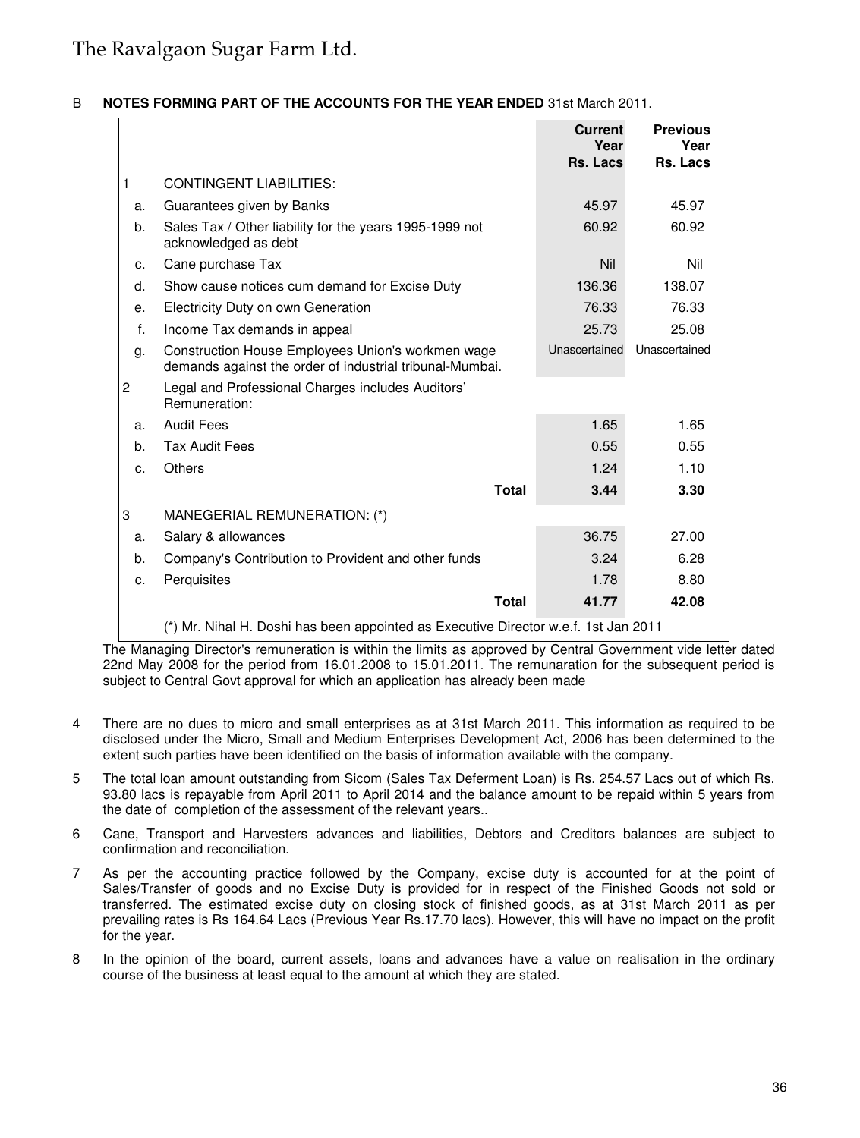# B **NOTES FORMING PART OF THE ACCOUNTS FOR THE YEAR ENDED** 31st March 2011.

|                |                                                                                                               | <b>Current</b><br>Year | <b>Previous</b><br>Year |
|----------------|---------------------------------------------------------------------------------------------------------------|------------------------|-------------------------|
|                |                                                                                                               | Rs. Lacs               | Rs. Lacs                |
| 1              | <b>CONTINGENT LIABILITIES:</b>                                                                                |                        |                         |
| a.             | Guarantees given by Banks                                                                                     | 45.97                  | 45.97                   |
| b.             | Sales Tax / Other liability for the years 1995-1999 not<br>acknowledged as debt                               | 60.92                  | 60.92                   |
| c.             | Cane purchase Tax                                                                                             | Nil                    | Nil                     |
| d.             | Show cause notices cum demand for Excise Duty                                                                 | 136.36                 | 138.07                  |
| е.             | Electricity Duty on own Generation                                                                            | 76.33                  | 76.33                   |
| f.             | Income Tax demands in appeal                                                                                  | 25.73                  | 25.08                   |
| g.             | Construction House Employees Union's workmen wage<br>demands against the order of industrial tribunal-Mumbai. | Unascertained          | Unascertained           |
| $\overline{c}$ | Legal and Professional Charges includes Auditors'<br>Remuneration:                                            |                        |                         |
| a.             | <b>Audit Fees</b>                                                                                             | 1.65                   | 1.65                    |
| b.             | <b>Tax Audit Fees</b>                                                                                         | 0.55                   | 0.55                    |
| c.             | <b>Others</b>                                                                                                 | 1.24                   | 1.10                    |
|                | <b>Total</b>                                                                                                  | 3.44                   | 3.30                    |
| 3              | MANEGERIAL REMUNERATION: (*)                                                                                  |                        |                         |
| a.             | Salary & allowances                                                                                           | 36.75                  | 27.00                   |
| b.             | Company's Contribution to Provident and other funds                                                           | 3.24                   | 6.28                    |
| c.             | Perquisites                                                                                                   | 1.78                   | 8.80                    |
|                | <b>Total</b>                                                                                                  | 41.77                  | 42.08                   |
|                | (*) Mr. Nihal H. Doshi has been appointed as Executive Director w.e.f. 1st Jan 2011                           |                        |                         |

The Managing Director's remuneration is within the limits as approved by Central Government vide letter dated 22nd May 2008 for the period from 16.01.2008 to 15.01.2011. The remunaration for the subsequent period is subject to Central Govt approval for which an application has already been made

- 4 There are no dues to micro and small enterprises as at 31st March 2011. This information as required to be disclosed under the Micro, Small and Medium Enterprises Development Act, 2006 has been determined to the extent such parties have been identified on the basis of information available with the company.
- 5 The total loan amount outstanding from Sicom (Sales Tax Deferment Loan) is Rs. 254.57 Lacs out of which Rs. 93.80 lacs is repayable from April 2011 to April 2014 and the balance amount to be repaid within 5 years from the date of completion of the assessment of the relevant years..
- 6 Cane, Transport and Harvesters advances and liabilities, Debtors and Creditors balances are subject to confirmation and reconciliation.
- 7 As per the accounting practice followed by the Company, excise duty is accounted for at the point of Sales/Transfer of goods and no Excise Duty is provided for in respect of the Finished Goods not sold or transferred. The estimated excise duty on closing stock of finished goods, as at 31st March 2011 as per prevailing rates is Rs 164.64 Lacs (Previous Year Rs.17.70 lacs). However, this will have no impact on the profit for the year.
- 8 In the opinion of the board, current assets, loans and advances have a value on realisation in the ordinary course of the business at least equal to the amount at which they are stated.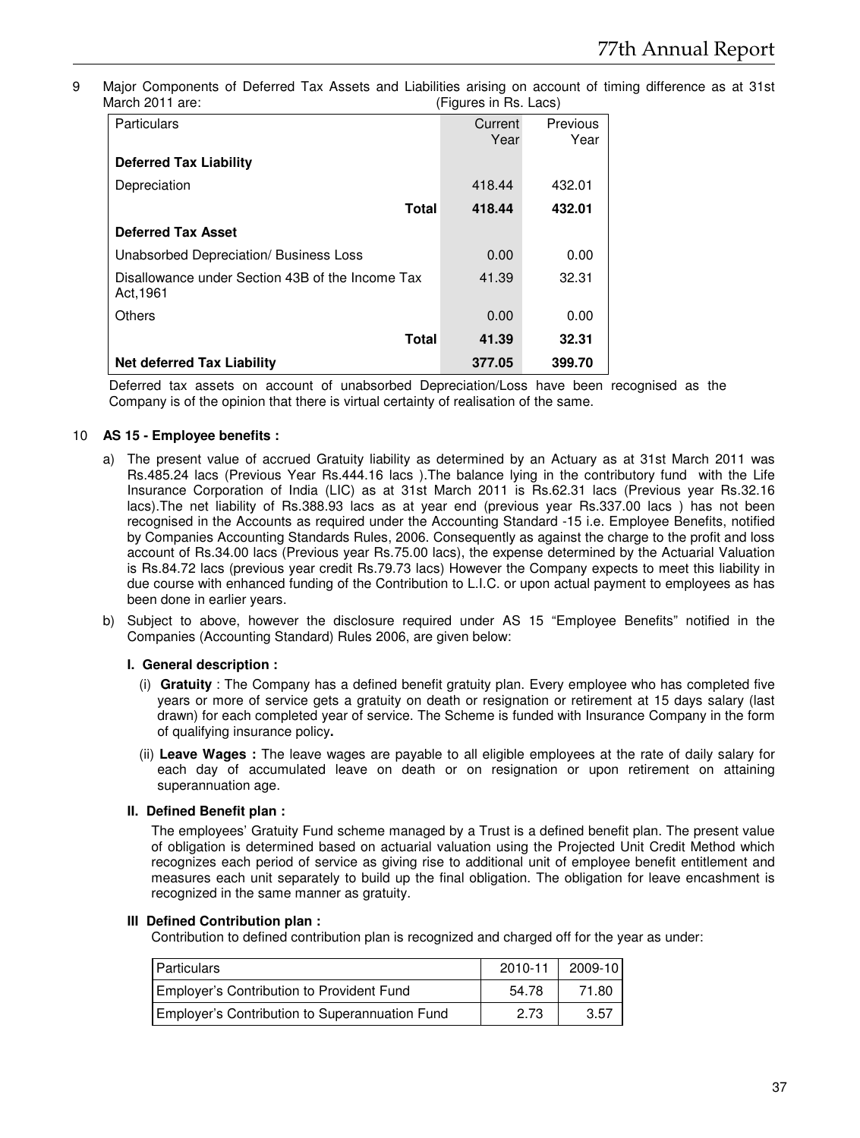9 Major Components of Deferred Tax Assets and Liabilities arising on account of timing difference as at 31st<br>March 2011 are: (Figures in Rs. Lacs) (Figures in Rs. Lacs)

| <b>Particulars</b>                                            | Current<br>Year | Previous<br>Year |
|---------------------------------------------------------------|-----------------|------------------|
| <b>Deferred Tax Liability</b>                                 |                 |                  |
| Depreciation                                                  | 418.44          | 432.01           |
| Total                                                         | 418.44          | 432.01           |
| <b>Deferred Tax Asset</b>                                     |                 |                  |
| Unabsorbed Depreciation/ Business Loss                        | 0.00            | 0.00             |
| Disallowance under Section 43B of the Income Tax<br>Act. 1961 | 41.39           | 32.31            |
| Others                                                        | 0.00            | 0.00             |
| <b>Total</b>                                                  | 41.39           | 32.31            |
| Net deferred Tax Liability                                    | 377.05          | 399.70           |

Deferred tax assets on account of unabsorbed Depreciation/Loss have been recognised as the Company is of the opinion that there is virtual certainty of realisation of the same.

# 10 **AS 15 - Employee benefits :**

- a) The present value of accrued Gratuity liability as determined by an Actuary as at 31st March 2011 was Rs.485.24 lacs (Previous Year Rs.444.16 lacs ).The balance lying in the contributory fund with the Life Insurance Corporation of India (LIC) as at 31st March 2011 is Rs.62.31 lacs (Previous year Rs.32.16 lacs).The net liability of Rs.388.93 lacs as at year end (previous year Rs.337.00 lacs ) has not been recognised in the Accounts as required under the Accounting Standard -15 i.e. Employee Benefits, notified by Companies Accounting Standards Rules, 2006. Consequently as against the charge to the profit and loss account of Rs.34.00 lacs (Previous year Rs.75.00 lacs), the expense determined by the Actuarial Valuation is Rs.84.72 lacs (previous year credit Rs.79.73 lacs) However the Company expects to meet this liability in due course with enhanced funding of the Contribution to L.I.C. or upon actual payment to employees as has been done in earlier years.
- b) Subject to above, however the disclosure required under AS 15 "Employee Benefits" notified in the Companies (Accounting Standard) Rules 2006, are given below:

# **I. General description :**

- (i) **Gratuity** : The Company has a defined benefit gratuity plan. Every employee who has completed five years or more of service gets a gratuity on death or resignation or retirement at 15 days salary (last drawn) for each completed year of service. The Scheme is funded with Insurance Company in the form of qualifying insurance policy**.**
- (ii) **Leave Wages :** The leave wages are payable to all eligible employees at the rate of daily salary for each day of accumulated leave on death or on resignation or upon retirement on attaining superannuation age.

# **II. Defined Benefit plan :**

The employees' Gratuity Fund scheme managed by a Trust is a defined benefit plan. The present value of obligation is determined based on actuarial valuation using the Projected Unit Credit Method which recognizes each period of service as giving rise to additional unit of employee benefit entitlement and measures each unit separately to build up the final obligation. The obligation for leave encashment is recognized in the same manner as gratuity.

# **III Defined Contribution plan :**

Contribution to defined contribution plan is recognized and charged off for the year as under:

| <b>Particulars</b>                             | 2010-11 | 2009-10 |
|------------------------------------------------|---------|---------|
| Employer's Contribution to Provident Fund      | 54.78   | 71.80   |
| Employer's Contribution to Superannuation Fund | 2.73    | 3.57    |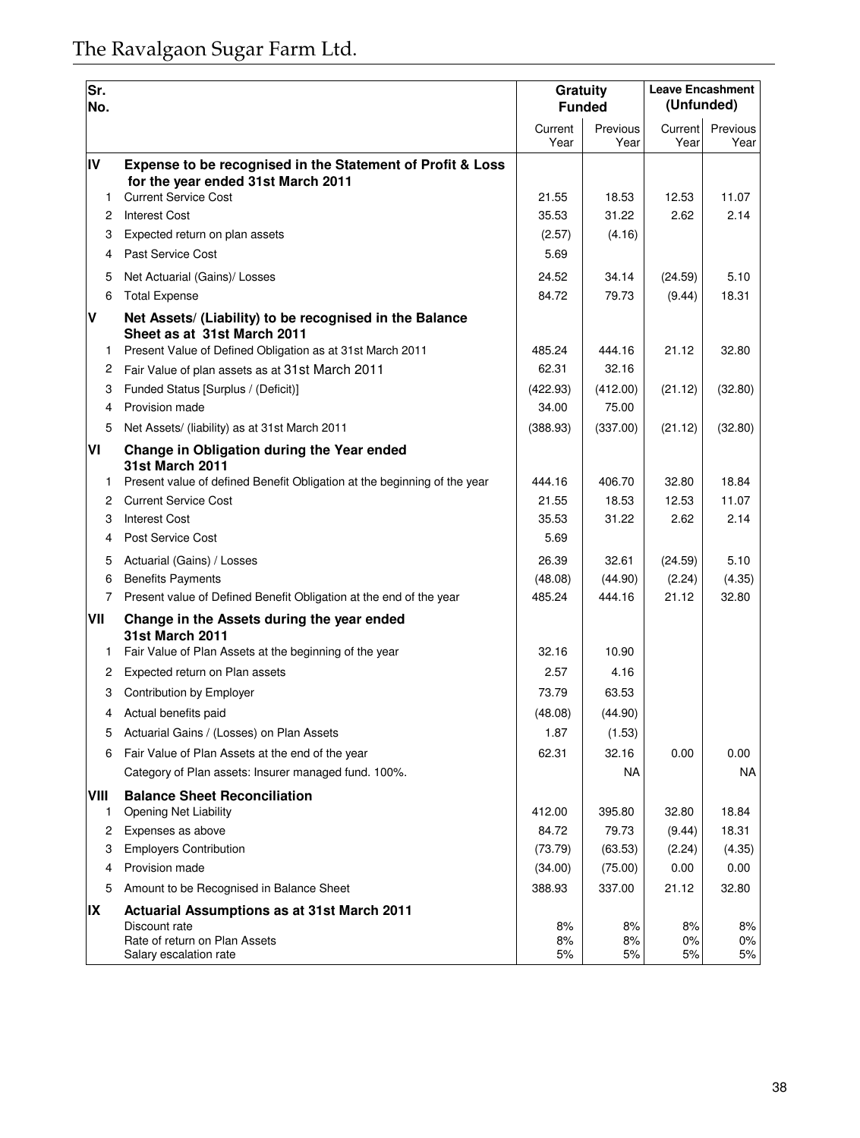| Sr.<br>No.     |                                                                                                  | Gratuity        | <b>Funded</b>    | <b>Leave Encashment</b><br>(Unfunded) |                   |  |
|----------------|--------------------------------------------------------------------------------------------------|-----------------|------------------|---------------------------------------|-------------------|--|
|                |                                                                                                  | Current<br>Year | Previous<br>Year | Current<br>Year                       | Previous<br>Year  |  |
| IV             | Expense to be recognised in the Statement of Profit & Loss<br>for the year ended 31st March 2011 |                 |                  |                                       |                   |  |
| $\mathbf{1}$   | <b>Current Service Cost</b>                                                                      | 21.55           | 18.53            | 12.53                                 | 11.07             |  |
|                | 2 Interest Cost                                                                                  | 35.53           | 31.22            | 2.62                                  | 2.14              |  |
| 3              | Expected return on plan assets                                                                   | (2.57)          | (4.16)           |                                       |                   |  |
| $\overline{4}$ | Past Service Cost                                                                                | 5.69            |                  |                                       |                   |  |
| 5              | Net Actuarial (Gains)/ Losses                                                                    | 24.52           | 34.14            | (24.59)                               | 5.10              |  |
| 6              | <b>Total Expense</b>                                                                             | 84.72           | 79.73            | (9.44)                                | 18.31             |  |
| V              | Net Assets/ (Liability) to be recognised in the Balance<br>Sheet as at 31st March 2011           |                 |                  |                                       |                   |  |
| $\mathbf{1}$   | Present Value of Defined Obligation as at 31st March 2011                                        | 485.24          | 444.16           | 21.12                                 | 32.80             |  |
| 2              | Fair Value of plan assets as at 31st March 2011                                                  | 62.31           | 32.16            |                                       |                   |  |
| 3              | Funded Status [Surplus / (Deficit)]                                                              | (422.93)        | (412.00)         | (21.12)                               | (32.80)           |  |
| $\overline{4}$ | Provision made                                                                                   | 34.00           | 75.00            |                                       |                   |  |
| 5              | Net Assets/ (liability) as at 31st March 2011                                                    | (388.93)        | (337.00)         | (21.12)                               | (32.80)           |  |
| VI             | Change in Obligation during the Year ended<br><b>31st March 2011</b>                             |                 |                  |                                       |                   |  |
| 1.             | Present value of defined Benefit Obligation at the beginning of the year                         | 444.16          | 406.70<br>18.53  | 32.80                                 | 18.84             |  |
| 2              | <b>Current Service Cost</b>                                                                      | 21.55           |                  | 12.53                                 | 11.07<br>2.14     |  |
| 3<br>4         | <b>Interest Cost</b><br>Post Service Cost                                                        | 35.53<br>5.69   | 31.22            | 2.62                                  |                   |  |
|                |                                                                                                  |                 |                  |                                       |                   |  |
| 5              | Actuarial (Gains) / Losses                                                                       | 26.39           | 32.61            | (24.59)                               | 5.10              |  |
| 6              | <b>Benefits Payments</b>                                                                         | (48.08)         | (44.90)          | (2.24)                                | (4.35)            |  |
| $7^{\circ}$    | Present value of Defined Benefit Obligation at the end of the year                               | 485.24          | 444.16           | 21.12                                 | 32.80             |  |
| VII            | Change in the Assets during the year ended<br><b>31st March 2011</b>                             |                 |                  |                                       |                   |  |
| 1.             | Fair Value of Plan Assets at the beginning of the year                                           | 32.16           | 10.90            |                                       |                   |  |
| 2              | Expected return on Plan assets                                                                   | 2.57            | 4.16             |                                       |                   |  |
| 3              | Contribution by Employer                                                                         | 73.79           | 63.53            |                                       |                   |  |
| 4              | Actual benefits paid                                                                             | (48.08)         | (44.90)          |                                       |                   |  |
| 5              | Actuarial Gains / (Losses) on Plan Assets                                                        | 1.87            | (1.53)           |                                       |                   |  |
| 6              | Fair Value of Plan Assets at the end of the year                                                 | 62.31           | 32.16            | 0.00                                  | 0.00              |  |
|                | Category of Plan assets: Insurer managed fund. 100%.                                             |                 | NA               |                                       | NA                |  |
| VIII<br>1      | <b>Balance Sheet Reconciliation</b><br>Opening Net Liability                                     | 412.00          | 395.80           | 32.80                                 | 18.84             |  |
|                | Expenses as above                                                                                | 84.72           | 79.73            | (9.44)                                | 18.31             |  |
| 3              | <b>Employers Contribution</b>                                                                    | (73.79)         | (63.53)          | (2.24)                                | (4.35)            |  |
| $\overline{4}$ | Provision made                                                                                   | (34.00)         | (75.00)          | 0.00                                  | 0.00              |  |
| 5              | Amount to be Recognised in Balance Sheet                                                         | 388.93          | 337.00           | 21.12                                 | 32.80             |  |
| IX             | Actuarial Assumptions as at 31st March 2011                                                      |                 |                  |                                       |                   |  |
|                | Discount rate<br>Rate of return on Plan Assets<br>Salary escalation rate                         | 8%<br>8%<br>5%  | 8%<br>8%<br>5%   | 8%<br>$0\%$<br>5%                     | 8%<br>$0\%$<br>5% |  |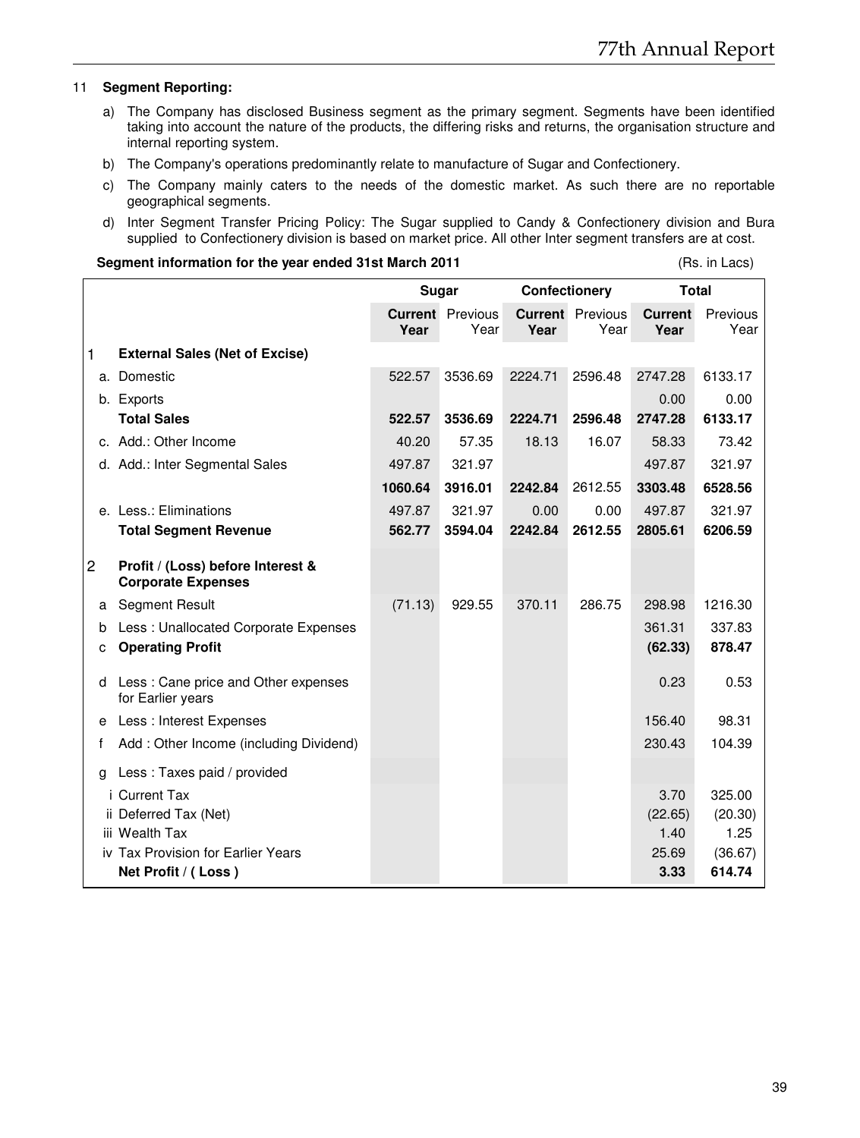#### 11 **Segment Reporting:**

- a) The Company has disclosed Business segment as the primary segment. Segments have been identified taking into account the nature of the products, the differing risks and returns, the organisation structure and internal reporting system.
- b) The Company's operations predominantly relate to manufacture of Sugar and Confectionery.
- c) The Company mainly caters to the needs of the domestic market. As such there are no reportable geographical segments.
- d) Inter Segment Transfer Pricing Policy: The Sugar supplied to Candy & Confectionery division and Bura supplied to Confectionery division is based on market price. All other Inter segment transfers are at cost.

#### **Segment information for the year ended 31st March 2011 (Rs. in Lacs)** (Rs. in Lacs)

|    |                                                                |         | Sugar                           | Confectionery |                                 | <b>Total</b>           |                  |
|----|----------------------------------------------------------------|---------|---------------------------------|---------------|---------------------------------|------------------------|------------------|
|    |                                                                | Year    | <b>Current</b> Previous<br>Year | Year          | <b>Current</b> Previous<br>Year | <b>Current</b><br>Year | Previous<br>Year |
| 1  | <b>External Sales (Net of Excise)</b>                          |         |                                 |               |                                 |                        |                  |
| a. | Domestic                                                       | 522.57  | 3536.69                         | 2224.71       | 2596.48                         | 2747.28                | 6133.17          |
|    | b. Exports                                                     |         |                                 |               |                                 | 0.00                   | 0.00             |
|    | <b>Total Sales</b>                                             | 522.57  | 3536.69                         | 2224.71       | 2596.48                         | 2747.28                | 6133.17          |
|    | c. Add.: Other Income                                          | 40.20   | 57.35                           | 18.13         | 16.07                           | 58.33                  | 73.42            |
|    | d. Add.: Inter Segmental Sales                                 | 497.87  | 321.97                          |               |                                 | 497.87                 | 321.97           |
|    |                                                                | 1060.64 | 3916.01                         | 2242.84       | 2612.55                         | 3303.48                | 6528.56          |
|    | e. Less.: Eliminations                                         | 497.87  | 321.97                          | 0.00          | 0.00                            | 497.87                 | 321.97           |
|    | <b>Total Segment Revenue</b>                                   | 562.77  | 3594.04                         | 2242.84       | 2612.55                         | 2805.61                | 6206.59          |
| 2  | Profit / (Loss) before Interest &<br><b>Corporate Expenses</b> |         |                                 |               |                                 |                        |                  |
| а  | <b>Segment Result</b>                                          | (71.13) | 929.55                          | 370.11        | 286.75                          | 298.98                 | 1216.30          |
| b  | Less: Unallocated Corporate Expenses                           |         |                                 |               |                                 | 361.31                 | 337.83           |
| C  | <b>Operating Profit</b>                                        |         |                                 |               |                                 | (62.33)                | 878.47           |
| d  | Less: Cane price and Other expenses<br>for Earlier years       |         |                                 |               |                                 | 0.23                   | 0.53             |
| e  | Less : Interest Expenses                                       |         |                                 |               |                                 | 156.40                 | 98.31            |
| f  | Add: Other Income (including Dividend)                         |         |                                 |               |                                 | 230.43                 | 104.39           |
| a  | Less: Taxes paid / provided                                    |         |                                 |               |                                 |                        |                  |
|    | <i>i</i> Current Tax                                           |         |                                 |               |                                 | 3.70                   | 325.00           |
|    | ii Deferred Tax (Net)                                          |         |                                 |               |                                 | (22.65)                | (20.30)          |
|    | iii Wealth Tax                                                 |         |                                 |               |                                 | 1.40                   | 1.25             |
|    | iv Tax Provision for Earlier Years                             |         |                                 |               |                                 | 25.69                  | (36.67)          |
|    | Net Profit / (Loss)                                            |         |                                 |               |                                 | 3.33                   | 614.74           |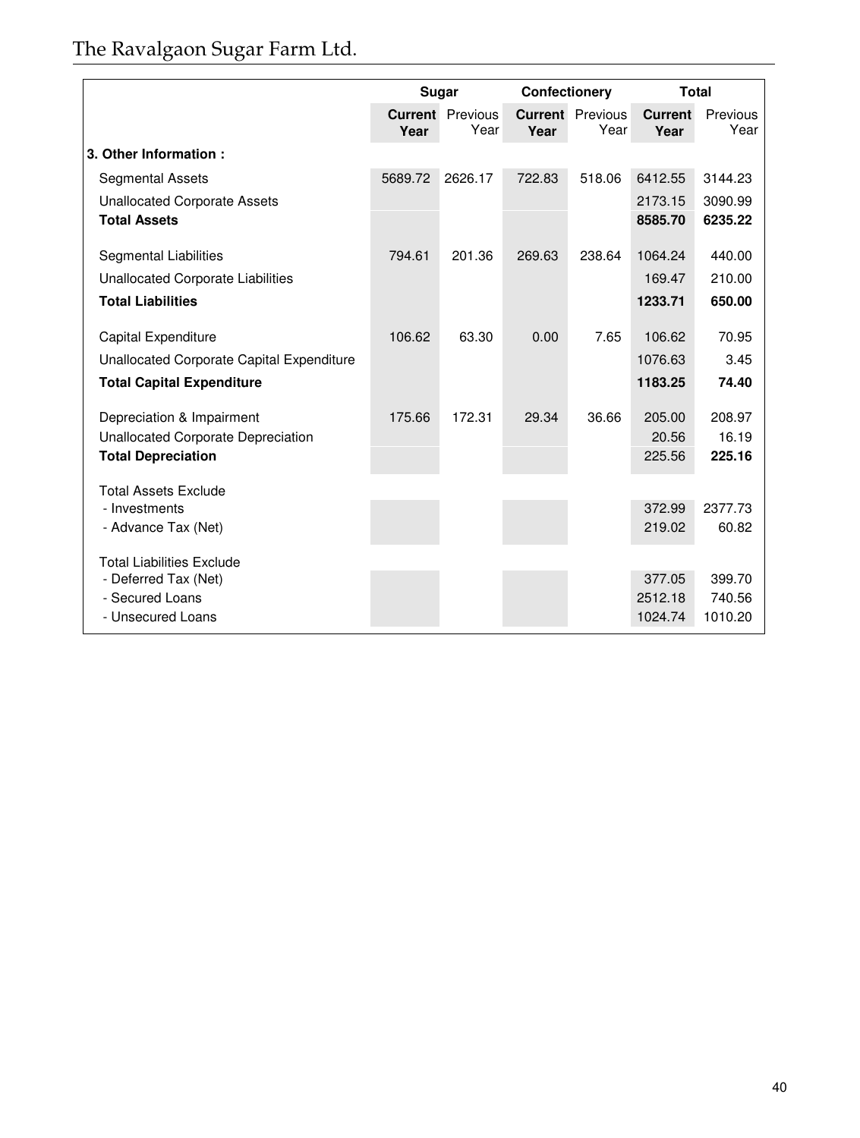# The Ravalgaon Sugar Farm Ltd.

|                                           | Sugar   |                                 |        | Confectionery                   |                        | <b>Total</b>      |
|-------------------------------------------|---------|---------------------------------|--------|---------------------------------|------------------------|-------------------|
|                                           | Year    | <b>Current</b> Previous<br>Year | Year   | <b>Current</b> Previous<br>Year | <b>Current</b><br>Year | Previous<br>Year  |
| 3. Other Information:                     |         |                                 |        |                                 |                        |                   |
| <b>Segmental Assets</b>                   | 5689.72 | 2626.17                         | 722.83 | 518.06                          | 6412.55                | 3144.23           |
| <b>Unallocated Corporate Assets</b>       |         |                                 |        |                                 | 2173.15                | 3090.99           |
| <b>Total Assets</b>                       |         |                                 |        |                                 | 8585.70                | 6235.22           |
| Segmental Liabilities                     | 794.61  | 201.36                          | 269.63 | 238.64                          | 1064.24                | 440.00            |
| Unallocated Corporate Liabilities         |         |                                 |        |                                 | 169.47                 | 210.00            |
| <b>Total Liabilities</b>                  |         |                                 |        |                                 | 1233.71                | 650.00            |
| Capital Expenditure                       | 106.62  | 63.30                           | 0.00   | 7.65                            | 106.62                 | 70.95             |
| Unallocated Corporate Capital Expenditure |         |                                 |        |                                 | 1076.63                | 3.45              |
| <b>Total Capital Expenditure</b>          |         |                                 |        |                                 | 1183.25                | 74.40             |
| Depreciation & Impairment                 | 175.66  | 172.31                          | 29.34  | 36.66                           | 205.00                 | 208.97            |
| Unallocated Corporate Depreciation        |         |                                 |        |                                 | 20.56                  | 16.19             |
| <b>Total Depreciation</b>                 |         |                                 |        |                                 | 225.56                 | 225.16            |
| <b>Total Assets Exclude</b>               |         |                                 |        |                                 |                        |                   |
| - Investments                             |         |                                 |        |                                 | 372.99                 | 2377.73           |
| - Advance Tax (Net)                       |         |                                 |        |                                 | 219.02                 | 60.82             |
| <b>Total Liabilities Exclude</b>          |         |                                 |        |                                 |                        |                   |
| - Deferred Tax (Net)                      |         |                                 |        |                                 | 377.05                 | 399.70            |
| - Secured Loans<br>- Unsecured Loans      |         |                                 |        |                                 | 2512.18<br>1024.74     | 740.56<br>1010.20 |
|                                           |         |                                 |        |                                 |                        |                   |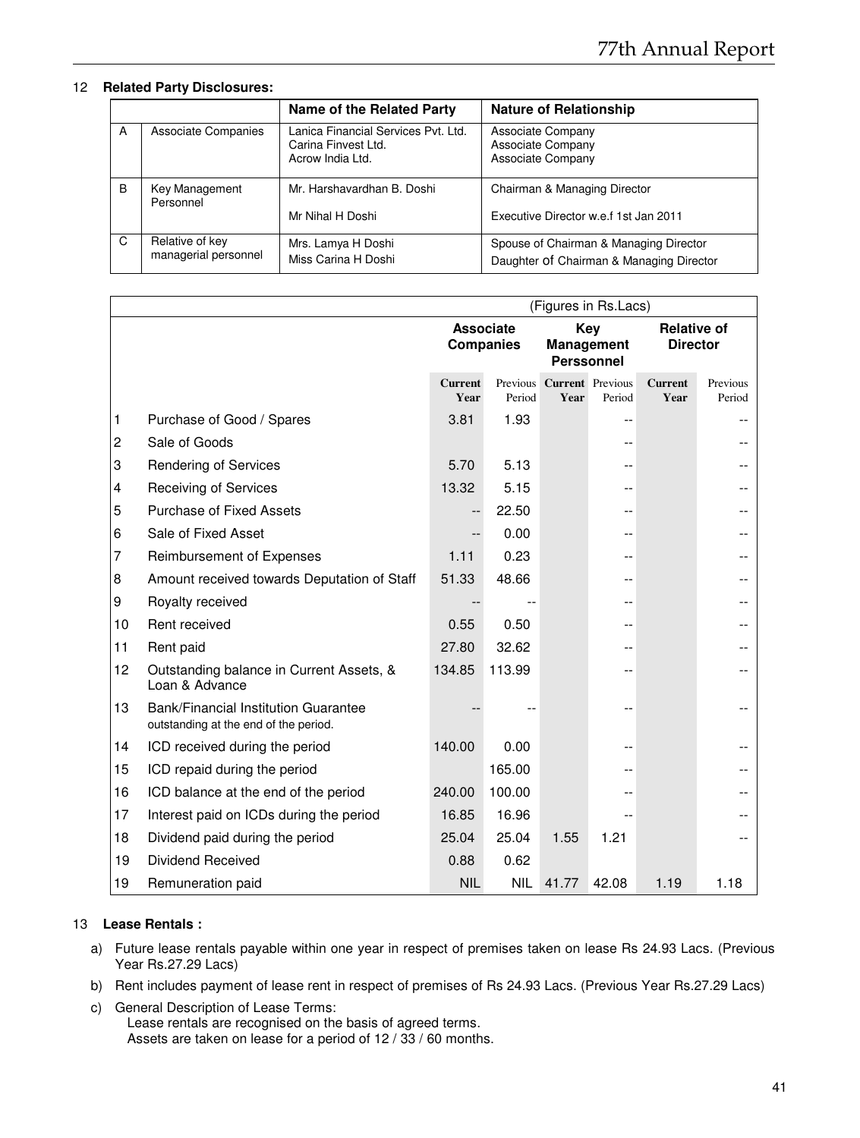# 12 **Related Party Disclosures:**

|   |                      | Name of the Related Party                                                      | <b>Nature of Relationship</b>                               |
|---|----------------------|--------------------------------------------------------------------------------|-------------------------------------------------------------|
| A | Associate Companies  | Lanica Financial Services Pvt. Ltd.<br>Carina Finvest Ltd.<br>Acrow India Ltd. | Associate Company<br>Associate Company<br>Associate Company |
| B | Key Management       | Mr. Harshavardhan B. Doshi                                                     | Chairman & Managing Director                                |
|   | Personnel            | Mr Nihal H Doshi                                                               | Executive Director w.e.f 1st Jan 2011                       |
| C | Relative of key      | Mrs. Lamya H Doshi                                                             | Spouse of Chairman & Managing Director                      |
|   | managerial personnel | Miss Carina H Doshi                                                            | Daughter Of Chairman & Managing Director                    |

|                |                                                                               | (Figures in Rs.Lacs)                 |            |                                               |        |                        |                    |                                       |  |
|----------------|-------------------------------------------------------------------------------|--------------------------------------|------------|-----------------------------------------------|--------|------------------------|--------------------|---------------------------------------|--|
|                |                                                                               | <b>Associate</b><br><b>Companies</b> |            | Key<br><b>Management</b><br><b>Perssonnel</b> |        |                        |                    | <b>Relative of</b><br><b>Director</b> |  |
|                |                                                                               | <b>Current</b><br>Year               | Period     | Previous Current Previous<br>Year             | Period | <b>Current</b><br>Year | Previous<br>Period |                                       |  |
| 1              | Purchase of Good / Spares                                                     | 3.81                                 | 1.93       |                                               |        |                        |                    |                                       |  |
| $\overline{c}$ | Sale of Goods                                                                 |                                      |            |                                               |        |                        |                    |                                       |  |
| 3              | <b>Rendering of Services</b>                                                  | 5.70                                 | 5.13       |                                               |        |                        |                    |                                       |  |
| $\overline{4}$ | <b>Receiving of Services</b>                                                  | 13.32                                | 5.15       |                                               |        |                        |                    |                                       |  |
| 5              | <b>Purchase of Fixed Assets</b>                                               | $\overline{\phantom{a}}$             | 22.50      |                                               |        |                        |                    |                                       |  |
| 6              | Sale of Fixed Asset                                                           |                                      | 0.00       |                                               |        |                        |                    |                                       |  |
| 7              | Reimbursement of Expenses                                                     | 1.11                                 | 0.23       |                                               |        |                        |                    |                                       |  |
| 8              | Amount received towards Deputation of Staff                                   | 51.33                                | 48.66      |                                               |        |                        |                    |                                       |  |
| 9              | Royalty received                                                              |                                      |            |                                               |        |                        |                    |                                       |  |
| 10             | Rent received                                                                 | 0.55                                 | 0.50       |                                               |        |                        |                    |                                       |  |
| 11             | Rent paid                                                                     | 27.80                                | 32.62      |                                               |        |                        |                    |                                       |  |
| 12             | Outstanding balance in Current Assets, &<br>Loan & Advance                    | 134.85                               | 113.99     |                                               |        |                        |                    |                                       |  |
| 13             | Bank/Financial Institution Guarantee<br>outstanding at the end of the period. |                                      |            |                                               |        |                        |                    |                                       |  |
| 14             | ICD received during the period                                                | 140.00                               | 0.00       |                                               |        |                        |                    |                                       |  |
| 15             | ICD repaid during the period                                                  |                                      | 165.00     |                                               |        |                        |                    |                                       |  |
| 16             | ICD balance at the end of the period                                          | 240.00                               | 100.00     |                                               |        |                        |                    |                                       |  |
| 17             | Interest paid on ICDs during the period                                       | 16.85                                | 16.96      |                                               |        |                        |                    |                                       |  |
| 18             | Dividend paid during the period                                               | 25.04                                | 25.04      | 1.55                                          | 1.21   |                        |                    |                                       |  |
| 19             | <b>Dividend Received</b>                                                      | 0.88                                 | 0.62       |                                               |        |                        |                    |                                       |  |
| 19             | Remuneration paid                                                             | <b>NIL</b>                           | <b>NIL</b> | 41.77                                         | 42.08  | 1.19                   | 1.18               |                                       |  |

# 13 **Lease Rentals :**

- a) Future lease rentals payable within one year in respect of premises taken on lease Rs 24.93 Lacs. (Previous Year Rs.27.29 Lacs)
- b) Rent includes payment of lease rent in respect of premises of Rs 24.93 Lacs. (Previous Year Rs.27.29 Lacs)
- c) General Description of Lease Terms: Lease rentals are recognised on the basis of agreed terms. Assets are taken on lease for a period of 12 / 33 / 60 months.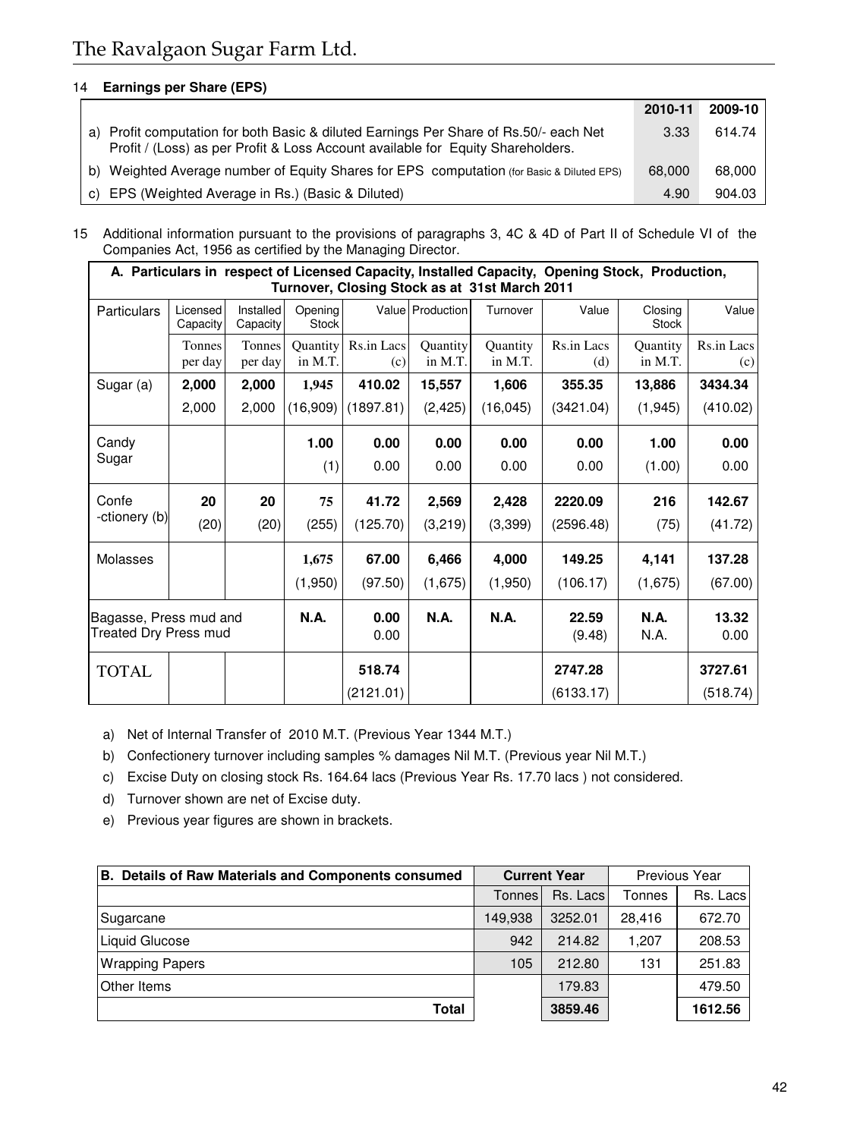# 14 **Earnings per Share (EPS)**

|                                                                                                                                                                          | 2010-11 | 2009-10 |
|--------------------------------------------------------------------------------------------------------------------------------------------------------------------------|---------|---------|
| a) Profit computation for both Basic & diluted Earnings Per Share of Rs.50/- each Net<br>Profit / (Loss) as per Profit & Loss Account available for Equity Shareholders. | 3.33    | 614.74  |
| b) Weighted Average number of Equity Shares for EPS computation (for Basic & Diluted EPS)                                                                                | 68,000  | 68,000  |
| c) EPS (Weighted Average in Rs.) (Basic & Diluted)                                                                                                                       | 4.90    | 904.03  |

15 Additional information pursuant to the provisions of paragraphs 3, 4C & 4D of Part II of Schedule VI of the Companies Act, 1956 as certified by the Managing Director.

|                                                        | A. Particulars in respect of Licensed Capacity, Installed Capacity, Opening Stock, Production,<br>Turnover, Closing Stock as at 31st March 2011 |                       |                         |                   |                            |                            |                     |                            |                   |  |  |
|--------------------------------------------------------|-------------------------------------------------------------------------------------------------------------------------------------------------|-----------------------|-------------------------|-------------------|----------------------------|----------------------------|---------------------|----------------------------|-------------------|--|--|
| <b>Particulars</b>                                     | Licensed<br>Capacity                                                                                                                            | Installed<br>Capacity | Opening<br><b>Stock</b> |                   | Value Production           | Turnover                   | Value               | Closing<br>Stock           | Value             |  |  |
|                                                        | Tonnes<br>per day                                                                                                                               | Tonnes<br>per day     | Quantity<br>in M.T.     | Rs.in Lacs<br>(c) | <b>Quantity</b><br>in M.T. | <b>Quantity</b><br>in M.T. | Rs.in Lacs<br>(d)   | <b>Quantity</b><br>in M.T. | Rs.in Lacs<br>(c) |  |  |
| Sugar (a)                                              | 2,000                                                                                                                                           | 2,000                 | 1,945                   | 410.02            | 15,557                     | 1,606                      | 355.35              | 13,886                     | 3434.34           |  |  |
|                                                        | 2,000                                                                                                                                           | 2,000                 | (16,909)                | (1897.81)         | (2, 425)                   | (16, 045)                  | (3421.04)           | (1, 945)                   | (410.02)          |  |  |
| Candy                                                  |                                                                                                                                                 |                       | 1.00                    | 0.00              | 0.00                       | 0.00                       | 0.00                | 1.00                       | 0.00              |  |  |
| Sugar                                                  |                                                                                                                                                 |                       | (1)                     | 0.00              | 0.00                       | 0.00                       | 0.00                | (1.00)                     | 0.00              |  |  |
| Confe                                                  | 20                                                                                                                                              | 20                    | 75                      | 41.72             | 2,569                      | 2,428                      | 2220.09             | 216                        | 142.67            |  |  |
| -ctionery (b)                                          | (20)                                                                                                                                            | (20)                  | (255)                   | (125.70)          | (3,219)                    | (3,399)                    | (2596.48)           | (75)                       | (41.72)           |  |  |
| Molasses                                               |                                                                                                                                                 |                       | 1,675                   | 67.00             | 6,466                      | 4,000                      | 149.25              | 4,141                      | 137.28            |  |  |
|                                                        |                                                                                                                                                 |                       | (1,950)                 | (97.50)           | (1,675)                    | (1,950)                    | (106.17)            | (1,675)                    | (67.00)           |  |  |
| Bagasse, Press mud and<br><b>Treated Dry Press mud</b> |                                                                                                                                                 | N.A.                  | 0.00<br>0.00            | <b>N.A.</b>       | <b>N.A.</b>                | 22.59<br>(9.48)            | <b>N.A.</b><br>N.A. | 13.32<br>0.00              |                   |  |  |
| <b>TOTAL</b>                                           |                                                                                                                                                 |                       |                         | 518.74            |                            |                            | 2747.28             |                            | 3727.61           |  |  |
|                                                        |                                                                                                                                                 |                       |                         | (2121.01)         |                            |                            | (6133.17)           |                            | (518.74)          |  |  |

a) Net of Internal Transfer of 2010 M.T. (Previous Year 1344 M.T.)

b) Confectionery turnover including samples % damages Nil M.T. (Previous year Nil M.T.)

c) Excise Duty on closing stock Rs. 164.64 lacs (Previous Year Rs. 17.70 lacs ) not considered.

d) Turnover shown are net of Excise duty.

e) Previous year figures are shown in brackets.

| B. Details of Raw Materials and Components consumed |               | <b>Current Year</b> | Previous Year |          |  |
|-----------------------------------------------------|---------------|---------------------|---------------|----------|--|
|                                                     | <b>Tonnes</b> | Rs. Lacs            | Tonnes        | Rs. Lacs |  |
| Sugarcane                                           | 149,938       | 3252.01             | 28.416        | 672.70   |  |
| <b>Liquid Glucose</b>                               | 942           | 214.82              | 1.207         | 208.53   |  |
| <b>Wrapping Papers</b>                              | 105           | 212.80              | 131           | 251.83   |  |
| <b>Other Items</b>                                  |               | 179.83              |               | 479.50   |  |
| Total                                               |               | 3859.46             |               | 1612.56  |  |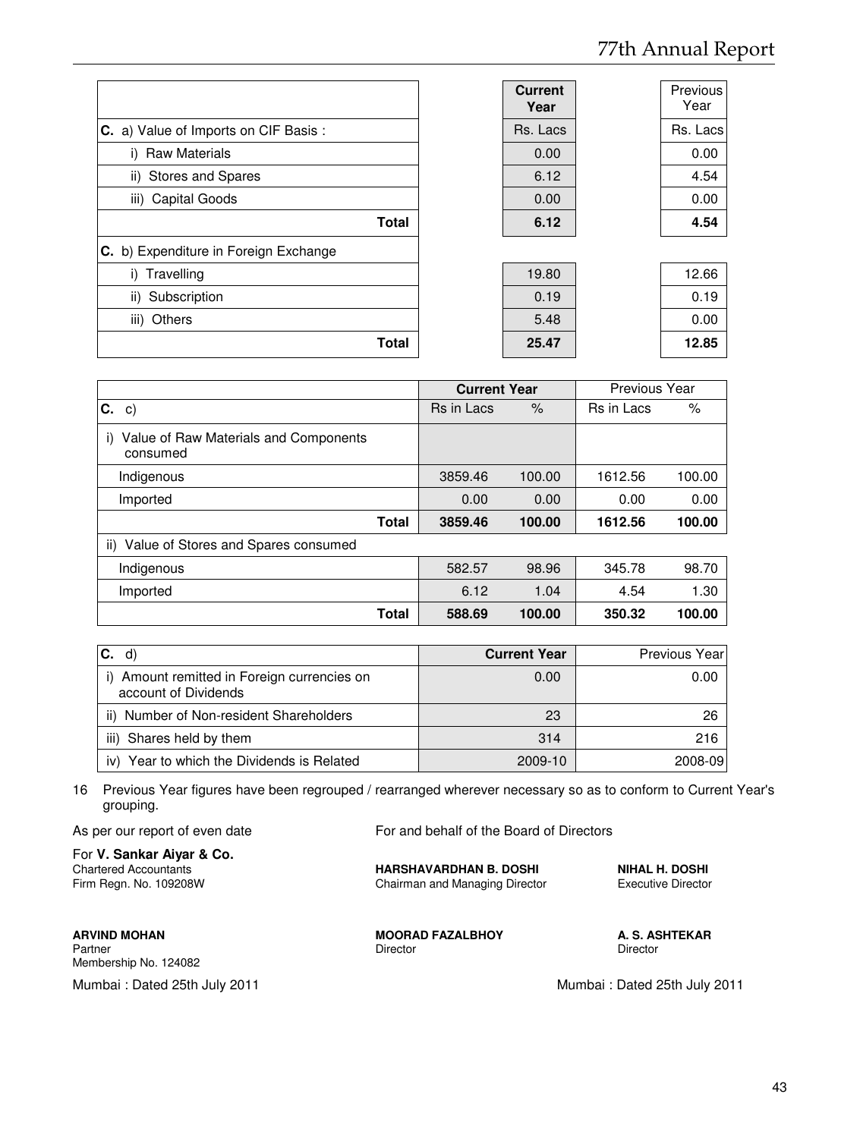|                                       | <b>Current</b><br>Year | Previous<br>Year |
|---------------------------------------|------------------------|------------------|
| C. a) Value of Imports on CIF Basis:  | Rs. Lacs               | Rs. Lacs         |
| <b>Raw Materials</b><br>i)            | 0.00                   | 0.00             |
| ii) Stores and Spares                 | 6.12                   | 4.54             |
| iii) Capital Goods                    | 0.00                   | 0.00             |
| <b>Total</b>                          | 6.12                   | 4.54             |
| C. b) Expenditure in Foreign Exchange |                        |                  |
| Travelling<br>i)                      | 19.80                  | 12.66            |
| ii) Subscription                      | 0.19                   | 0.19             |
| iii) Others                           | 5.48                   | 0.00             |
| Total                                 | 25.47                  | 12.85            |

|                                                         | <b>Current Year</b> |                    | <b>Previous Year</b> |        |
|---------------------------------------------------------|---------------------|--------------------|----------------------|--------|
| С.<br>C)                                                | Rs in Lacs          | $\frac{1}{\alpha}$ | <b>Rs</b> in Lacs    | %      |
| Value of Raw Materials and Components<br>i)<br>consumed |                     |                    |                      |        |
| Indigenous                                              | 3859.46             | 100.00             | 1612.56              | 100.00 |
| Imported                                                | 0.00                | 0.00               | 0.00                 | 0.00   |
| <b>Total</b>                                            | 3859.46             | 100.00             | 1612.56              | 100.00 |
| Value of Stores and Spares consumed<br>ii)              |                     |                    |                      |        |
| Indigenous                                              | 582.57              | 98.96              | 345.78               | 98.70  |
| Imported                                                | 6.12                | 1.04               | 4.54                 | 1.30   |
| <b>Total</b>                                            | 588.69              | 100.00             | 350.32               | 100.00 |

| IC.<br>d)                                                           | <b>Current Year</b> | Previous Year |
|---------------------------------------------------------------------|---------------------|---------------|
| i) Amount remitted in Foreign currencies on<br>account of Dividends | 0.00                | 0.00          |
| ii) Number of Non-resident Shareholders                             | 23                  | 26            |
| Shares held by them<br>iii)                                         | 314                 | 216           |
| iv) Year to which the Dividends is Related                          | 2009-10             | 2008-09       |

16 Previous Year figures have been regrouped / rearranged wherever necessary so as to conform to Current Year's grouping.

As per our report of even date For and behalf of the Board of Directors

For **V. Sankar Aiyar & Co.** Chartered Accountants **HARSHAVARDHAN B. DOSHI NIHAL H. DOSHI**

Membership No. 124082

Chairman and Managing Director

**ARVIND MOHAN MOORAD FAZALBHOY A. S. ASHTEKAR**<br>Partner **MOORAD FAZALBHOY A. S. ASHTEKAR** Partner Director Director Director Director Director Director Director Director

Mumbai : Dated 25th July 2011 Mumbai : Dated 25th July 2011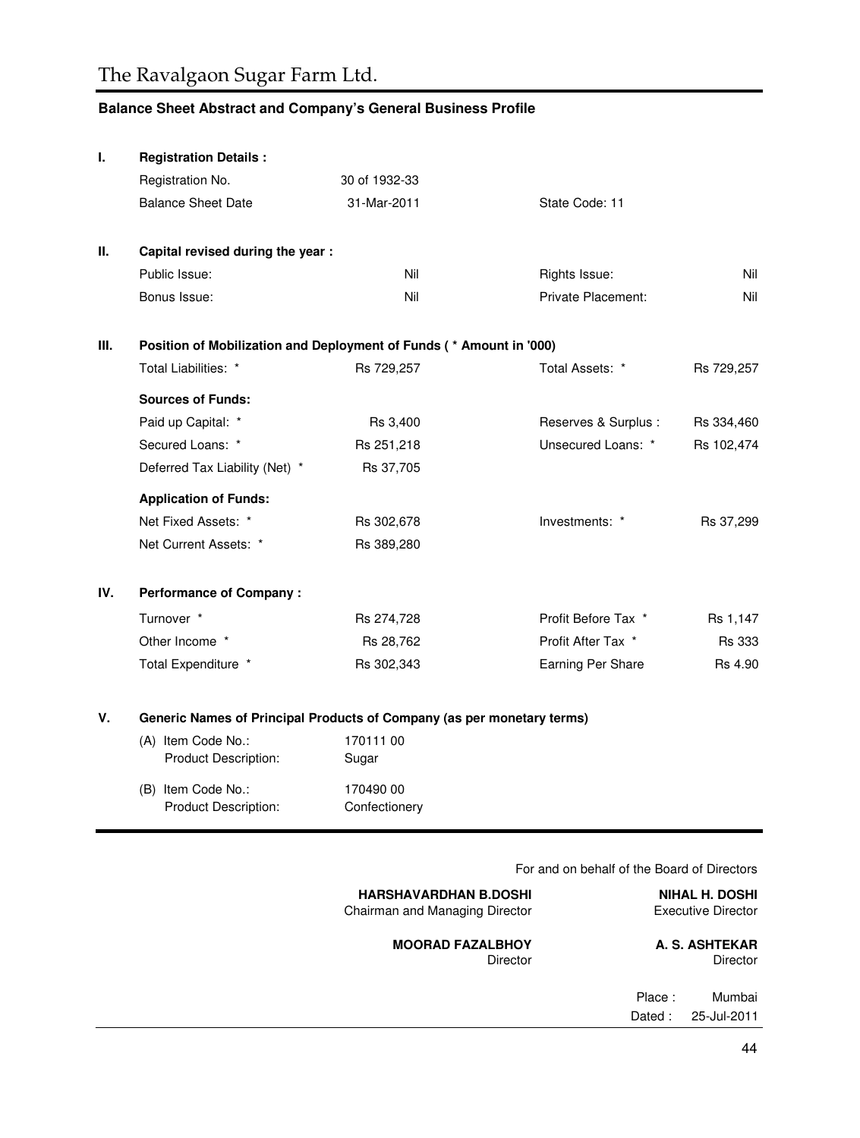# **Balance Sheet Abstract and Company's General Business Profile**

| ı.   | <b>Registration Details:</b>                                           |                    |                           |               |
|------|------------------------------------------------------------------------|--------------------|---------------------------|---------------|
|      | Registration No.                                                       | 30 of 1932-33      |                           |               |
|      | <b>Balance Sheet Date</b>                                              | 31-Mar-2011        | State Code: 11            |               |
| Ш.   | Capital revised during the year :                                      |                    |                           |               |
|      | Public Issue:                                                          | Nil                | Rights Issue:             | Nil           |
|      | Bonus Issue:                                                           | Nil                | <b>Private Placement:</b> | Nil           |
| III. | Position of Mobilization and Deployment of Funds (* Amount in '000)    |                    |                           |               |
|      | Total Liabilities: *                                                   | Rs 729,257         | Total Assets: *           | Rs 729,257    |
|      | <b>Sources of Funds:</b>                                               |                    |                           |               |
|      | Paid up Capital: *                                                     | Rs 3,400           | Reserves & Surplus :      | Rs 334,460    |
|      | Secured Loans: *                                                       | Rs 251,218         | Unsecured Loans: *        | Rs 102,474    |
|      | Deferred Tax Liability (Net) *                                         | Rs 37,705          |                           |               |
|      | <b>Application of Funds:</b>                                           |                    |                           |               |
|      | Net Fixed Assets: *                                                    | Rs 302,678         | Investments: *            | Rs 37,299     |
|      | Net Current Assets: *                                                  | Rs 389,280         |                           |               |
| IV.  | <b>Performance of Company:</b>                                         |                    |                           |               |
|      | Turnover *                                                             | Rs 274,728         | Profit Before Tax *       | Rs 1,147      |
|      | Other Income *                                                         | Rs 28,762          | Profit After Tax *        | <b>Rs 333</b> |
|      | Total Expenditure *                                                    | Rs 302,343         | Earning Per Share         | Rs 4.90       |
| v.   | Generic Names of Principal Products of Company (as per monetary terms) |                    |                           |               |
|      | (A) Item Code No.:<br>Product Description:                             | 170111 00<br>Sugar |                           |               |
|      |                                                                        |                    |                           |               |

(B) Item Code No.: 170490 00 Product Description: Confectionery

For and on behalf of the Board of Directors

| <b>NIHAL H. DOSHI</b><br><b>Executive Director</b> |        | <b>HARSHAVARDHAN B.DOSHI</b><br>Chairman and Managing Director |
|----------------------------------------------------|--------|----------------------------------------------------------------|
| A. S. ASHTEKAR<br>Director                         |        | <b>MOORAD FAZALBHOY</b><br>Director                            |
| Mumbai                                             | Place: |                                                                |
| 25-Jul-2011                                        | Dated: |                                                                |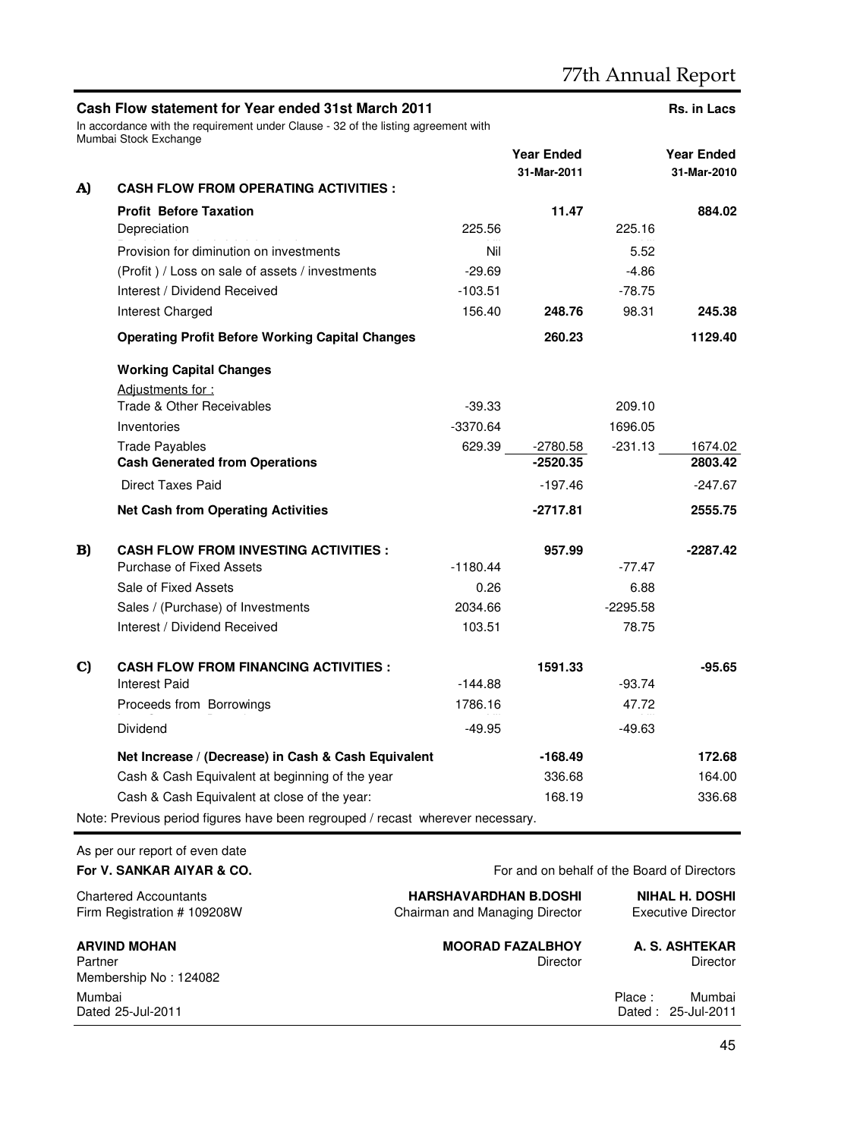|    | Cash Flow statement for Year ended 31st March 2011<br>In accordance with the requirement under Clause - 32 of the listing agreement with<br>Mumbai Stock Exchange |                                                                |                                             |            | Rs. in Lacs                                        |
|----|-------------------------------------------------------------------------------------------------------------------------------------------------------------------|----------------------------------------------------------------|---------------------------------------------|------------|----------------------------------------------------|
|    |                                                                                                                                                                   |                                                                | <b>Year Ended</b>                           |            | <b>Year Ended</b>                                  |
|    | <b>CASH FLOW FROM OPERATING ACTIVITIES :</b>                                                                                                                      |                                                                | 31-Mar-2011                                 |            | 31-Mar-2010                                        |
| A) |                                                                                                                                                                   |                                                                |                                             |            |                                                    |
|    | <b>Profit Before Taxation</b>                                                                                                                                     | 225.56                                                         | 11.47                                       | 225.16     | 884.02                                             |
|    | Depreciation                                                                                                                                                      |                                                                |                                             |            |                                                    |
|    | Provision for diminution on investments                                                                                                                           | Nil                                                            |                                             | 5.52       |                                                    |
|    | (Profit) / Loss on sale of assets / investments                                                                                                                   | $-29.69$                                                       |                                             | $-4.86$    |                                                    |
|    | Interest / Dividend Received                                                                                                                                      | $-103.51$                                                      |                                             | $-78.75$   |                                                    |
|    | <b>Interest Charged</b>                                                                                                                                           | 156.40                                                         | 248.76                                      | 98.31      | 245.38                                             |
|    | <b>Operating Profit Before Working Capital Changes</b>                                                                                                            |                                                                | 260.23                                      |            | 1129.40                                            |
|    | <b>Working Capital Changes</b>                                                                                                                                    |                                                                |                                             |            |                                                    |
|    | Adjustments for:                                                                                                                                                  |                                                                |                                             |            |                                                    |
|    | Trade & Other Receivables                                                                                                                                         | $-39.33$                                                       |                                             | 209.10     |                                                    |
|    | Inventories                                                                                                                                                       | $-3370.64$                                                     |                                             | 1696.05    |                                                    |
|    | <b>Trade Payables</b>                                                                                                                                             |                                                                | 629.39 -2780.58<br>$-2520.35$               | -231.13    | 1674.02                                            |
|    | <b>Cash Generated from Operations</b>                                                                                                                             |                                                                |                                             |            | 2803.42                                            |
|    | <b>Direct Taxes Paid</b>                                                                                                                                          |                                                                | $-197.46$                                   |            | $-247.67$                                          |
|    | <b>Net Cash from Operating Activities</b>                                                                                                                         |                                                                | $-2717.81$                                  |            | 2555.75                                            |
| B) | <b>CASH FLOW FROM INVESTING ACTIVITIES:</b>                                                                                                                       |                                                                | 957.99                                      |            | $-2287.42$                                         |
|    | <b>Purchase of Fixed Assets</b>                                                                                                                                   | $-1180.44$                                                     |                                             | $-77.47$   |                                                    |
|    | Sale of Fixed Assets                                                                                                                                              | 0.26                                                           |                                             | 6.88       |                                                    |
|    | Sales / (Purchase) of Investments                                                                                                                                 | 2034.66                                                        |                                             | $-2295.58$ |                                                    |
|    | Interest / Dividend Received                                                                                                                                      | 103.51                                                         |                                             | 78.75      |                                                    |
| C) | <b>CASH FLOW FROM FINANCING ACTIVITIES :</b>                                                                                                                      |                                                                | 1591.33                                     |            | $-95.65$                                           |
|    | <b>Interest Paid</b>                                                                                                                                              | $-144.88$                                                      |                                             | $-93.74$   |                                                    |
|    | Proceeds from Borrowings                                                                                                                                          | 1786.16                                                        |                                             | 47.72      |                                                    |
|    | Dividend                                                                                                                                                          | $-49.95$                                                       |                                             | $-49.63$   |                                                    |
|    | Net Increase / (Decrease) in Cash & Cash Equivalent                                                                                                               |                                                                | -168.49                                     |            | 172.68                                             |
|    | Cash & Cash Equivalent at beginning of the year                                                                                                                   |                                                                | 336.68                                      |            | 164.00                                             |
|    | Cash & Cash Equivalent at close of the year:                                                                                                                      |                                                                | 168.19                                      |            | 336.68                                             |
|    | Note: Previous period figures have been regrouped / recast wherever necessary.                                                                                    |                                                                |                                             |            |                                                    |
|    | As per our report of even date                                                                                                                                    |                                                                |                                             |            |                                                    |
|    | For V. SANKAR AIYAR & CO.                                                                                                                                         |                                                                | For and on behalf of the Board of Directors |            |                                                    |
|    | <b>Chartered Accountants</b><br>Firm Registration # 109208W                                                                                                       | <b>HARSHAVARDHAN B.DOSHI</b><br>Chairman and Managing Director |                                             |            | <b>NIHAL H. DOSHI</b><br><b>Executive Director</b> |

| <b>ARVIND MOHAN</b>         | <b>MOORAD FAZALBHOY</b> | A. S. ASHTEKAR                         |
|-----------------------------|-------------------------|----------------------------------------|
| Partner                     | Director                | Director                               |
| Membership No: 124082       |                         |                                        |
| Mumbai<br>Dated 25-Jul-2011 |                         | Mumbai<br>Place:<br>Dated: 25-Jul-2011 |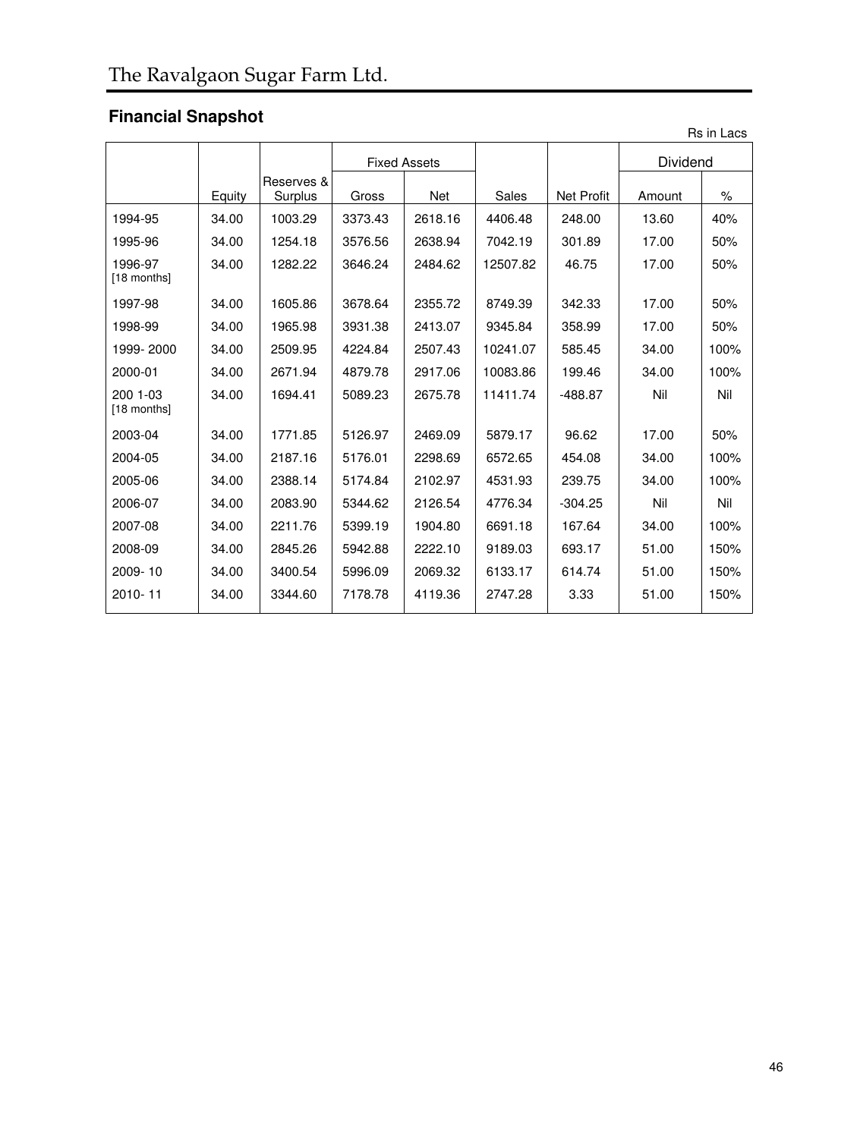# **Financial Snapshot**

|                         | Rs in Lacs |                       |         |                     |          |            |          |      |  |
|-------------------------|------------|-----------------------|---------|---------------------|----------|------------|----------|------|--|
|                         |            |                       |         | <b>Fixed Assets</b> |          |            | Dividend |      |  |
|                         | Equity     | Reserves &<br>Surplus | Gross   | Net                 | Sales    | Net Profit | Amount   | ℅    |  |
| 1994-95                 | 34.00      | 1003.29               | 3373.43 | 2618.16             | 4406.48  | 248.00     | 13.60    | 40%  |  |
| 1995-96                 | 34.00      | 1254.18               | 3576.56 | 2638.94             | 7042.19  | 301.89     | 17.00    | 50%  |  |
| 1996-97<br>[18 months]  | 34.00      | 1282.22               | 3646.24 | 2484.62             | 12507.82 | 46.75      | 17.00    | 50%  |  |
| 1997-98                 | 34.00      | 1605.86               | 3678.64 | 2355.72             | 8749.39  | 342.33     | 17.00    | 50%  |  |
| 1998-99                 | 34.00      | 1965.98               | 3931.38 | 2413.07             | 9345.84  | 358.99     | 17.00    | 50%  |  |
| 1999-2000               | 34.00      | 2509.95               | 4224.84 | 2507.43             | 10241.07 | 585.45     | 34.00    | 100% |  |
| 2000-01                 | 34.00      | 2671.94               | 4879.78 | 2917.06             | 10083.86 | 199.46     | 34.00    | 100% |  |
| 200 1-03<br>[18 months] | 34.00      | 1694.41               | 5089.23 | 2675.78             | 11411.74 | $-488.87$  | Nil      | Nil  |  |
| 2003-04                 | 34.00      | 1771.85               | 5126.97 | 2469.09             | 5879.17  | 96.62      | 17.00    | 50%  |  |
| 2004-05                 | 34.00      | 2187.16               | 5176.01 | 2298.69             | 6572.65  | 454.08     | 34.00    | 100% |  |
| 2005-06                 | 34.00      | 2388.14               | 5174.84 | 2102.97             | 4531.93  | 239.75     | 34.00    | 100% |  |
| 2006-07                 | 34.00      | 2083.90               | 5344.62 | 2126.54             | 4776.34  | $-304.25$  | Nil      | Nil  |  |
| 2007-08                 | 34.00      | 2211.76               | 5399.19 | 1904.80             | 6691.18  | 167.64     | 34.00    | 100% |  |
| 2008-09                 | 34.00      | 2845.26               | 5942.88 | 2222.10             | 9189.03  | 693.17     | 51.00    | 150% |  |
| 2009-10                 | 34.00      | 3400.54               | 5996.09 | 2069.32             | 6133.17  | 614.74     | 51.00    | 150% |  |
| 2010-11                 | 34.00      | 3344.60               | 7178.78 | 4119.36             | 2747.28  | 3.33       | 51.00    | 150% |  |